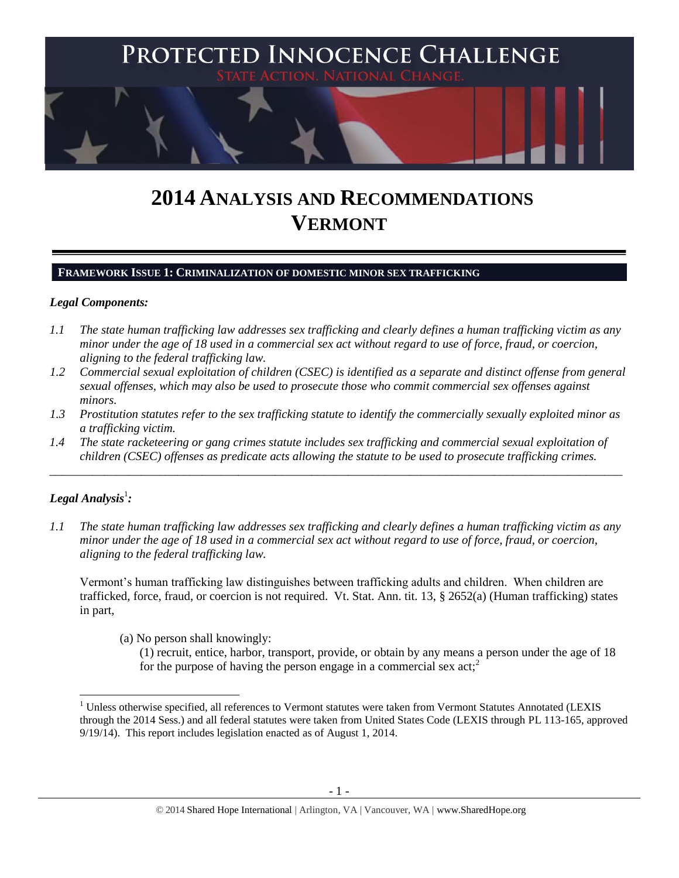

# **2014 ANALYSIS AND RECOMMENDATIONS VERMONT**

**FRAMEWORK ISSUE 1: CRIMINALIZATION OF DOMESTIC MINOR SEX TRAFFICKING**

#### *Legal Components:*

- *1.1 The state human trafficking law addresses sex trafficking and clearly defines a human trafficking victim as any minor under the age of 18 used in a commercial sex act without regard to use of force, fraud, or coercion, aligning to the federal trafficking law.*
- *1.2 Commercial sexual exploitation of children (CSEC) is identified as a separate and distinct offense from general sexual offenses, which may also be used to prosecute those who commit commercial sex offenses against minors.*
- *1.3 Prostitution statutes refer to the sex trafficking statute to identify the commercially sexually exploited minor as a trafficking victim.*
- *1.4 The state racketeering or gang crimes statute includes sex trafficking and commercial sexual exploitation of children (CSEC) offenses as predicate acts allowing the statute to be used to prosecute trafficking crimes.*

\_\_\_\_\_\_\_\_\_\_\_\_\_\_\_\_\_\_\_\_\_\_\_\_\_\_\_\_\_\_\_\_\_\_\_\_\_\_\_\_\_\_\_\_\_\_\_\_\_\_\_\_\_\_\_\_\_\_\_\_\_\_\_\_\_\_\_\_\_\_\_\_\_\_\_\_\_\_\_\_\_\_\_\_\_\_\_\_\_\_\_\_\_\_

# $\bm{L}$ egal Analysis $^1$ :

 $\overline{\phantom{a}}$ 

*1.1 The state human trafficking law addresses sex trafficking and clearly defines a human trafficking victim as any minor under the age of 18 used in a commercial sex act without regard to use of force, fraud, or coercion, aligning to the federal trafficking law.* 

Vermont's human trafficking law distinguishes between trafficking adults and children. When children are trafficked, force, fraud, or coercion is not required. Vt. Stat. Ann. tit. 13, § 2652(a) (Human trafficking) states in part,

(a) No person shall knowingly:

<span id="page-0-0"></span>(1) recruit, entice, harbor, transport, provide, or obtain by any means a person under the age of 18 for the purpose of having the person engage in a commercial sex  $act<sub>i</sub><sup>2</sup>$ 

<sup>&</sup>lt;sup>1</sup> Unless otherwise specified, all references to Vermont statutes were taken from Vermont Statutes Annotated (LEXIS through the 2014 Sess.) and all federal statutes were taken from United States Code (LEXIS through PL 113-165, approved 9/19/14). This report includes legislation enacted as of August 1, 2014.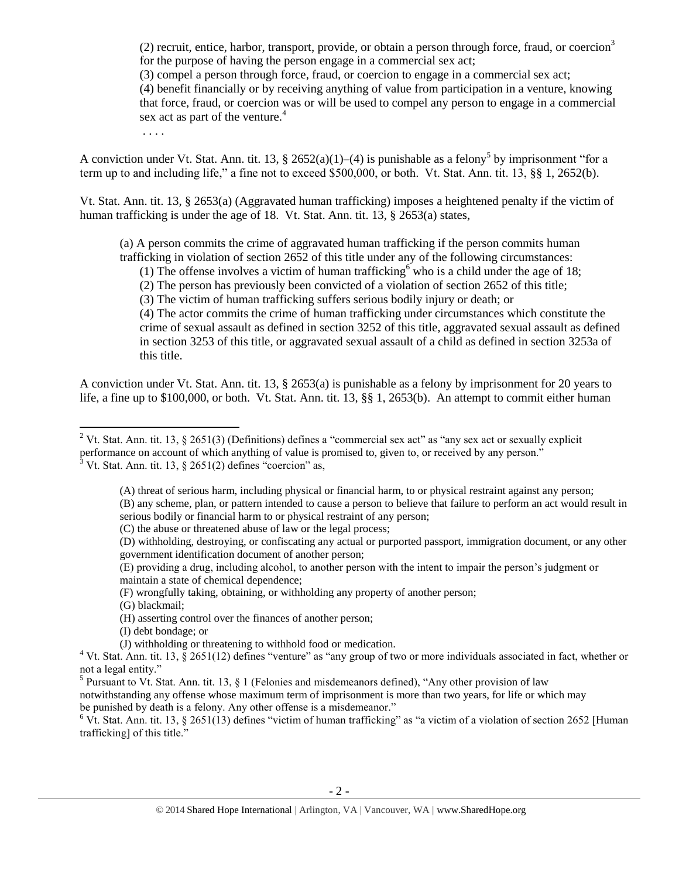(2) recruit, entice, harbor, transport, provide, or obtain a person through force, fraud, or coercion<sup>3</sup> for the purpose of having the person engage in a commercial sex act;

(3) compel a person through force, fraud, or coercion to engage in a commercial sex act;

(4) benefit financially or by receiving anything of value from participation in a venture, knowing that force, fraud, or coercion was or will be used to compel any person to engage in a commercial sex act as part of the venture.<sup>4</sup>

. . . .

A conviction under Vt. Stat. Ann. tit. 13, § 2652(a)(1)–(4) is punishable as a felony<sup>5</sup> by imprisonment "for a term up to and including life," a fine not to exceed \$500,000, or both. Vt. Stat. Ann. tit. 13, §§ 1, 2652(b).

Vt. Stat. Ann. tit. 13, § 2653(a) (Aggravated human trafficking) imposes a heightened penalty if the victim of human trafficking is under the age of 18. Vt. Stat. Ann. tit. 13, § 2653(a) states,

(a) A person commits the crime of aggravated human trafficking if the person commits human trafficking in violation of section 2652 of this title under any of the following circumstances:

<span id="page-1-0"></span>(1) The offense involves a victim of human trafficking who is a child under the age of 18;

(2) The person has previously been convicted of a violation of section 2652 of this title;

(3) The victim of human trafficking suffers serious bodily injury or death; or

(4) The actor commits the crime of human trafficking under circumstances which constitute the crime of sexual assault as defined in section 3252 of this title, aggravated sexual assault as defined in section 3253 of this title, or aggravated sexual assault of a child as defined in section 3253a of this title.

A conviction under Vt. Stat. Ann. tit. 13, § 2653(a) is punishable as a felony by imprisonment for 20 years to life, a fine up to \$100,000, or both. Vt. Stat. Ann. tit. 13, §§ 1, 2653(b). An attempt to commit either human

(C) the abuse or threatened abuse of law or the legal process;

(E) providing a drug, including alcohol, to another person with the intent to impair the person's judgment or maintain a state of chemical dependence;

(F) wrongfully taking, obtaining, or withholding any property of another person;

(G) blackmail;

(H) asserting control over the finances of another person;

(I) debt bondage; or

(J) withholding or threatening to withhold food or medication.

notwithstanding any offense whose maximum term of imprisonment is more than two years, for life or which may be punished by death is a felony. Any other offense is a misdemeanor."

 $6$  Vt. Stat. Ann. tit. 13, § 2651(13) defines "victim of human trafficking" as "a victim of a violation of section 2652 [Human trafficking] of this title."

 $\overline{\phantom{a}}$ <sup>2</sup> Vt. Stat. Ann. tit. 13, § 2651(3) (Definitions) defines a "commercial sex act" as "any sex act or sexually explicit performance on account of which anything of value is promised to, given to, or received by any person."  $3$  Vt. Stat. Ann. tit. 13, § 2651(2) defines "coercion" as,

<sup>(</sup>A) threat of serious harm, including physical or financial harm, to or physical restraint against any person; (B) any scheme, plan, or pattern intended to cause a person to believe that failure to perform an act would result in serious bodily or financial harm to or physical restraint of any person;

<sup>(</sup>D) withholding, destroying, or confiscating any actual or purported passport, immigration document, or any other government identification document of another person;

 $4$  Vt. Stat. Ann. tit. 13, § 2651(12) defines "venture" as "any group of two or more individuals associated in fact, whether or not a legal entity."

<sup>&</sup>lt;sup>5</sup> Pursuant to Vt. Stat. Ann. tit. 13, § 1 (Felonies and misdemeanors defined), "Any other provision of law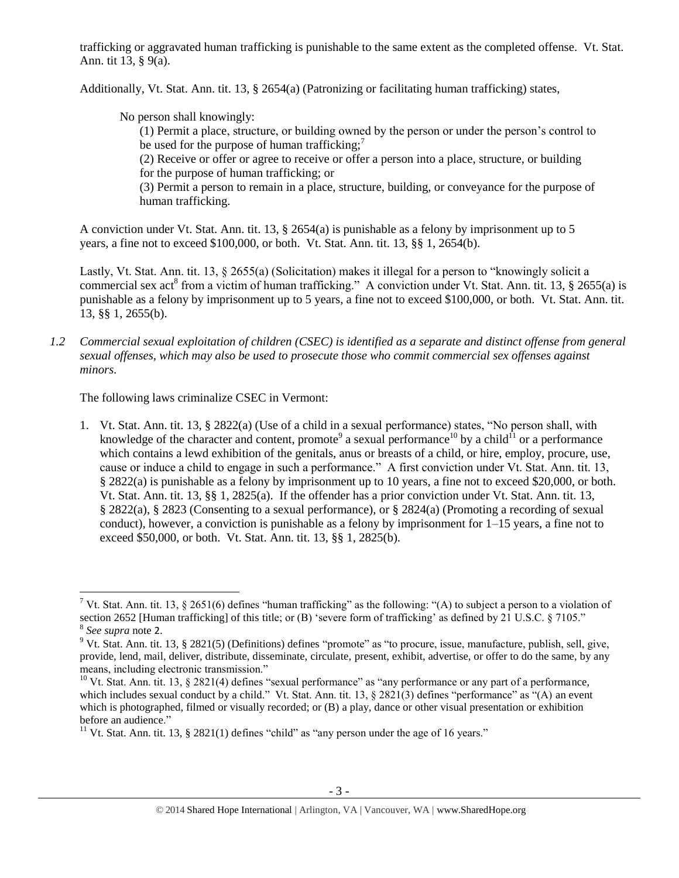trafficking or aggravated human trafficking is punishable to the same extent as the completed offense. Vt. Stat. Ann. tit 13, § 9(a).

Additionally, Vt. Stat. Ann. tit. 13, § 2654(a) (Patronizing or facilitating human trafficking) states,

No person shall knowingly:

(1) Permit a place, structure, or building owned by the person or under the person's control to be used for the purpose of human trafficking;<sup>7</sup>

(2) Receive or offer or agree to receive or offer a person into a place, structure, or building for the purpose of human trafficking; or

(3) Permit a person to remain in a place, structure, building, or conveyance for the purpose of human trafficking.

A conviction under Vt. Stat. Ann. tit. 13, § 2654(a) is punishable as a felony by imprisonment up to 5 years, a fine not to exceed \$100,000, or both. Vt. Stat. Ann. tit. 13, §§ 1, 2654(b).

Lastly, Vt. Stat. Ann. tit. 13, § 2655(a) (Solicitation) makes it illegal for a person to "knowingly solicit a commercial sex act<sup>8</sup> from a victim of human trafficking." A conviction under Vt. Stat. Ann. tit. 13, § 2655(a) is punishable as a felony by imprisonment up to 5 years, a fine not to exceed \$100,000, or both. Vt. Stat. Ann. tit. 13, §§ 1, 2655(b).

*1.2 Commercial sexual exploitation of children (CSEC) is identified as a separate and distinct offense from general sexual offenses, which may also be used to prosecute those who commit commercial sex offenses against minors.*

The following laws criminalize CSEC in Vermont:

<span id="page-2-1"></span><span id="page-2-0"></span>1. Vt. Stat. Ann. tit. 13, § 2822(a) (Use of a child in a sexual performance) states, "No person shall, with knowledge of the character and content, promote<sup>9</sup> a sexual performance<sup>10</sup> by a child<sup>11</sup> or a performance which contains a lewd exhibition of the genitals, anus or breasts of a child, or hire, employ, procure, use, cause or induce a child to engage in such a performance." A first conviction under Vt. Stat. Ann. tit. 13, § 2822(a) is punishable as a felony by imprisonment up to 10 years, a fine not to exceed \$20,000, or both. Vt. Stat. Ann. tit. 13, §§ 1, 2825(a). If the offender has a prior conviction under Vt. Stat. Ann. tit. 13, § 2822(a), § 2823 (Consenting to a sexual performance), or § 2824(a) (Promoting a recording of sexual conduct), however, a conviction is punishable as a felony by imprisonment for  $1-15$  years, a fine not to exceed \$50,000, or both. Vt. Stat. Ann. tit. 13, §§ 1, 2825(b).

l

<sup>&</sup>lt;sup>7</sup> Vt. Stat. Ann. tit. 13, § 2651(6) defines "human trafficking" as the following: "(A) to subject a person to a violation of section 2652 [Human trafficking] of this title; or (B) 'severe form of trafficking' as defined by 21 U.S.C. § 7105."

<sup>8</sup> *See supra* note [2](#page-0-0).

<sup>&</sup>lt;sup>9</sup> Vt. Stat. Ann. tit. 13, § 2821(5) (Definitions) defines "promote" as "to procure, issue, manufacture, publish, sell, give, provide, lend, mail, deliver, distribute, disseminate, circulate, present, exhibit, advertise, or offer to do the same, by any means, including electronic transmission."

<sup>&</sup>lt;sup>10</sup> Vt. Stat. Ann. tit. 13, § 2821(4) defines "sexual performance" as "any performance or any part of a performance, which includes sexual conduct by a child." Vt. Stat. Ann. tit. 13, § 2821(3) defines "performance" as "(A) an event which is photographed, filmed or visually recorded; or (B) a play, dance or other visual presentation or exhibition before an audience."

<sup>&</sup>lt;sup>11</sup> Vt. Stat. Ann. tit. 13, § 2821(1) defines "child" as "any person under the age of 16 years."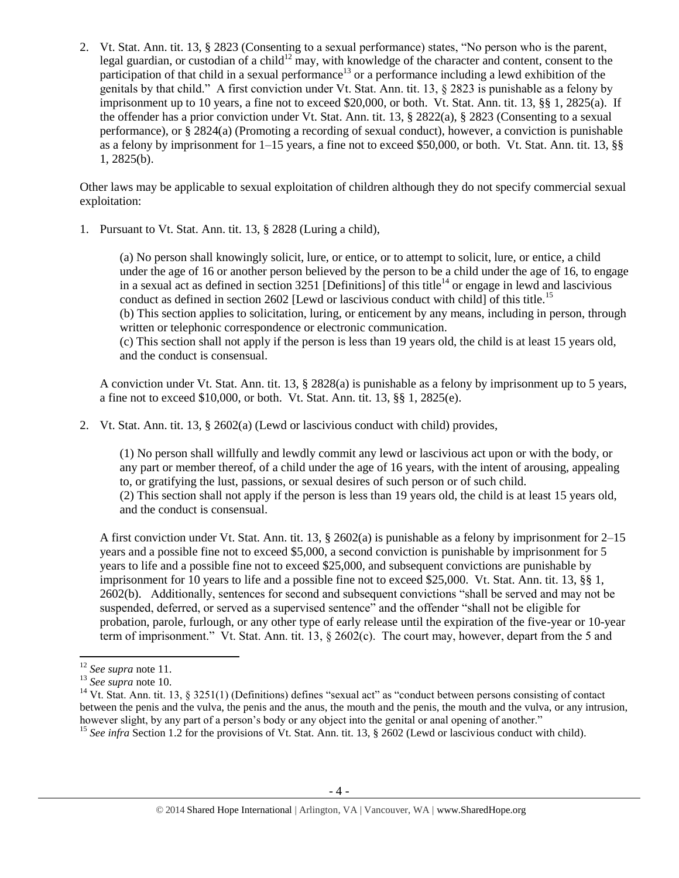2. Vt. Stat. Ann. tit. 13, § 2823 (Consenting to a sexual performance) states, "No person who is the parent, legal guardian, or custodian of a child<sup>12</sup> may, with knowledge of the character and content, consent to the participation of that child in a sexual performance<sup>13</sup> or a performance including a lewd exhibition of the genitals by that child." A first conviction under Vt. Stat. Ann. tit. 13, § 2823 is punishable as a felony by imprisonment up to 10 years, a fine not to exceed \$20,000, or both. Vt. Stat. Ann. tit. 13, §§ 1, 2825(a). If the offender has a prior conviction under Vt. Stat. Ann. tit. 13, § 2822(a), § 2823 (Consenting to a sexual performance), or § 2824(a) (Promoting a recording of sexual conduct), however, a conviction is punishable as a felony by imprisonment for 1–15 years, a fine not to exceed \$50,000, or both. Vt. Stat. Ann. tit. 13, §§ 1, 2825(b).

Other laws may be applicable to sexual exploitation of children although they do not specify commercial sexual exploitation:

1. Pursuant to Vt. Stat. Ann. tit. 13, § 2828 (Luring a child),

<span id="page-3-0"></span>(a) No person shall knowingly solicit, lure, or entice, or to attempt to solicit, lure, or entice, a child under the age of 16 or another person believed by the person to be a child under the age of 16, to engage in a sexual act as defined in section  $3251$  [Definitions] of this title<sup>14</sup> or engage in lewd and lascivious conduct as defined in section 2602 [Lewd or lascivious conduct with child] of this title.<sup>15</sup> (b) This section applies to solicitation, luring, or enticement by any means, including in person, through written or telephonic correspondence or electronic communication. (c) This section shall not apply if the person is less than 19 years old, the child is at least 15 years old, and the conduct is consensual.

A conviction under Vt. Stat. Ann. tit. 13, § 2828(a) is punishable as a felony by imprisonment up to 5 years, a fine not to exceed \$10,000, or both. Vt. Stat. Ann. tit. 13, §§ 1, 2825(e).

2. Vt. Stat. Ann. tit. 13, § 2602(a) (Lewd or lascivious conduct with child) provides,

(1) No person shall willfully and lewdly commit any lewd or lascivious act upon or with the body, or any part or member thereof, of a child under the age of 16 years, with the intent of arousing, appealing to, or gratifying the lust, passions, or sexual desires of such person or of such child. (2) This section shall not apply if the person is less than 19 years old, the child is at least 15 years old, and the conduct is consensual.

A first conviction under Vt. Stat. Ann. tit. 13, § 2602(a) is punishable as a felony by imprisonment for 2–15 years and a possible fine not to exceed \$5,000, a second conviction is punishable by imprisonment for 5 years to life and a possible fine not to exceed \$25,000, and subsequent convictions are punishable by imprisonment for 10 years to life and a possible fine not to exceed \$25,000. Vt. Stat. Ann. tit. 13, §§ 1, 2602(b). Additionally, sentences for second and subsequent convictions "shall be served and may not be suspended, deferred, or served as a supervised sentence" and the offender "shall not be eligible for probation, parole, furlough, or any other type of early release until the expiration of the five-year or 10-year term of imprisonment." Vt. Stat. Ann. tit. 13, § 2602(c). The court may, however, depart from the 5 and

<sup>12</sup> *See supra* note [11.](#page-2-0) 

<sup>13</sup> *See supra* note [10.](#page-2-1) 

<sup>&</sup>lt;sup>14</sup> Vt. Stat. Ann. tit. 13, § 3251(1) (Definitions) defines "sexual act" as "conduct between persons consisting of contact between the penis and the vulva, the penis and the anus, the mouth and the penis, the mouth and the vulva, or any intrusion, however slight, by any part of a person's body or any object into the genital or anal opening of another."

<sup>&</sup>lt;sup>15</sup> See infra Section 1.2 for the provisions of Vt. Stat. Ann. tit. 13, § 2602 (Lewd or lascivious conduct with child).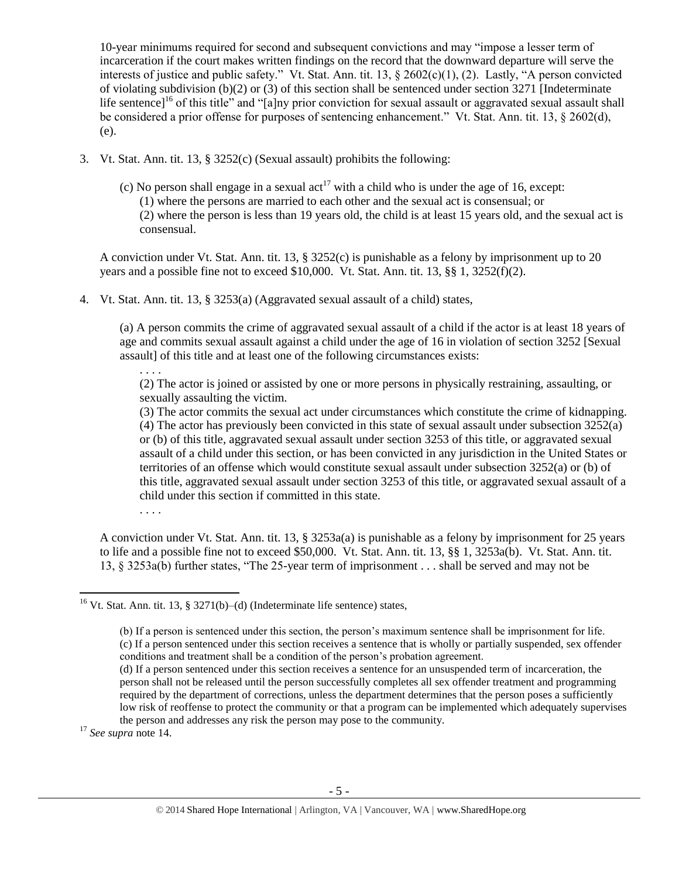10-year minimums required for second and subsequent convictions and may "impose a lesser term of incarceration if the court makes written findings on the record that the downward departure will serve the interests of justice and public safety." Vt. Stat. Ann. tit. 13, § 2602(c)(1), (2). Lastly, "A person convicted of violating subdivision (b)(2) or (3) of this section shall be sentenced under section 3271 [Indeterminate life sentence]<sup>16</sup> of this title" and "[a]ny prior conviction for sexual assault or aggravated sexual assault shall be considered a prior offense for purposes of sentencing enhancement." Vt. Stat. Ann. tit. 13, § 2602(d), (e).

- 3. Vt. Stat. Ann. tit. 13, § 3252(c) (Sexual assault) prohibits the following:
	- (c) No person shall engage in a sexual act<sup>17</sup> with a child who is under the age of 16, except: (1) where the persons are married to each other and the sexual act is consensual; or (2) where the person is less than 19 years old, the child is at least 15 years old, and the sexual act is consensual.

A conviction under Vt. Stat. Ann. tit. 13, § 3252(c) is punishable as a felony by imprisonment up to 20 years and a possible fine not to exceed  $$10,000$ . Vt. Stat. Ann. tit. 13,  $§$ § 1, 3252(f)(2).

4. Vt. Stat. Ann. tit. 13, § 3253(a) (Aggravated sexual assault of a child) states,

(a) A person commits the crime of aggravated sexual assault of a child if the actor is at least 18 years of age and commits sexual assault against a child under the age of 16 in violation of section 3252 [Sexual assault] of this title and at least one of the following circumstances exists:

(2) The actor is joined or assisted by one or more persons in physically restraining, assaulting, or sexually assaulting the victim.

(3) The actor commits the sexual act under circumstances which constitute the crime of kidnapping. (4) The actor has previously been convicted in this state of sexual assault under subsection 3252(a) or (b) of this title, aggravated sexual assault under section 3253 of this title, or aggravated sexual assault of a child under this section, or has been convicted in any jurisdiction in the United States or territories of an offense which would constitute sexual assault under subsection 3252(a) or (b) of this title, aggravated sexual assault under section 3253 of this title, or aggravated sexual assault of a child under this section if committed in this state.

. . . .

. . . .

A conviction under Vt. Stat. Ann. tit. 13, § 3253a(a) is punishable as a felony by imprisonment for 25 years to life and a possible fine not to exceed \$50,000. Vt. Stat. Ann. tit. 13, §§ 1, 3253a(b). Vt. Stat. Ann. tit. 13, § 3253a(b) further states, "The 25-year term of imprisonment . . . shall be served and may not be

<sup>17</sup> *See supra* note [14.](#page-3-0) 

 $\overline{a}$ 

<sup>&</sup>lt;sup>16</sup> Vt. Stat. Ann. tit. 13, § 3271(b)–(d) (Indeterminate life sentence) states,

<sup>(</sup>b) If a person is sentenced under this section, the person's maximum sentence shall be imprisonment for life. (c) If a person sentenced under this section receives a sentence that is wholly or partially suspended, sex offender conditions and treatment shall be a condition of the person's probation agreement.

<sup>(</sup>d) If a person sentenced under this section receives a sentence for an unsuspended term of incarceration, the person shall not be released until the person successfully completes all sex offender treatment and programming required by the department of corrections, unless the department determines that the person poses a sufficiently low risk of reoffense to protect the community or that a program can be implemented which adequately supervises the person and addresses any risk the person may pose to the community.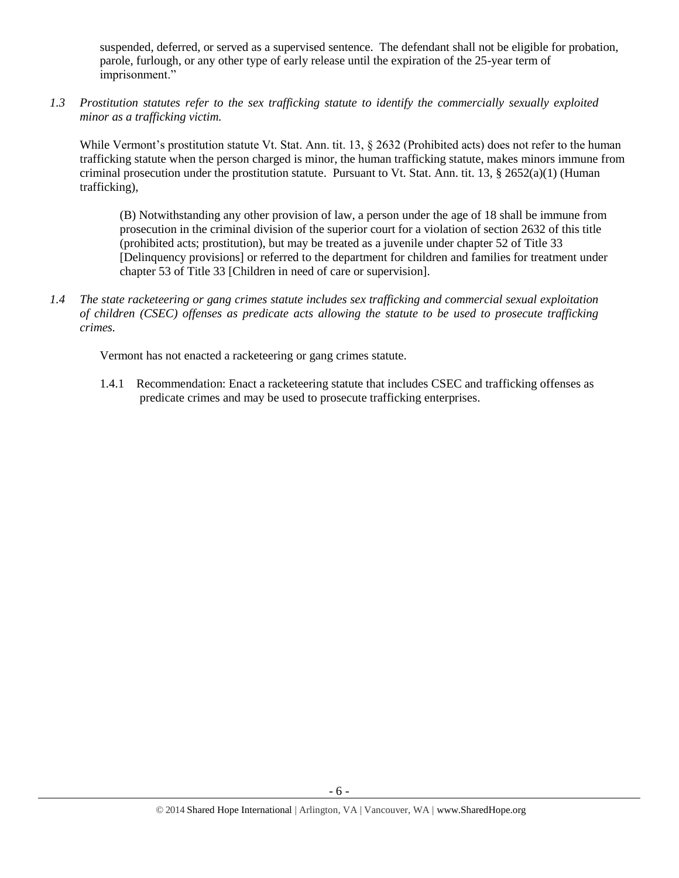suspended, deferred, or served as a supervised sentence. The defendant shall not be eligible for probation, parole, furlough, or any other type of early release until the expiration of the 25-year term of imprisonment."

*1.3 Prostitution statutes refer to the sex trafficking statute to identify the commercially sexually exploited minor as a trafficking victim.* 

While Vermont's prostitution statute Vt. Stat. Ann. tit. 13, § 2632 (Prohibited acts) does not refer to the human trafficking statute when the person charged is minor, the human trafficking statute, makes minors immune from criminal prosecution under the prostitution statute. Pursuant to Vt. Stat. Ann. tit. 13,  $\S 2652(a)(1)$  (Human trafficking),

(B) Notwithstanding any other provision of law, a person under the age of 18 shall be immune from prosecution in the criminal division of the superior court for a violation of section 2632 of this title (prohibited acts; prostitution), but may be treated as a juvenile under chapter 52 of Title 33 [Delinquency provisions] or referred to the department for children and families for treatment under chapter 53 of Title 33 [Children in need of care or supervision].

*1.4 The state racketeering or gang crimes statute includes sex trafficking and commercial sexual exploitation of children (CSEC) offenses as predicate acts allowing the statute to be used to prosecute trafficking crimes.* 

Vermont has not enacted a racketeering or gang crimes statute.

1.4.1 Recommendation: Enact a racketeering statute that includes CSEC and trafficking offenses as predicate crimes and may be used to prosecute trafficking enterprises.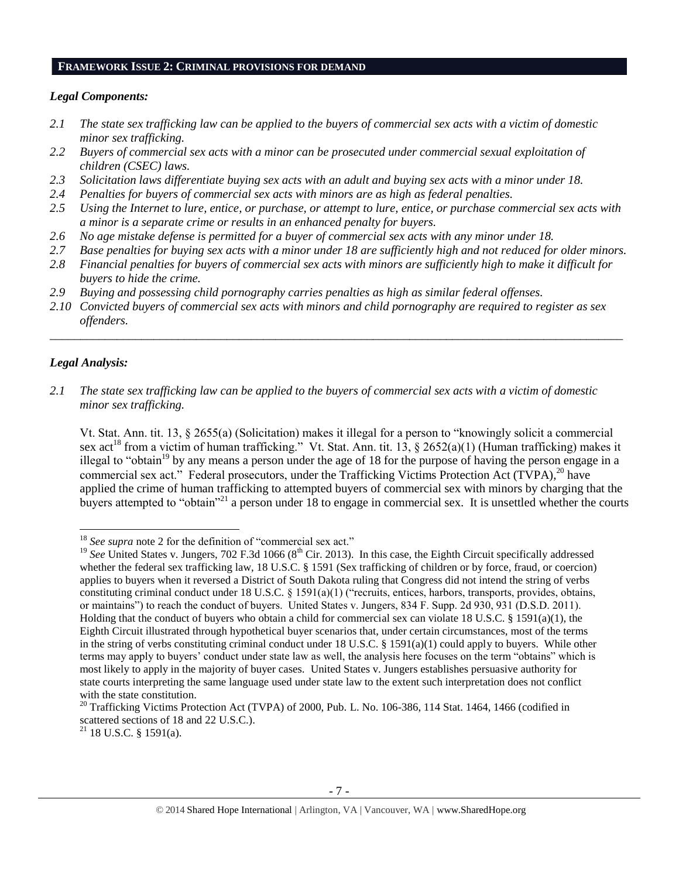#### **FRAMEWORK ISSUE 2: CRIMINAL PROVISIONS FOR DEMAND**

#### *Legal Components:*

- *2.1 The state sex trafficking law can be applied to the buyers of commercial sex acts with a victim of domestic minor sex trafficking.*
- *2.2 Buyers of commercial sex acts with a minor can be prosecuted under commercial sexual exploitation of children (CSEC) laws.*
- *2.3 Solicitation laws differentiate buying sex acts with an adult and buying sex acts with a minor under 18.*
- *2.4 Penalties for buyers of commercial sex acts with minors are as high as federal penalties.*
- *2.5 Using the Internet to lure, entice, or purchase, or attempt to lure, entice, or purchase commercial sex acts with a minor is a separate crime or results in an enhanced penalty for buyers.*
- *2.6 No age mistake defense is permitted for a buyer of commercial sex acts with any minor under 18.*
- *2.7 Base penalties for buying sex acts with a minor under 18 are sufficiently high and not reduced for older minors.*
- *2.8 Financial penalties for buyers of commercial sex acts with minors are sufficiently high to make it difficult for buyers to hide the crime.*
- *2.9 Buying and possessing child pornography carries penalties as high as similar federal offenses.*
- *2.10 Convicted buyers of commercial sex acts with minors and child pornography are required to register as sex offenders.*

\_\_\_\_\_\_\_\_\_\_\_\_\_\_\_\_\_\_\_\_\_\_\_\_\_\_\_\_\_\_\_\_\_\_\_\_\_\_\_\_\_\_\_\_\_\_\_\_\_\_\_\_\_\_\_\_\_\_\_\_\_\_\_\_\_\_\_\_\_\_\_\_\_\_\_\_\_\_\_\_\_\_\_\_\_\_\_\_\_\_\_\_\_\_

#### *Legal Analysis:*

<span id="page-6-0"></span> $\overline{\phantom{a}}$ 

*2.1 The state sex trafficking law can be applied to the buyers of commercial sex acts with a victim of domestic minor sex trafficking.*

Vt. Stat. Ann. tit. 13, § 2655(a) (Solicitation) makes it illegal for a person to "knowingly solicit a commercial sex act<sup>18</sup> from a victim of human trafficking." Vt. Stat. Ann. tit. 13, § 2652(a)(1) (Human trafficking) makes it illegal to "obtain<sup>19</sup> by any means a person under the age of 18 for the purpose of having the person engage in a commercial sex act." Federal prosecutors, under the Trafficking Victims Protection Act (TVPA), $^{20}$  have applied the crime of human trafficking to attempted buyers of commercial sex with minors by charging that the buyers attempted to "obtain"<sup>21</sup> a person under 18 to engage in commercial sex. It is unsettled whether the courts

 $21$  18 U.S.C. § 1591(a).

<sup>&</sup>lt;sup>18</sup> See supra note [2](#page-0-0) for the definition of "commercial sex act."

<sup>&</sup>lt;sup>19</sup> See United States v. Jungers, 702 F.3d 1066 ( $8<sup>th</sup>$  Cir. 2013). In this case, the Eighth Circuit specifically addressed whether the federal sex trafficking law, 18 U.S.C. § 1591 (Sex trafficking of children or by force, fraud, or coercion) applies to buyers when it reversed a District of South Dakota ruling that Congress did not intend the string of verbs constituting criminal conduct under 18 U.S.C. § 1591(a)(1) ("recruits, entices, harbors, transports, provides, obtains, or maintains") to reach the conduct of buyers. United States v. Jungers, 834 F. Supp. 2d 930, 931 (D.S.D. 2011). Holding that the conduct of buyers who obtain a child for commercial sex can violate 18 U.S.C. § 1591(a)(1), the Eighth Circuit illustrated through hypothetical buyer scenarios that, under certain circumstances, most of the terms in the string of verbs constituting criminal conduct under 18 U.S.C. § 1591(a)(1) could apply to buyers. While other terms may apply to buyers' conduct under state law as well, the analysis here focuses on the term "obtains" which is most likely to apply in the majority of buyer cases. United States v. Jungers establishes persuasive authority for state courts interpreting the same language used under state law to the extent such interpretation does not conflict with the state constitution.

<sup>&</sup>lt;sup>20</sup> Trafficking Victims Protection Act (TVPA) of 2000, Pub. L. No. 106-386, 114 Stat. 1464, 1466 (codified in scattered sections of 18 and 22 U.S.C.).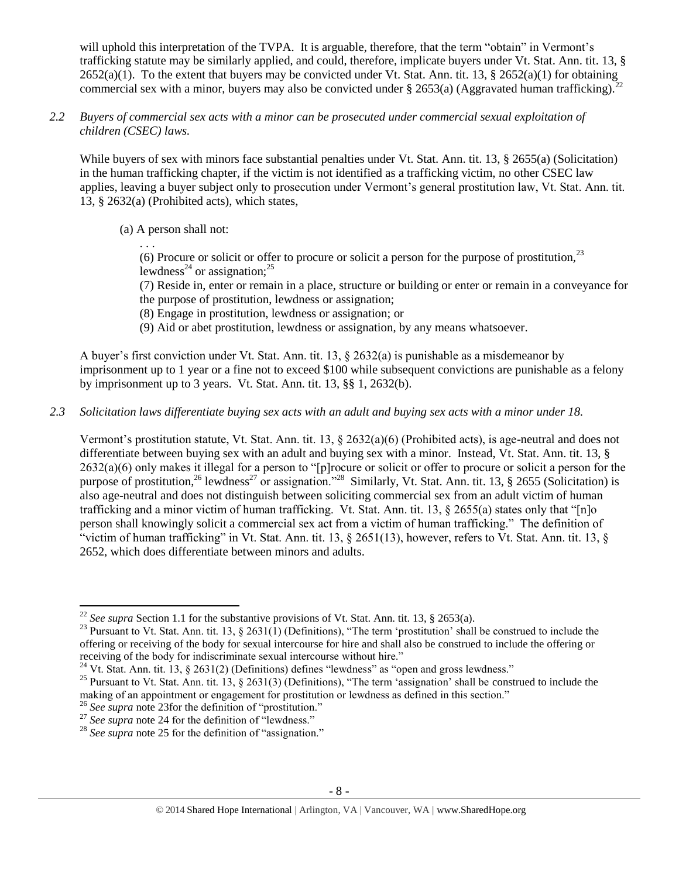will uphold this interpretation of the TVPA. It is arguable, therefore, that the term "obtain" in Vermont's trafficking statute may be similarly applied, and could, therefore, implicate buyers under Vt. Stat. Ann. tit. 13, §  $2652(a)(1)$ . To the extent that buyers may be convicted under Vt. Stat. Ann. tit. 13, §  $2652(a)(1)$  for obtaining commercial sex with a minor, buyers may also be convicted under § 2653(a) (Aggravated human trafficking).

*2.2 Buyers of commercial sex acts with a minor can be prosecuted under commercial sexual exploitation of children (CSEC) laws.*

While buyers of sex with minors face substantial penalties under Vt. Stat. Ann. tit. 13, § 2655(a) (Solicitation) in the human trafficking chapter, if the victim is not identified as a trafficking victim, no other CSEC law applies, leaving a buyer subject only to prosecution under Vermont's general prostitution law, Vt. Stat. Ann. tit. 13, § 2632(a) (Prohibited acts), which states,

(a) A person shall not:

<span id="page-7-0"></span>. . . (6) Procure or solicit or offer to procure or solicit a person for the purpose of prostitution,  $2<sup>3</sup>$ lewdness<sup>24</sup> or assignation:<sup>25</sup>

<span id="page-7-2"></span><span id="page-7-1"></span>(7) Reside in, enter or remain in a place, structure or building or enter or remain in a conveyance for the purpose of prostitution, lewdness or assignation;

- (8) Engage in prostitution, lewdness or assignation; or
- (9) Aid or abet prostitution, lewdness or assignation, by any means whatsoever.

A buyer's first conviction under Vt. Stat. Ann. tit. 13, § 2632(a) is punishable as a misdemeanor by imprisonment up to 1 year or a fine not to exceed \$100 while subsequent convictions are punishable as a felony by imprisonment up to 3 years. Vt. Stat. Ann. tit. 13, §§ 1, 2632(b).

*2.3 Solicitation laws differentiate buying sex acts with an adult and buying sex acts with a minor under 18.*

Vermont's prostitution statute, Vt. Stat. Ann. tit. 13, § 2632(a)(6) (Prohibited acts), is age-neutral and does not differentiate between buying sex with an adult and buying sex with a minor. Instead, Vt. Stat. Ann. tit. 13, § 2632(a)(6) only makes it illegal for a person to "[p]rocure or solicit or offer to procure or solicit a person for the purpose of prostitution,<sup>26</sup> lewdness<sup>27</sup> or assignation."<sup>28</sup> Similarly, Vt. Stat. Ann. tit. 13, § 2655 (Solicitation) is also age-neutral and does not distinguish between soliciting commercial sex from an adult victim of human trafficking and a minor victim of human trafficking. Vt. Stat. Ann. tit. 13, § 2655(a) states only that "[n]o person shall knowingly solicit a commercial sex act from a victim of human trafficking." The definition of "victim of human trafficking" in Vt. Stat. Ann. tit. 13, § 2651(13), however, refers to Vt. Stat. Ann. tit. 13, § 2652, which does differentiate between minors and adults.

<sup>&</sup>lt;sup>22</sup> *See supra* Section 1.1 for the substantive provisions of Vt. Stat. Ann. tit. 13, § 2653(a).

<sup>&</sup>lt;sup>23</sup> Pursuant to Vt. Stat. Ann. tit. 13, § 2631(1) (Definitions), "The term 'prostitution' shall be construed to include the offering or receiving of the body for sexual intercourse for hire and shall also be construed to include the offering or receiving of the body for indiscriminate sexual intercourse without hire."

<sup>&</sup>lt;sup>24</sup> Vt. Stat. Ann. tit. 13, § 2631(2) (Definitions) defines "lewdness" as "open and gross lewdness."

<sup>&</sup>lt;sup>25</sup> Pursuant to Vt. Stat. Ann. tit. 13,  $\S$  2631(3) (Definitions), "The term 'assignation' shall be construed to include the making of an appointment or engagement for prostitution or lewdness as defined in this section."

<sup>&</sup>lt;sup>26</sup> See supra note [23f](#page-7-0)or the definition of "prostitution."

<sup>&</sup>lt;sup>27</sup> See supra note [24](#page-7-1) for the definition of "lewdness."

<sup>&</sup>lt;sup>28</sup> See supra note [25](#page-7-2) for the definition of "assignation."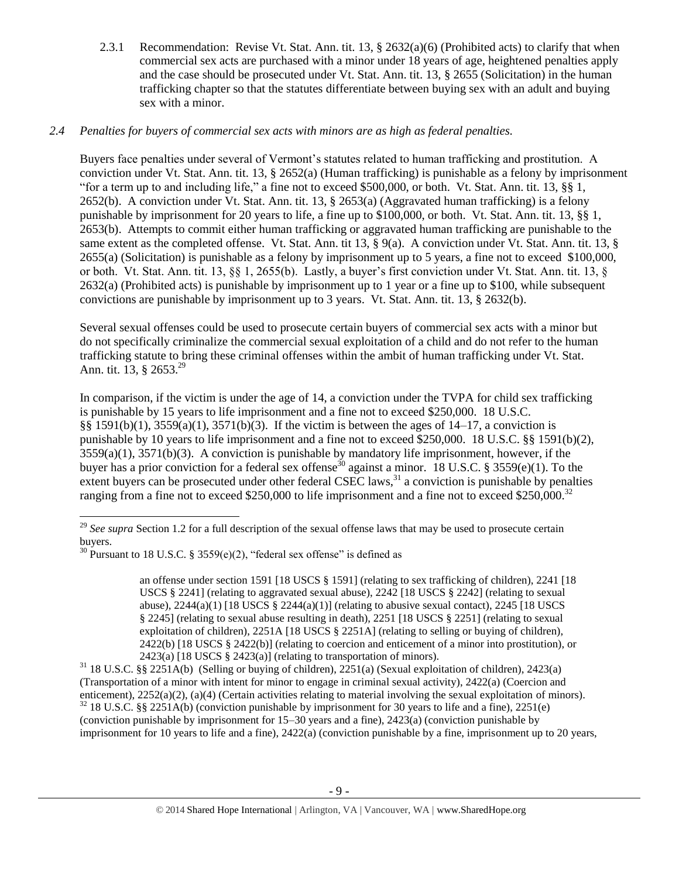2.3.1 Recommendation: Revise Vt. Stat. Ann. tit. 13, § 2632(a)(6) (Prohibited acts) to clarify that when commercial sex acts are purchased with a minor under 18 years of age, heightened penalties apply and the case should be prosecuted under Vt. Stat. Ann. tit. 13, § 2655 (Solicitation) in the human trafficking chapter so that the statutes differentiate between buying sex with an adult and buying sex with a minor.

# *2.4 Penalties for buyers of commercial sex acts with minors are as high as federal penalties.*

Buyers face penalties under several of Vermont's statutes related to human trafficking and prostitution. A conviction under Vt. Stat. Ann. tit. 13, § 2652(a) (Human trafficking) is punishable as a felony by imprisonment "for a term up to and including life," a fine not to exceed \$500,000, or both. Vt. Stat. Ann. tit. 13, §§ 1, 2652(b). A conviction under Vt. Stat. Ann. tit. 13, § 2653(a) (Aggravated human trafficking) is a felony punishable by imprisonment for 20 years to life, a fine up to \$100,000, or both. Vt. Stat. Ann. tit. 13, §§ 1, 2653(b). Attempts to commit either human trafficking or aggravated human trafficking are punishable to the same extent as the completed offense. Vt. Stat. Ann. tit 13, § 9(a). A conviction under Vt. Stat. Ann. tit. 13, § 2655(a) (Solicitation) is punishable as a felony by imprisonment up to 5 years, a fine not to exceed \$100,000, or both. Vt. Stat. Ann. tit. 13, §§ 1, 2655(b). Lastly, a buyer's first conviction under Vt. Stat. Ann. tit. 13, § 2632(a) (Prohibited acts) is punishable by imprisonment up to 1 year or a fine up to \$100, while subsequent convictions are punishable by imprisonment up to 3 years. Vt. Stat. Ann. tit. 13, § 2632(b).

Several sexual offenses could be used to prosecute certain buyers of commercial sex acts with a minor but do not specifically criminalize the commercial sexual exploitation of a child and do not refer to the human trafficking statute to bring these criminal offenses within the ambit of human trafficking under Vt. Stat. Ann. tit. 13, § 2653.<sup>29</sup>

In comparison, if the victim is under the age of 14, a conviction under the TVPA for child sex trafficking is punishable by 15 years to life imprisonment and a fine not to exceed \$250,000. 18 U.S.C. §§ 1591(b)(1), 3559(a)(1), 3571(b)(3). If the victim is between the ages of 14–17, a conviction is punishable by 10 years to life imprisonment and a fine not to exceed \$250,000. 18 U.S.C. §§ 1591(b)(2),  $3559(a)(1)$ ,  $3571(b)(3)$ . A conviction is punishable by mandatory life imprisonment, however, if the buyer has a prior conviction for a federal sex offense<sup>30</sup> against a minor. 18 U.S.C. § 3559(e)(1). To the extent buyers can be prosecuted under other federal CSEC laws, $31$  a conviction is punishable by penalties ranging from a fine not to exceed \$250,000 to life imprisonment and a fine not to exceed \$250,000.<sup>32</sup>

 $\overline{a}$ 

<span id="page-8-0"></span>an offense under section 1591 [18 USCS § 1591] (relating to sex trafficking of children), 2241 [18 USCS § 2241] (relating to aggravated sexual abuse), 2242 [18 USCS § 2242] (relating to sexual abuse),  $2244(a)(1)$  [18 USCS §  $2244(a)(1)$ ] (relating to abusive sexual contact),  $2245$  [18 USCS § 2245] (relating to sexual abuse resulting in death), 2251 [18 USCS § 2251] (relating to sexual exploitation of children), 2251A [18 USCS § 2251A] (relating to selling or buying of children), 2422(b) [18 USCS § 2422(b)] (relating to coercion and enticement of a minor into prostitution), or  $2423(a)$  [18 USCS § 2423(a)] (relating to transportation of minors).

<sup>&</sup>lt;sup>29</sup> See supra Section 1.2 for a full description of the sexual offense laws that may be used to prosecute certain buyers.

<sup>&</sup>lt;sup>30</sup> Pursuant to 18 U.S.C. § 3559(e)(2), "federal sex offense" is defined as

<sup>31</sup> 18 U.S.C. §§ 2251A(b) (Selling or buying of children), 2251(a) (Sexual exploitation of children), 2423(a) (Transportation of a minor with intent for minor to engage in criminal sexual activity), 2422(a) (Coercion and enticement), 2252(a)(2), (a)(4) (Certain activities relating to material involving the sexual exploitation of minors).  $32$  18 U.S.C. §§ 2251A(b) (conviction punishable by imprisonment for 30 years to life and a fine), 2251(e) (conviction punishable by imprisonment for 15–30 years and a fine), 2423(a) (conviction punishable by imprisonment for 10 years to life and a fine), 2422(a) (conviction punishable by a fine, imprisonment up to 20 years,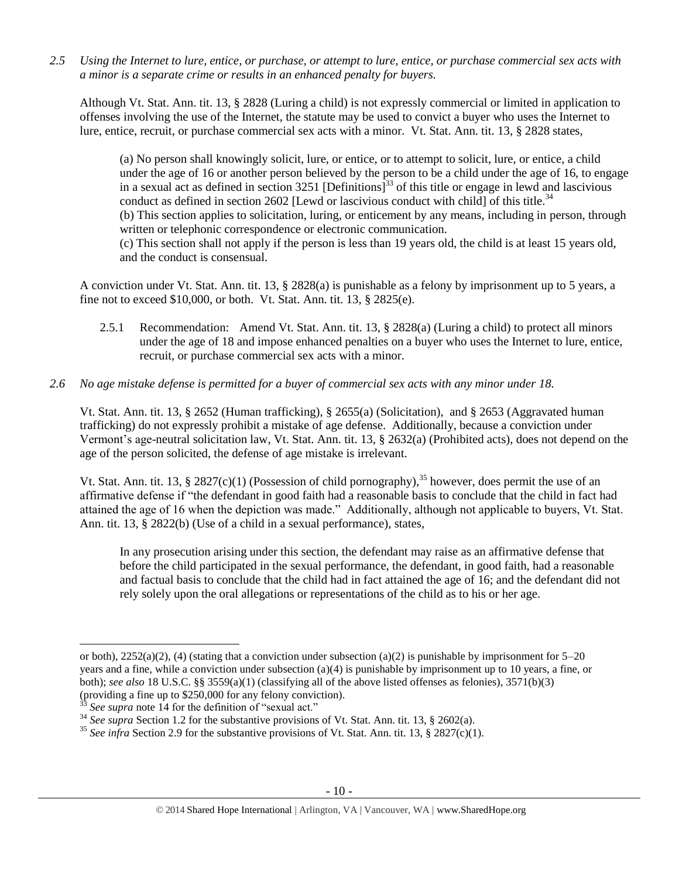*2.5 Using the Internet to lure, entice, or purchase, or attempt to lure, entice, or purchase commercial sex acts with a minor is a separate crime or results in an enhanced penalty for buyers.*

Although Vt. Stat. Ann. tit. 13, § 2828 (Luring a child) is not expressly commercial or limited in application to offenses involving the use of the Internet, the statute may be used to convict a buyer who uses the Internet to lure, entice, recruit, or purchase commercial sex acts with a minor. Vt. Stat. Ann. tit. 13, § 2828 states,

(a) No person shall knowingly solicit, lure, or entice, or to attempt to solicit, lure, or entice, a child under the age of 16 or another person believed by the person to be a child under the age of 16, to engage in a sexual act as defined in section 3251 [Definitions]<sup>33</sup> of this title or engage in lewd and lascivious conduct as defined in section 2602 [Lewd or lascivious conduct with child] of this title.<sup>34</sup> (b) This section applies to solicitation, luring, or enticement by any means, including in person, through written or telephonic correspondence or electronic communication. (c) This section shall not apply if the person is less than 19 years old, the child is at least 15 years old, and the conduct is consensual.

A conviction under Vt. Stat. Ann. tit. 13, § 2828(a) is punishable as a felony by imprisonment up to 5 years, a fine not to exceed \$10,000, or both. Vt. Stat. Ann. tit. 13, § 2825(e).

- 2.5.1 Recommendation: Amend Vt. Stat. Ann. tit. 13, § 2828(a) (Luring a child) to protect all minors under the age of 18 and impose enhanced penalties on a buyer who uses the Internet to lure, entice, recruit, or purchase commercial sex acts with a minor.
- *2.6 No age mistake defense is permitted for a buyer of commercial sex acts with any minor under 18.*

Vt. Stat. Ann. tit. 13, § 2652 (Human trafficking), § 2655(a) (Solicitation), and § 2653 (Aggravated human trafficking) do not expressly prohibit a mistake of age defense. Additionally, because a conviction under Vermont's age-neutral solicitation law, Vt. Stat. Ann. tit. 13, § 2632(a) (Prohibited acts), does not depend on the age of the person solicited, the defense of age mistake is irrelevant.

Vt. Stat. Ann. tit. 13, § 2827(c)(1) (Possession of child pornography),<sup>35</sup> however, does permit the use of an affirmative defense if "the defendant in good faith had a reasonable basis to conclude that the child in fact had attained the age of 16 when the depiction was made." Additionally, although not applicable to buyers, Vt. Stat. Ann. tit. 13, § 2822(b) (Use of a child in a sexual performance), states,

In any prosecution arising under this section, the defendant may raise as an affirmative defense that before the child participated in the sexual performance, the defendant, in good faith, had a reasonable and factual basis to conclude that the child had in fact attained the age of 16; and the defendant did not rely solely upon the oral allegations or representations of the child as to his or her age.

 $\overline{a}$ 

or both),  $2252(a)(2)$ , (4) (stating that a conviction under subsection (a)(2) is punishable by imprisonment for  $5-20$ years and a fine, while a conviction under subsection (a)(4) is punishable by imprisonment up to 10 years, a fine, or both); *see also* 18 U.S.C. §§ 3559(a)(1) (classifying all of the above listed offenses as felonies), 3571(b)(3) (providing a fine up to \$250,000 for any felony conviction).

See supra note [14](#page-3-0) for the definition of "sexual act."

<sup>&</sup>lt;sup>34</sup> *See supra* Section 1.2 for the substantive provisions of Vt. Stat. Ann. tit. 13, § 2602(a).

<sup>&</sup>lt;sup>35</sup> See infra Section 2.9 for the substantive provisions of Vt. Stat. Ann. tit. 13, § 2827(c)(1).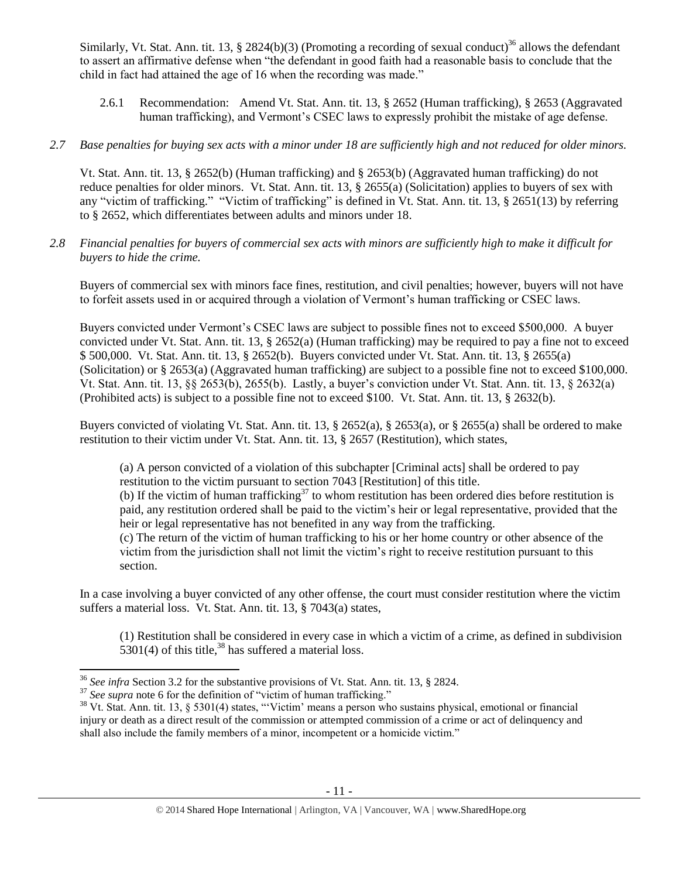Similarly, Vt. Stat. Ann. tit. 13, § 2824(b)(3) (Promoting a recording of sexual conduct)<sup>36</sup> allows the defendant to assert an affirmative defense when "the defendant in good faith had a reasonable basis to conclude that the child in fact had attained the age of 16 when the recording was made."

- 2.6.1 Recommendation: Amend Vt. Stat. Ann. tit. 13, § 2652 (Human trafficking), § 2653 (Aggravated human trafficking), and Vermont's CSEC laws to expressly prohibit the mistake of age defense.
- *2.7 Base penalties for buying sex acts with a minor under 18 are sufficiently high and not reduced for older minors.*

Vt. Stat. Ann. tit. 13, § 2652(b) (Human trafficking) and § 2653(b) (Aggravated human trafficking) do not reduce penalties for older minors. Vt. Stat. Ann. tit. 13, § 2655(a) (Solicitation) applies to buyers of sex with any "victim of trafficking." "Victim of trafficking" is defined in Vt. Stat. Ann. tit. 13, § 2651(13) by referring to § 2652, which differentiates between adults and minors under 18.

*2.8 Financial penalties for buyers of commercial sex acts with minors are sufficiently high to make it difficult for buyers to hide the crime.* 

Buyers of commercial sex with minors face fines, restitution, and civil penalties; however, buyers will not have to forfeit assets used in or acquired through a violation of Vermont's human trafficking or CSEC laws.

Buyers convicted under Vermont's CSEC laws are subject to possible fines not to exceed \$500,000. A buyer convicted under Vt. Stat. Ann. tit. 13, § 2652(a) (Human trafficking) may be required to pay a fine not to exceed \$ 500,000. Vt. Stat. Ann. tit. 13, § 2652(b). Buyers convicted under Vt. Stat. Ann. tit. 13, § 2655(a) (Solicitation) or § 2653(a) (Aggravated human trafficking) are subject to a possible fine not to exceed \$100,000. Vt. Stat. Ann. tit. 13, §§ 2653(b), 2655(b). Lastly, a buyer's conviction under Vt. Stat. Ann. tit. 13, § 2632(a) (Prohibited acts) is subject to a possible fine not to exceed \$100. Vt. Stat. Ann. tit. 13, § 2632(b).

Buyers convicted of violating Vt. Stat. Ann. tit. 13, § 2652(a), § 2653(a), or § 2655(a) shall be ordered to make restitution to their victim under Vt. Stat. Ann. tit. 13, § 2657 (Restitution), which states,

(a) A person convicted of a violation of this subchapter [Criminal acts] shall be ordered to pay restitution to the victim pursuant to section 7043 [Restitution] of this title.

(b) If the victim of human trafficking<sup>37</sup> to whom restitution has been ordered dies before restitution is paid, any restitution ordered shall be paid to the victim's heir or legal representative, provided that the heir or legal representative has not benefited in any way from the trafficking.

(c) The return of the victim of human trafficking to his or her home country or other absence of the victim from the jurisdiction shall not limit the victim's right to receive restitution pursuant to this section.

In a case involving a buyer convicted of any other offense, the court must consider restitution where the victim suffers a material loss. Vt. Stat. Ann. tit. 13, § 7043(a) states,

<span id="page-10-0"></span>(1) Restitution shall be considered in every case in which a victim of a crime, as defined in subdivision  $5301(4)$  of this title,<sup>38</sup> has suffered a material loss.

 $\overline{a}$ <sup>36</sup> *See infra* Section 3.2 for the substantive provisions of Vt. Stat. Ann. tit. 13, § 2824.

<sup>&</sup>lt;sup>37</sup> See supra note [6](#page-1-0) for the definition of "victim of human trafficking."

<sup>&</sup>lt;sup>38</sup> Vt. Stat. Ann. tit. 13, § 5301(4) states, "'Victim' means a person who sustains physical, emotional or financial injury or death as a direct result of the commission or attempted commission of a crime or act of delinquency and shall also include the family members of a minor, incompetent or a homicide victim."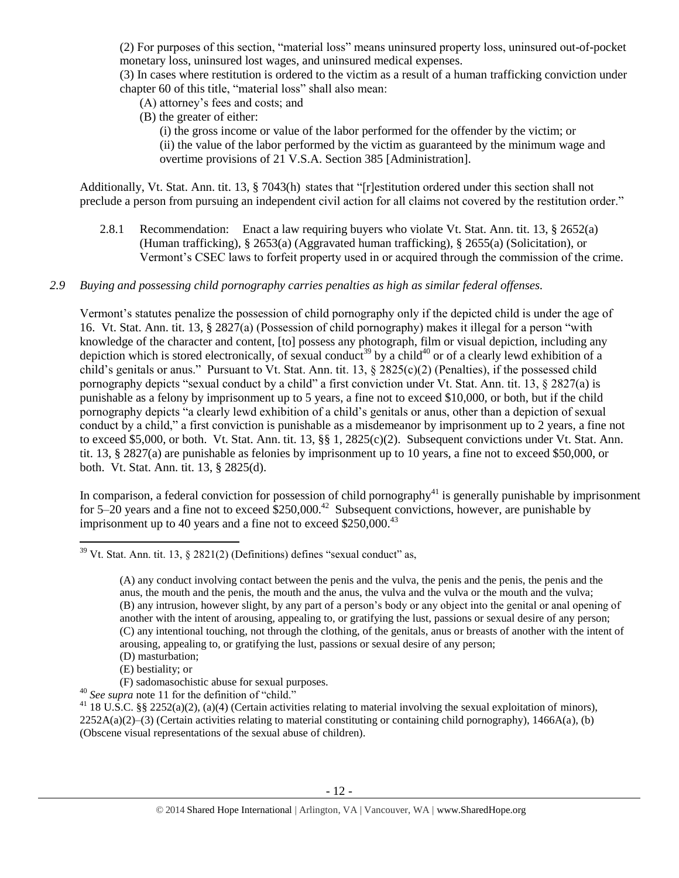(2) For purposes of this section, "material loss" means uninsured property loss, uninsured out-of-pocket monetary loss, uninsured lost wages, and uninsured medical expenses.

(3) In cases where restitution is ordered to the victim as a result of a human trafficking conviction under chapter 60 of this title, "material loss" shall also mean:

(A) attorney's fees and costs; and

(B) the greater of either:

(i) the gross income or value of the labor performed for the offender by the victim; or (ii) the value of the labor performed by the victim as guaranteed by the minimum wage and overtime provisions of 21 V.S.A. Section 385 [Administration].

Additionally, Vt. Stat. Ann. tit. 13, § 7043(h) states that "[r]estitution ordered under this section shall not preclude a person from pursuing an independent civil action for all claims not covered by the restitution order."

- 2.8.1 Recommendation: Enact a law requiring buyers who violate Vt. Stat. Ann. tit. 13, § 2652(a) (Human trafficking), § 2653(a) (Aggravated human trafficking), § 2655(a) (Solicitation), or Vermont's CSEC laws to forfeit property used in or acquired through the commission of the crime.
- *2.9 Buying and possessing child pornography carries penalties as high as similar federal offenses.*

<span id="page-11-0"></span>Vermont's statutes penalize the possession of child pornography only if the depicted child is under the age of 16. Vt. Stat. Ann. tit. 13, § 2827(a) (Possession of child pornography) makes it illegal for a person "with knowledge of the character and content, [to] possess any photograph, film or visual depiction, including any depiction which is stored electronically, of sexual conduct<sup>39</sup> by a child<sup>40</sup> or of a clearly lewd exhibition of a child's genitals or anus." Pursuant to Vt. Stat. Ann. tit. 13, § 2825(c)(2) (Penalties), if the possessed child pornography depicts "sexual conduct by a child" a first conviction under Vt. Stat. Ann. tit. 13, § 2827(a) is punishable as a felony by imprisonment up to 5 years, a fine not to exceed \$10,000, or both, but if the child pornography depicts "a clearly lewd exhibition of a child's genitals or anus, other than a depiction of sexual conduct by a child," a first conviction is punishable as a misdemeanor by imprisonment up to 2 years, a fine not to exceed \$5,000, or both. Vt. Stat. Ann. tit. 13, §§ 1, 2825(c)(2). Subsequent convictions under Vt. Stat. Ann. tit. 13, § 2827(a) are punishable as felonies by imprisonment up to 10 years, a fine not to exceed \$50,000, or both. Vt. Stat. Ann. tit. 13, § 2825(d).

In comparison, a federal conviction for possession of child pornography<sup>41</sup> is generally punishable by imprisonment for 5–20 years and a fine not to exceed  $$250,000.<sup>42</sup>$  Subsequent convictions, however, are punishable by imprisonment up to 40 years and a fine not to exceed  $$250,000.<sup>43</sup>$ 

- (F) sadomasochistic abuse for sexual purposes.
- <sup>40</sup> *See supra* note [11](#page-2-0) for the definition of "child."

 $\overline{\phantom{a}}$  $39$  Vt. Stat. Ann. tit. 13,  $\frac{2821(2)}{D}$  (Definitions) defines "sexual conduct" as,

<sup>(</sup>A) any conduct involving contact between the penis and the vulva, the penis and the penis, the penis and the anus, the mouth and the penis, the mouth and the anus, the vulva and the vulva or the mouth and the vulva; (B) any intrusion, however slight, by any part of a person's body or any object into the genital or anal opening of another with the intent of arousing, appealing to, or gratifying the lust, passions or sexual desire of any person; (C) any intentional touching, not through the clothing, of the genitals, anus or breasts of another with the intent of arousing, appealing to, or gratifying the lust, passions or sexual desire of any person; (D) masturbation;

<sup>(</sup>E) bestiality; or

<sup>&</sup>lt;sup>41</sup> 18 U.S.C. §§ 2252(a)(2), (a)(4) (Certain activities relating to material involving the sexual exploitation of minors),  $2252A(a)(2)$ –(3) (Certain activities relating to material constituting or containing child pornography), 1466A(a), (b) (Obscene visual representations of the sexual abuse of children).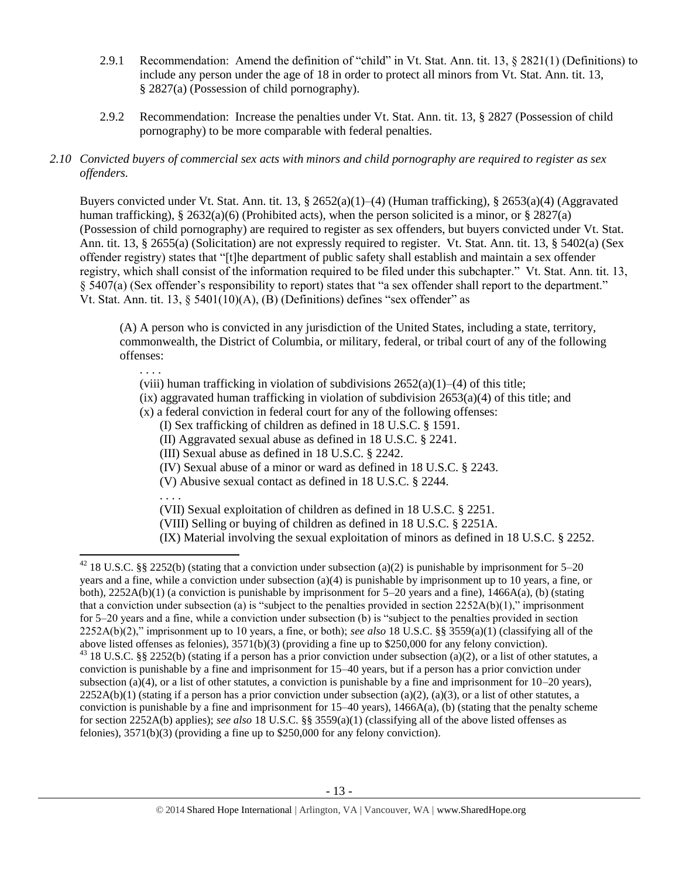- 2.9.1 Recommendation: Amend the definition of "child" in Vt. Stat. Ann. tit. 13, § 2821(1) (Definitions) to include any person under the age of 18 in order to protect all minors from Vt. Stat. Ann. tit. 13, § 2827(a) (Possession of child pornography).
- 2.9.2 Recommendation: Increase the penalties under Vt. Stat. Ann. tit. 13, § 2827 (Possession of child pornography) to be more comparable with federal penalties.

# *2.10 Convicted buyers of commercial sex acts with minors and child pornography are required to register as sex offenders.*

Buyers convicted under Vt. Stat. Ann. tit. 13, § 2652(a)(1)–(4) (Human trafficking), § 2653(a)(4) (Aggravated human trafficking), § 2632(a)(6) (Prohibited acts), when the person solicited is a minor, or § 2827(a) (Possession of child pornography) are required to register as sex offenders, but buyers convicted under Vt. Stat. Ann. tit. 13, § 2655(a) (Solicitation) are not expressly required to register. Vt. Stat. Ann. tit. 13, § 5402(a) (Sex offender registry) states that "[t]he department of public safety shall establish and maintain a sex offender registry, which shall consist of the information required to be filed under this subchapter." Vt. Stat. Ann. tit. 13, § 5407(a) (Sex offender's responsibility to report) states that "a sex offender shall report to the department." Vt. Stat. Ann. tit.  $13, \S$  5401(10)(A), (B) (Definitions) defines "sex offender" as

(A) A person who is convicted in any jurisdiction of the United States, including a state, territory, commonwealth, the District of Columbia, or military, federal, or tribal court of any of the following offenses:

. . . .

(viii) human trafficking in violation of subdivisions  $2652(a)(1)–(4)$  of this title;

 $(ix)$  aggravated human trafficking in violation of subdivision  $2653(a)(4)$  of this title; and

(x) a federal conviction in federal court for any of the following offenses:

(I) Sex trafficking of children as defined in 18 U.S.C. § 1591.

(II) Aggravated sexual abuse as defined in 18 U.S.C. § 2241.

(III) Sexual abuse as defined in 18 U.S.C. § 2242.

(IV) Sexual abuse of a minor or ward as defined in 18 U.S.C. § 2243.

(V) Abusive sexual contact as defined in 18 U.S.C. § 2244.

. . . .

l

(VII) Sexual exploitation of children as defined in 18 U.S.C. § 2251.

(VIII) Selling or buying of children as defined in 18 U.S.C. § 2251A.

(IX) Material involving the sexual exploitation of minors as defined in 18 U.S.C. § 2252.

<sup>&</sup>lt;sup>42</sup> 18 U.S.C. §§ 2252(b) (stating that a conviction under subsection (a)(2) is punishable by imprisonment for 5–20 years and a fine, while a conviction under subsection (a)(4) is punishable by imprisonment up to 10 years, a fine, or both),  $2252A(b)(1)$  (a conviction is punishable by imprisonment for 5–20 years and a fine),  $1466A(a)$ , (b) (stating that a conviction under subsection (a) is "subject to the penalties provided in section  $2252A(b)(1)$ ," imprisonment for 5–20 years and a fine, while a conviction under subsection (b) is "subject to the penalties provided in section 2252A(b)(2)," imprisonment up to 10 years, a fine, or both); *see also* 18 U.S.C. §§ 3559(a)(1) (classifying all of the above listed offenses as felonies), 3571(b)(3) (providing a fine up to \$250,000 for any felony conviction). <sup>43</sup> 18 U.S.C. §§ 2252(b) (stating if a person has a prior conviction under subsection (a)(2), or a list of other statutes, a conviction is punishable by a fine and imprisonment for 15–40 years, but if a person has a prior conviction under subsection (a)(4), or a list of other statutes, a conviction is punishable by a fine and imprisonment for  $10-20$  years),  $2252A(b)(1)$  (stating if a person has a prior conviction under subsection (a)(2), (a)(3), or a list of other statutes, a conviction is punishable by a fine and imprisonment for  $15-40$  years),  $1466A(a)$ , (b) (stating that the penalty scheme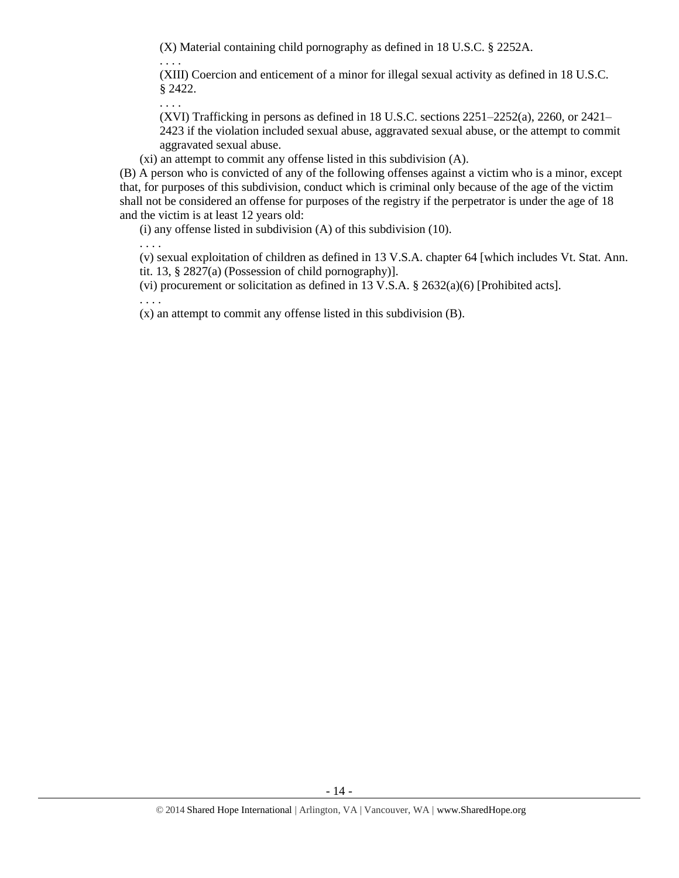(X) Material containing child pornography as defined in 18 U.S.C. § 2252A.

. . . .

(XIII) Coercion and enticement of a minor for illegal sexual activity as defined in 18 U.S.C. § 2422.

. . . .

(XVI) Trafficking in persons as defined in 18 U.S.C. sections 2251–2252(a), 2260, or 2421– 2423 if the violation included sexual abuse, aggravated sexual abuse, or the attempt to commit aggravated sexual abuse.

(xi) an attempt to commit any offense listed in this subdivision (A).

(B) A person who is convicted of any of the following offenses against a victim who is a minor, except that, for purposes of this subdivision, conduct which is criminal only because of the age of the victim shall not be considered an offense for purposes of the registry if the perpetrator is under the age of 18 and the victim is at least 12 years old:

(i) any offense listed in subdivision (A) of this subdivision (10).

. . . . (v) sexual exploitation of children as defined in 13 V.S.A. chapter 64 [which includes Vt. Stat. Ann.

tit. 13, § 2827(a) (Possession of child pornography)].

(vi) procurement or solicitation as defined in 13 V.S.A. § 2632(a)(6) [Prohibited acts].

. . . .

(x) an attempt to commit any offense listed in this subdivision (B).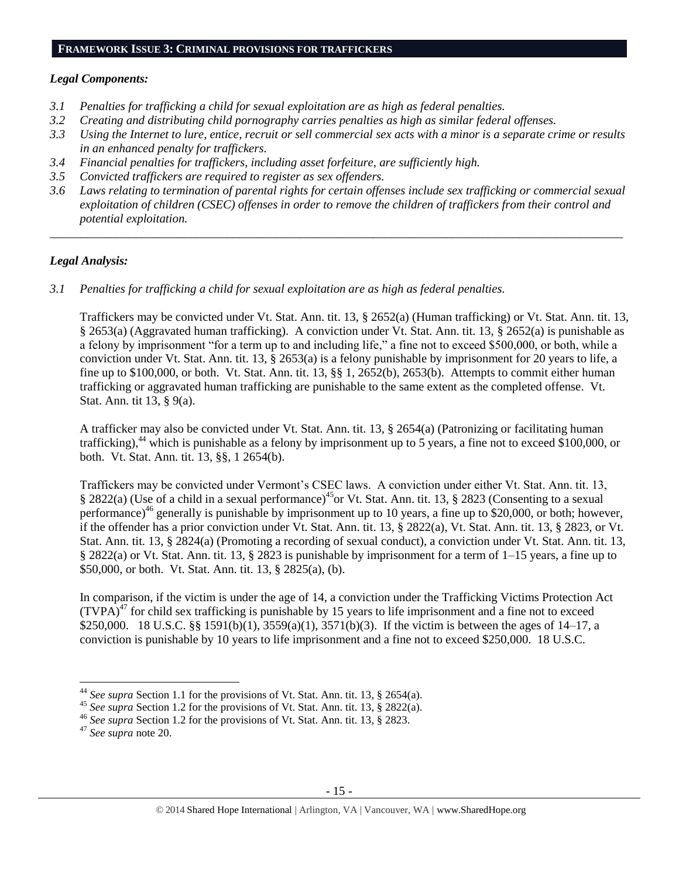# **FRAMEWORK ISSUE 3: CRIMINAL PROVISIONS FOR TRAFFICKERS**

#### *Legal Components:*

- *3.1 Penalties for trafficking a child for sexual exploitation are as high as federal penalties.*
- *3.2 Creating and distributing child pornography carries penalties as high as similar federal offenses.*
- *3.3 Using the Internet to lure, entice, recruit or sell commercial sex acts with a minor is a separate crime or results in an enhanced penalty for traffickers.*
- *3.4 Financial penalties for traffickers, including asset forfeiture, are sufficiently high.*
- *3.5 Convicted traffickers are required to register as sex offenders.*
- *3.6 Laws relating to termination of parental rights for certain offenses include sex trafficking or commercial sexual exploitation of children (CSEC) offenses in order to remove the children of traffickers from their control and potential exploitation.*

*\_\_\_\_\_\_\_\_\_\_\_\_\_\_\_\_\_\_\_\_\_\_\_\_\_\_\_\_\_\_\_\_\_\_\_\_\_\_\_\_\_\_\_\_\_\_\_\_\_\_\_\_\_\_\_\_\_\_\_\_\_\_\_\_\_\_\_\_\_\_\_\_\_\_\_\_\_\_\_\_\_\_\_\_\_\_\_\_\_\_\_\_\_\_*

#### *Legal Analysis:*

*3.1 Penalties for trafficking a child for sexual exploitation are as high as federal penalties.* 

Traffickers may be convicted under Vt. Stat. Ann. tit. 13, § 2652(a) (Human trafficking) or Vt. Stat. Ann. tit. 13, § 2653(a) (Aggravated human trafficking). A conviction under Vt. Stat. Ann. tit. 13, § 2652(a) is punishable as a felony by imprisonment "for a term up to and including life," a fine not to exceed \$500,000, or both, while a conviction under Vt. Stat. Ann. tit. 13, § 2653(a) is a felony punishable by imprisonment for 20 years to life, a fine up to \$100,000, or both. Vt. Stat. Ann. tit. 13, §§ 1, 2652(b), 2653(b). Attempts to commit either human trafficking or aggravated human trafficking are punishable to the same extent as the completed offense. Vt. Stat. Ann. tit 13, § 9(a).

A trafficker may also be convicted under Vt. Stat. Ann. tit. 13, § 2654(a) (Patronizing or facilitating human trafficking),<sup>44</sup> which is punishable as a felony by imprisonment up to 5 years, a fine not to exceed \$100,000, or both. Vt. Stat. Ann. tit. 13, §§, 1 2654(b).

Traffickers may be convicted under Vermont's CSEC laws. A conviction under either Vt. Stat. Ann. tit. 13, § 2822(a) (Use of a child in a sexual performance)<sup>45</sup>or Vt. Stat. Ann. tit. 13, § 2823 (Consenting to a sexual performance)<sup>46</sup> generally is punishable by imprisonment up to 10 years, a fine up to \$20,000, or both; however, if the offender has a prior conviction under Vt. Stat. Ann. tit. 13, § 2822(a), Vt. Stat. Ann. tit. 13, § 2823, or Vt. Stat. Ann. tit. 13, § 2824(a) (Promoting a recording of sexual conduct), a conviction under Vt. Stat. Ann. tit. 13, § 2822(a) or Vt. Stat. Ann. tit. 13, § 2823 is punishable by imprisonment for a term of 1–15 years, a fine up to \$50,000, or both. Vt. Stat. Ann. tit. 13, § 2825(a), (b).

In comparison, if the victim is under the age of 14, a conviction under the Trafficking Victims Protection Act  $(TVPA)^{47}$  for child sex trafficking is punishable by 15 years to life imprisonment and a fine not to exceed \$250,000. 18 U.S.C. §§ 1591(b)(1), 3559(a)(1), 3571(b)(3). If the victim is between the ages of 14–17, a conviction is punishable by 10 years to life imprisonment and a fine not to exceed \$250,000. 18 U.S.C.

<sup>44</sup> *See supra* Section 1.1 for the provisions of Vt. Stat. Ann. tit. 13, § 2654(a).

<sup>45</sup> *See supra* Section 1.2 for the provisions of Vt. Stat. Ann. tit. 13, § 2822(a).

<sup>46</sup> *See supra* Section 1.2 for the provisions of Vt. Stat. Ann. tit. 13, § 2823.

<sup>47</sup> *See supra* note [20.](#page-6-0)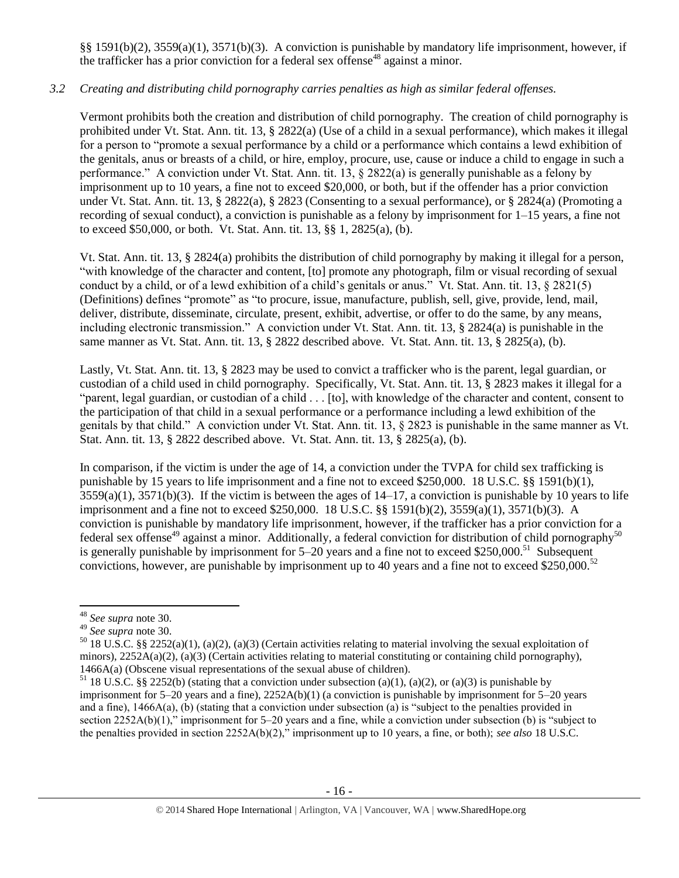§§ 1591(b)(2), 3559(a)(1), 3571(b)(3). A conviction is punishable by mandatory life imprisonment, however, if the trafficker has a prior conviction for a federal sex offense<sup>48</sup> against a minor.

# *3.2 Creating and distributing child pornography carries penalties as high as similar federal offenses.*

Vermont prohibits both the creation and distribution of child pornography. The creation of child pornography is prohibited under Vt. Stat. Ann. tit. 13, § 2822(a) (Use of a child in a sexual performance), which makes it illegal for a person to "promote a sexual performance by a child or a performance which contains a lewd exhibition of the genitals, anus or breasts of a child, or hire, employ, procure, use, cause or induce a child to engage in such a performance." A conviction under Vt. Stat. Ann. tit. 13,  $\S 2822(a)$  is generally punishable as a felony by imprisonment up to 10 years, a fine not to exceed \$20,000, or both, but if the offender has a prior conviction under Vt. Stat. Ann. tit. 13, § 2822(a), § 2823 (Consenting to a sexual performance), or § 2824(a) (Promoting a recording of sexual conduct), a conviction is punishable as a felony by imprisonment for 1–15 years, a fine not to exceed \$50,000, or both. Vt. Stat. Ann. tit. 13, §§ 1, 2825(a), (b).

Vt. Stat. Ann. tit. 13, § 2824(a) prohibits the distribution of child pornography by making it illegal for a person, "with knowledge of the character and content, [to] promote any photograph, film or visual recording of sexual conduct by a child, or of a lewd exhibition of a child's genitals or anus." Vt. Stat. Ann. tit. 13, § 2821(5) (Definitions) defines "promote" as "to procure, issue, manufacture, publish, sell, give, provide, lend, mail, deliver, distribute, disseminate, circulate, present, exhibit, advertise, or offer to do the same, by any means, including electronic transmission." A conviction under Vt. Stat. Ann. tit. 13, § 2824(a) is punishable in the same manner as Vt. Stat. Ann. tit. 13, § 2822 described above. Vt. Stat. Ann. tit. 13, § 2825(a), (b).

Lastly, Vt. Stat. Ann. tit. 13, § 2823 may be used to convict a trafficker who is the parent, legal guardian, or custodian of a child used in child pornography. Specifically, Vt. Stat. Ann. tit. 13, § 2823 makes it illegal for a "parent, legal guardian, or custodian of a child . . . [to], with knowledge of the character and content, consent to the participation of that child in a sexual performance or a performance including a lewd exhibition of the genitals by that child." A conviction under Vt. Stat. Ann. tit. 13, § 2823 is punishable in the same manner as Vt. Stat. Ann. tit. 13, § 2822 described above. Vt. Stat. Ann. tit. 13, § 2825(a), (b).

In comparison, if the victim is under the age of 14, a conviction under the TVPA for child sex trafficking is punishable by 15 years to life imprisonment and a fine not to exceed \$250,000. 18 U.S.C. §§ 1591(b)(1),  $3559(a)(1)$ ,  $3571(b)(3)$ . If the victim is between the ages of  $14-17$ , a conviction is punishable by 10 years to life imprisonment and a fine not to exceed \$250,000. 18 U.S.C. §§ 1591(b)(2), 3559(a)(1), 3571(b)(3). A conviction is punishable by mandatory life imprisonment, however, if the trafficker has a prior conviction for a federal sex offense<sup>49</sup> against a minor. Additionally, a federal conviction for distribution of child pornography<sup>50</sup> is generally punishable by imprisonment for  $5-20$  years and a fine not to exceed \$250,000.<sup>51</sup> Subsequent convictions, however, are punishable by imprisonment up to 40 years and a fine not to exceed \$250,000.<sup>52</sup>

<sup>48</sup> *See supra* note [30.](#page-8-0) 

<sup>49</sup> *See supra* note [30.](#page-8-0)

<sup>&</sup>lt;sup>50</sup> 18 U.S.C. §§ 2252(a)(1), (a)(2), (a)(3) (Certain activities relating to material involving the sexual exploitation of minors),  $2252A(a)(2)$ ,  $(a)(3)$  (Certain activities relating to material constituting or containing child pornography), 1466A(a) (Obscene visual representations of the sexual abuse of children).

<sup>&</sup>lt;sup>51</sup> 18 U.S.C. §§ 2252(b) (stating that a conviction under subsection (a)(1), (a)(2), or (a)(3) is punishable by imprisonment for 5–20 years and a fine), 2252A(b)(1) (a conviction is punishable by imprisonment for 5–20 years and a fine), 1466A(a), (b) (stating that a conviction under subsection (a) is "subject to the penalties provided in section 2252A(b)(1)," imprisonment for 5–20 years and a fine, while a conviction under subsection (b) is "subject to the penalties provided in section 2252A(b)(2)," imprisonment up to 10 years, a fine, or both); *see also* 18 U.S.C.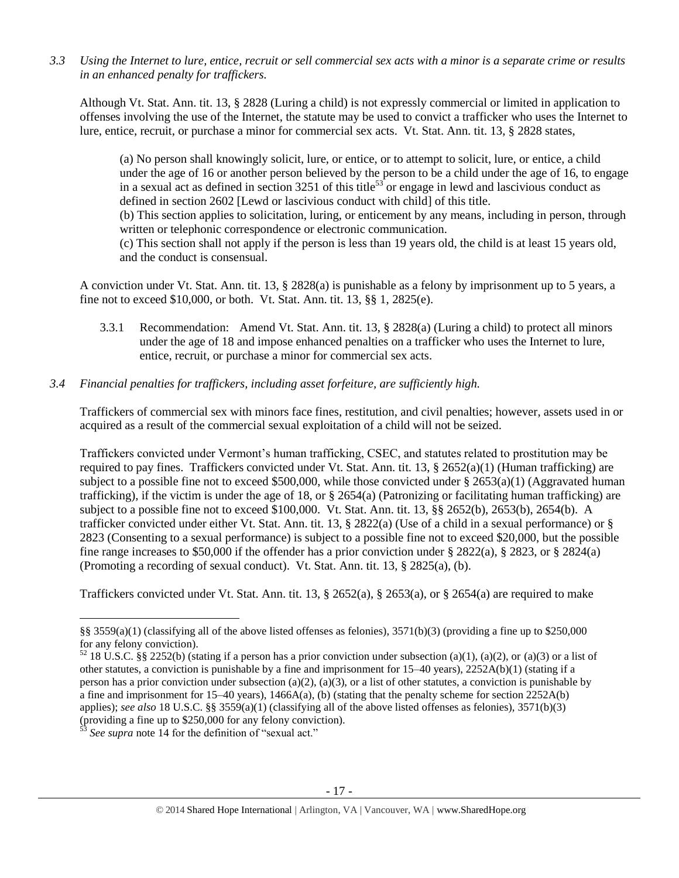*3.3 Using the Internet to lure, entice, recruit or sell commercial sex acts with a minor is a separate crime or results in an enhanced penalty for traffickers.*

Although Vt. Stat. Ann. tit. 13, § 2828 (Luring a child) is not expressly commercial or limited in application to offenses involving the use of the Internet, the statute may be used to convict a trafficker who uses the Internet to lure, entice, recruit, or purchase a minor for commercial sex acts. Vt. Stat. Ann. tit. 13, § 2828 states,

(a) No person shall knowingly solicit, lure, or entice, or to attempt to solicit, lure, or entice, a child under the age of 16 or another person believed by the person to be a child under the age of 16, to engage in a sexual act as defined in section 3251 of this title<sup>53</sup> or engage in lewd and lascivious conduct as defined in section 2602 [Lewd or lascivious conduct with child] of this title. (b) This section applies to solicitation, luring, or enticement by any means, including in person, through written or telephonic correspondence or electronic communication. (c) This section shall not apply if the person is less than 19 years old, the child is at least 15 years old, and the conduct is consensual.

A conviction under Vt. Stat. Ann. tit. 13, § 2828(a) is punishable as a felony by imprisonment up to 5 years, a fine not to exceed \$10,000, or both. Vt. Stat. Ann. tit. 13, §§ 1, 2825(e).

3.3.1 Recommendation: Amend Vt. Stat. Ann. tit. 13, § 2828(a) (Luring a child) to protect all minors under the age of 18 and impose enhanced penalties on a trafficker who uses the Internet to lure, entice, recruit, or purchase a minor for commercial sex acts.

## *3.4 Financial penalties for traffickers, including asset forfeiture, are sufficiently high.*

Traffickers of commercial sex with minors face fines, restitution, and civil penalties; however, assets used in or acquired as a result of the commercial sexual exploitation of a child will not be seized.

Traffickers convicted under Vermont's human trafficking, CSEC, and statutes related to prostitution may be required to pay fines. Traffickers convicted under Vt. Stat. Ann. tit. 13,  $\S$  2652(a)(1) (Human trafficking) are subject to a possible fine not to exceed \$500,000, while those convicted under § 2653(a)(1) (Aggravated human trafficking), if the victim is under the age of 18, or  $\S 2654(a)$  (Patronizing or facilitating human trafficking) are subject to a possible fine not to exceed \$100,000. Vt. Stat. Ann. tit. 13, §§ 2652(b), 2653(b), 2654(b). A trafficker convicted under either Vt. Stat. Ann. tit. 13, § 2822(a) (Use of a child in a sexual performance) or § 2823 (Consenting to a sexual performance) is subject to a possible fine not to exceed \$20,000, but the possible fine range increases to \$50,000 if the offender has a prior conviction under § 2822(a), § 2823, or § 2824(a) (Promoting a recording of sexual conduct). Vt. Stat. Ann. tit. 13, § 2825(a), (b).

Traffickers convicted under Vt. Stat. Ann. tit. 13, § 2652(a), § 2653(a), or § 2654(a) are required to make

<sup>§§ 3559(</sup>a)(1) (classifying all of the above listed offenses as felonies), 3571(b)(3) (providing a fine up to \$250,000 for any felony conviction).

 $52$  18 U.S.C. §§ 2252(b) (stating if a person has a prior conviction under subsection (a)(1), (a)(2), or (a)(3) or a list of other statutes, a conviction is punishable by a fine and imprisonment for 15–40 years), 2252A(b)(1) (stating if a person has a prior conviction under subsection (a)(2), (a)(3), or a list of other statutes, a conviction is punishable by a fine and imprisonment for 15–40 years), 1466A(a), (b) (stating that the penalty scheme for section 2252A(b) applies); *see also* 18 U.S.C. §§ 3559(a)(1) (classifying all of the above listed offenses as felonies), 3571(b)(3) (providing a fine up to \$250,000 for any felony conviction).

See supra note [14](#page-3-0) for the definition of "sexual act."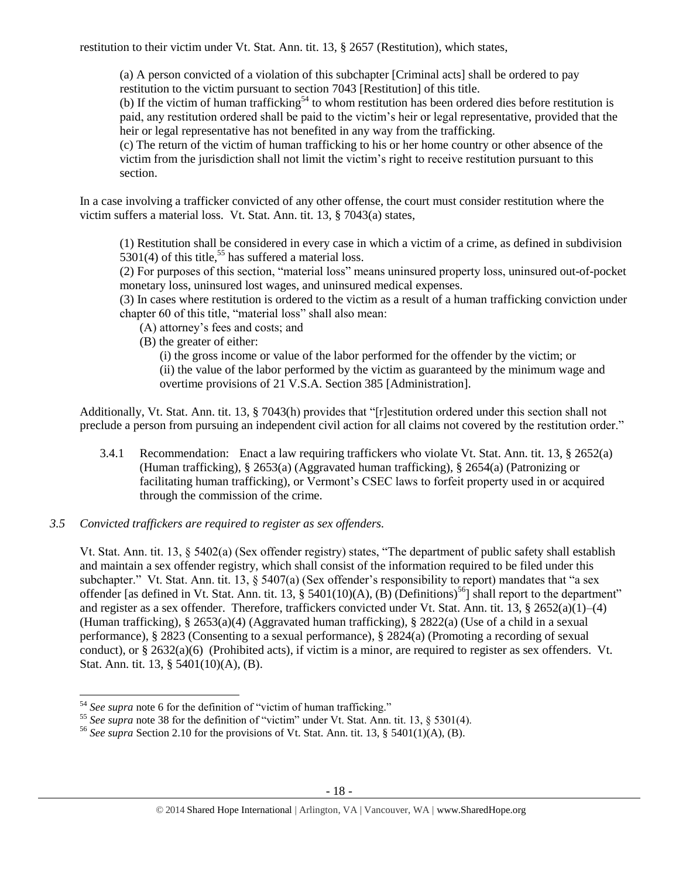restitution to their victim under Vt. Stat. Ann. tit. 13, § 2657 (Restitution), which states,

(a) A person convicted of a violation of this subchapter [Criminal acts] shall be ordered to pay restitution to the victim pursuant to section 7043 [Restitution] of this title.

(b) If the victim of human trafficking<sup>54</sup> to whom restitution has been ordered dies before restitution is paid, any restitution ordered shall be paid to the victim's heir or legal representative, provided that the heir or legal representative has not benefited in any way from the trafficking.

(c) The return of the victim of human trafficking to his or her home country or other absence of the victim from the jurisdiction shall not limit the victim's right to receive restitution pursuant to this section.

In a case involving a trafficker convicted of any other offense, the court must consider restitution where the victim suffers a material loss. Vt. Stat. Ann. tit. 13, § 7043(a) states,

(1) Restitution shall be considered in every case in which a victim of a crime, as defined in subdivision  $5301(4)$  of this title,<sup>55</sup> has suffered a material loss.

(2) For purposes of this section, "material loss" means uninsured property loss, uninsured out-of-pocket monetary loss, uninsured lost wages, and uninsured medical expenses.

(3) In cases where restitution is ordered to the victim as a result of a human trafficking conviction under chapter 60 of this title, "material loss" shall also mean:

- (A) attorney's fees and costs; and
- (B) the greater of either:

(i) the gross income or value of the labor performed for the offender by the victim; or (ii) the value of the labor performed by the victim as guaranteed by the minimum wage and overtime provisions of 21 V.S.A. Section 385 [Administration].

Additionally, Vt. Stat. Ann. tit. 13, § 7043(h) provides that "[r]estitution ordered under this section shall not preclude a person from pursuing an independent civil action for all claims not covered by the restitution order."

- 3.4.1 Recommendation: Enact a law requiring traffickers who violate Vt. Stat. Ann. tit. 13, § 2652(a) (Human trafficking), § 2653(a) (Aggravated human trafficking), § 2654(a) (Patronizing or facilitating human trafficking), or Vermont's CSEC laws to forfeit property used in or acquired through the commission of the crime.
- *3.5 Convicted traffickers are required to register as sex offenders.*

Vt. Stat. Ann. tit. 13, § 5402(a) (Sex offender registry) states, "The department of public safety shall establish and maintain a sex offender registry, which shall consist of the information required to be filed under this subchapter." Vt. Stat. Ann. tit. 13, § 5407(a) (Sex offender's responsibility to report) mandates that "a sex offender [as defined in Vt. Stat. Ann. tit. 13, § 5401(10)(A), (B) (Definitions)<sup>56</sup>] shall report to the department" and register as a sex offender. Therefore, traffickers convicted under Vt. Stat. Ann. tit. 13,  $\S 2652(a)(1)–(4)$ (Human trafficking), § 2653(a)(4) (Aggravated human trafficking), § 2822(a) (Use of a child in a sexual performance), § 2823 (Consenting to a sexual performance), § 2824(a) (Promoting a recording of sexual conduct), or  $\S 2632(a)(6)$  (Prohibited acts), if victim is a minor, are required to register as sex offenders. Vt. Stat. Ann. tit. 13, § 5401(10)(A), (B).

 $\overline{\phantom{a}}$ <sup>54</sup> *See supra* note [6](#page-1-0) for the definition of "victim of human trafficking."

<sup>&</sup>lt;sup>55</sup> See supra note [38](#page-10-0) for the definition of "victim" under Vt. Stat. Ann. tit. 13, § 5301(4).

<sup>56</sup> *See supra* Section 2.10 for the provisions of Vt. Stat. Ann. tit. 13, § 5401(1)(A), (B).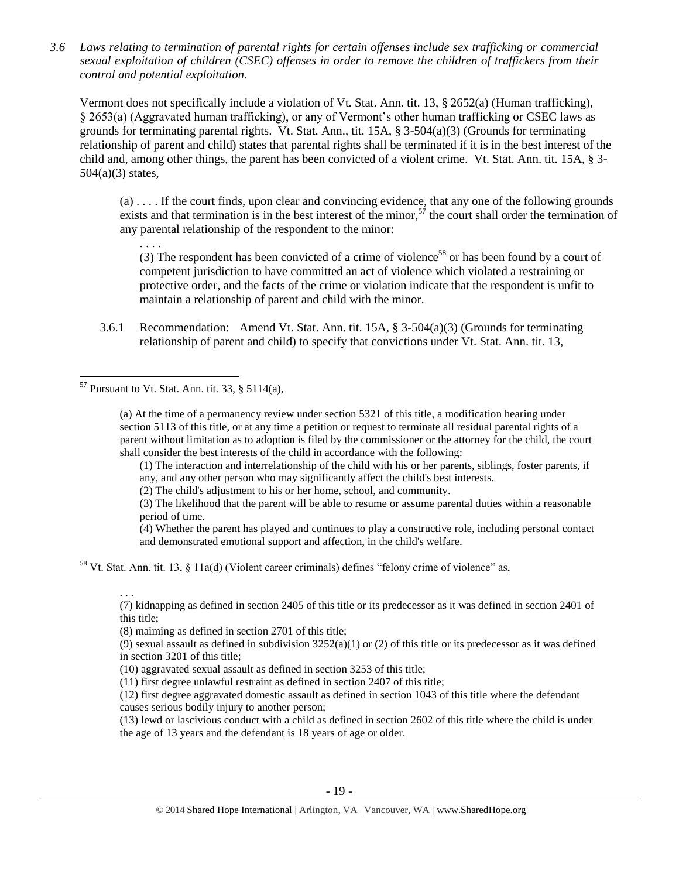*3.6 Laws relating to termination of parental rights for certain offenses include sex trafficking or commercial sexual exploitation of children (CSEC) offenses in order to remove the children of traffickers from their control and potential exploitation.* 

Vermont does not specifically include a violation of Vt. Stat. Ann. tit. 13, § 2652(a) (Human trafficking), § 2653(a) (Aggravated human trafficking), or any of Vermont's other human trafficking or CSEC laws as grounds for terminating parental rights. Vt. Stat. Ann., tit. 15A, § 3-504(a)(3) (Grounds for terminating relationship of parent and child) states that parental rights shall be terminated if it is in the best interest of the child and, among other things, the parent has been convicted of a violent crime. Vt. Stat. Ann. tit. 15A, § 3-  $504(a)(3)$  states,

(a) . . . . If the court finds, upon clear and convincing evidence, that any one of the following grounds exists and that termination is in the best interest of the minor,<sup>57</sup> the court shall order the termination of any parental relationship of the respondent to the minor:

. . . . (3) The respondent has been convicted of a crime of violence<sup>58</sup> or has been found by a court of competent jurisdiction to have committed an act of violence which violated a restraining or protective order, and the facts of the crime or violation indicate that the respondent is unfit to maintain a relationship of parent and child with the minor.

3.6.1 Recommendation: Amend Vt. Stat. Ann. tit. 15A, § 3-504(a)(3) (Grounds for terminating relationship of parent and child) to specify that convictions under Vt. Stat. Ann. tit. 13,

 $57$  Pursuant to Vt. Stat. Ann. tit. 33, § 5114(a),

 $\overline{\phantom{a}}$ 

. . .

(a) At the time of a permanency review under section 5321 of this title, a modification hearing under section 5113 of this title, or at any time a petition or request to terminate all residual parental rights of a parent without limitation as to adoption is filed by the commissioner or the attorney for the child, the court shall consider the best interests of the child in accordance with the following:

(1) The interaction and interrelationship of the child with his or her parents, siblings, foster parents, if any, and any other person who may significantly affect the child's best interests.

(2) The child's adjustment to his or her home, school, and community.

(3) The likelihood that the parent will be able to resume or assume parental duties within a reasonable period of time.

(4) Whether the parent has played and continues to play a constructive role, including personal contact and demonstrated emotional support and affection, in the child's welfare.

<sup>58</sup> Vt. Stat. Ann. tit. 13, § 11a(d) (Violent career criminals) defines "felony crime of violence" as,

(7) kidnapping as defined in section 2405 of this title or its predecessor as it was defined in section 2401 of this title;

(8) maiming as defined in section 2701 of this title;

(9) sexual assault as defined in subdivision  $3252(a)(1)$  or (2) of this title or its predecessor as it was defined in section 3201 of this title;

(10) aggravated sexual assault as defined in section 3253 of this title;

(11) first degree unlawful restraint as defined in section 2407 of this title;

(12) first degree aggravated domestic assault as defined in section 1043 of this title where the defendant causes serious bodily injury to another person;

(13) lewd or lascivious conduct with a child as defined in section 2602 of this title where the child is under the age of 13 years and the defendant is 18 years of age or older.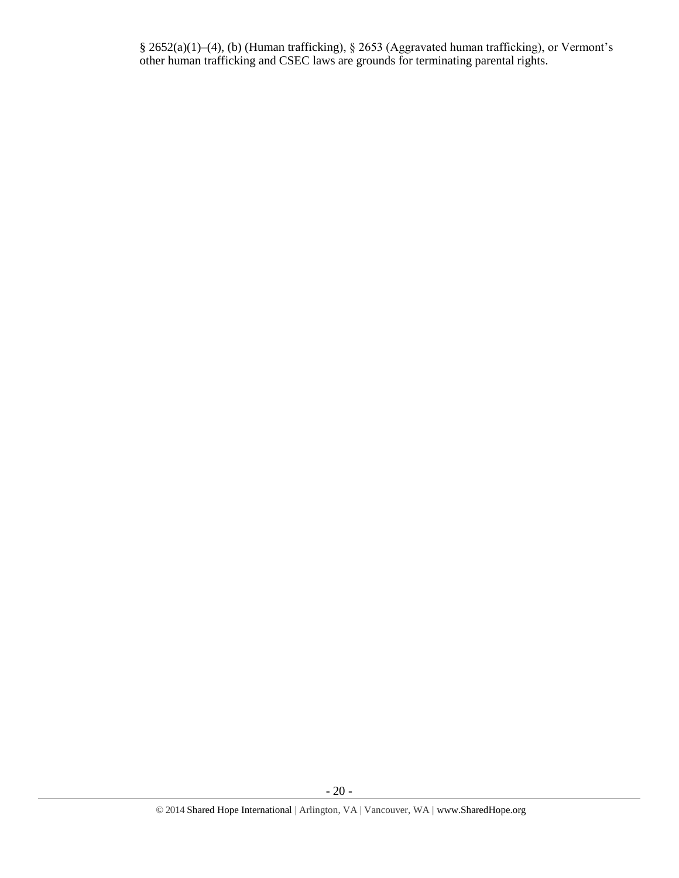§ 2652(a)(1)–(4), (b) (Human trafficking), § 2653 (Aggravated human trafficking), or Vermont's other human trafficking and CSEC laws are grounds for terminating parental rights.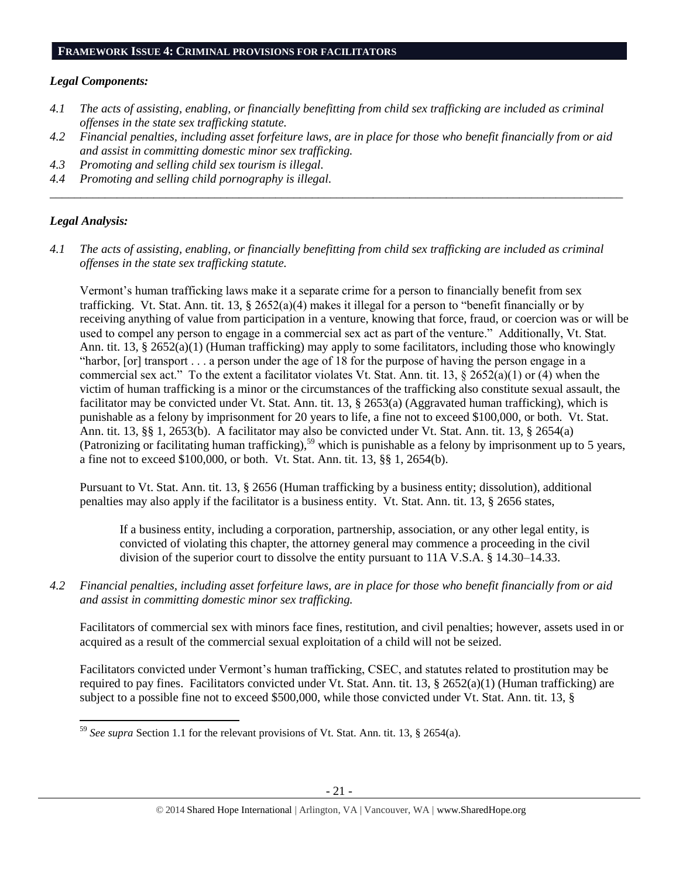#### **FRAMEWORK ISSUE 4: CRIMINAL PROVISIONS FOR FACILITATORS**

#### *Legal Components:*

- *4.1 The acts of assisting, enabling, or financially benefitting from child sex trafficking are included as criminal offenses in the state sex trafficking statute.*
- *4.2 Financial penalties, including asset forfeiture laws, are in place for those who benefit financially from or aid and assist in committing domestic minor sex trafficking.*

*\_\_\_\_\_\_\_\_\_\_\_\_\_\_\_\_\_\_\_\_\_\_\_\_\_\_\_\_\_\_\_\_\_\_\_\_\_\_\_\_\_\_\_\_\_\_\_\_\_\_\_\_\_\_\_\_\_\_\_\_\_\_\_\_\_\_\_\_\_\_\_\_\_\_\_\_\_\_\_\_\_\_\_\_\_\_\_\_\_\_\_\_\_\_*

- *4.3 Promoting and selling child sex tourism is illegal.*
- *4.4 Promoting and selling child pornography is illegal.*

## *Legal Analysis:*

*4.1 The acts of assisting, enabling, or financially benefitting from child sex trafficking are included as criminal offenses in the state sex trafficking statute.*

Vermont's human trafficking laws make it a separate crime for a person to financially benefit from sex trafficking. Vt. Stat. Ann. tit. 13, § 2652(a)(4) makes it illegal for a person to "benefit financially or by receiving anything of value from participation in a venture, knowing that force, fraud, or coercion was or will be used to compel any person to engage in a commercial sex act as part of the venture." Additionally, Vt. Stat. Ann. tit. 13, § 2652(a)(1) (Human trafficking) may apply to some facilitators, including those who knowingly "harbor, [or] transport . . . a person under the age of 18 for the purpose of having the person engage in a commercial sex act." To the extent a facilitator violates Vt. Stat. Ann. tit. 13, § 2652(a)(1) or (4) when the victim of human trafficking is a minor or the circumstances of the trafficking also constitute sexual assault, the facilitator may be convicted under Vt. Stat. Ann. tit. 13, § 2653(a) (Aggravated human trafficking), which is punishable as a felony by imprisonment for 20 years to life, a fine not to exceed \$100,000, or both. Vt. Stat. Ann. tit. 13, §§ 1, 2653(b). A facilitator may also be convicted under Vt. Stat. Ann. tit. 13, § 2654(a) (Patronizing or facilitating human trafficking),<sup>59</sup> which is punishable as a felony by imprisonment up to 5 years, a fine not to exceed \$100,000, or both. Vt. Stat. Ann. tit. 13, §§ 1, 2654(b).

Pursuant to Vt. Stat. Ann. tit. 13, § 2656 (Human trafficking by a business entity; dissolution), additional penalties may also apply if the facilitator is a business entity. Vt. Stat. Ann. tit. 13, § 2656 states,

If a business entity, including a corporation, partnership, association, or any other legal entity, is convicted of violating this chapter, the attorney general may commence a proceeding in the civil division of the superior court to dissolve the entity pursuant to 11A V.S.A. § 14.30–14.33.

*4.2 Financial penalties, including asset forfeiture laws, are in place for those who benefit financially from or aid and assist in committing domestic minor sex trafficking.*

Facilitators of commercial sex with minors face fines, restitution, and civil penalties; however, assets used in or acquired as a result of the commercial sexual exploitation of a child will not be seized.

Facilitators convicted under Vermont's human trafficking, CSEC, and statutes related to prostitution may be required to pay fines. Facilitators convicted under Vt. Stat. Ann. tit. 13, § 2652(a)(1) (Human trafficking) are subject to a possible fine not to exceed \$500,000, while those convicted under Vt. Stat. Ann. tit. 13, §

 $\overline{a}$ <sup>59</sup> *See supra* Section 1.1 for the relevant provisions of Vt. Stat. Ann. tit. 13, § 2654(a).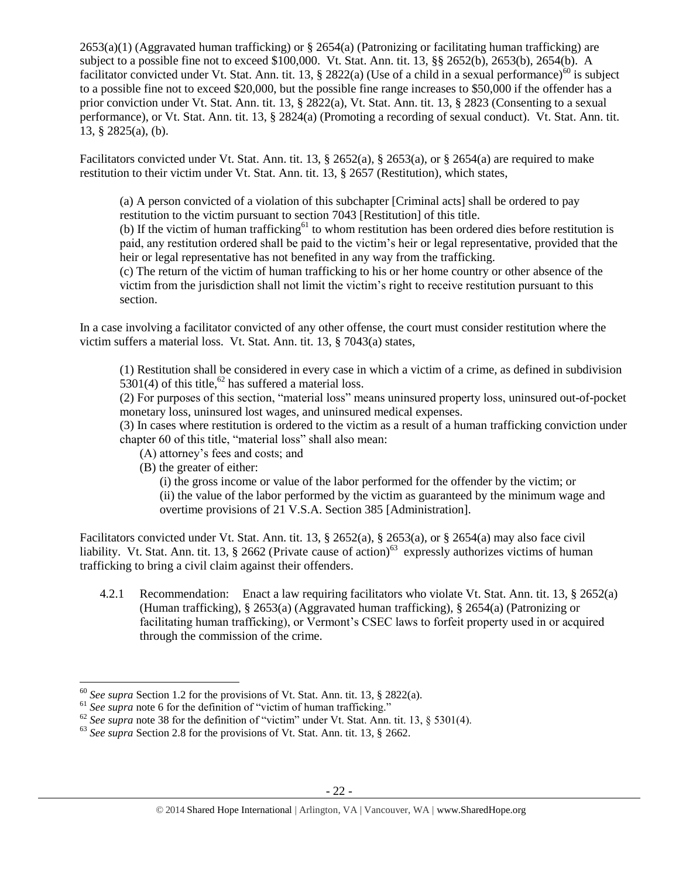$2653(a)(1)$  (Aggravated human trafficking) or § 2654(a) (Patronizing or facilitating human trafficking) are subject to a possible fine not to exceed \$100,000. Vt. Stat. Ann. tit. 13, §§ 2652(b), 2653(b), 2654(b). A facilitator convicted under Vt. Stat. Ann. tit. 13, § 2822(a) (Use of a child in a sexual performance)<sup>60</sup> is subject to a possible fine not to exceed \$20,000, but the possible fine range increases to \$50,000 if the offender has a prior conviction under Vt. Stat. Ann. tit. 13, § 2822(a), Vt. Stat. Ann. tit. 13, § 2823 (Consenting to a sexual performance), or Vt. Stat. Ann. tit. 13, § 2824(a) (Promoting a recording of sexual conduct). Vt. Stat. Ann. tit. 13, § 2825(a), (b).

Facilitators convicted under Vt. Stat. Ann. tit. 13, § 2652(a), § 2653(a), or § 2654(a) are required to make restitution to their victim under Vt. Stat. Ann. tit. 13, § 2657 (Restitution), which states,

(a) A person convicted of a violation of this subchapter [Criminal acts] shall be ordered to pay restitution to the victim pursuant to section 7043 [Restitution] of this title.

(b) If the victim of human trafficking<sup>61</sup> to whom restitution has been ordered dies before restitution is paid, any restitution ordered shall be paid to the victim's heir or legal representative, provided that the heir or legal representative has not benefited in any way from the trafficking.

(c) The return of the victim of human trafficking to his or her home country or other absence of the victim from the jurisdiction shall not limit the victim's right to receive restitution pursuant to this section.

In a case involving a facilitator convicted of any other offense, the court must consider restitution where the victim suffers a material loss. Vt. Stat. Ann. tit. 13, § 7043(a) states,

(1) Restitution shall be considered in every case in which a victim of a crime, as defined in subdivision 5301(4) of this title,<sup>62</sup> has suffered a material loss.

(2) For purposes of this section, "material loss" means uninsured property loss, uninsured out-of-pocket monetary loss, uninsured lost wages, and uninsured medical expenses.

(3) In cases where restitution is ordered to the victim as a result of a human trafficking conviction under chapter 60 of this title, "material loss" shall also mean:

- (A) attorney's fees and costs; and
- (B) the greater of either:

(i) the gross income or value of the labor performed for the offender by the victim; or (ii) the value of the labor performed by the victim as guaranteed by the minimum wage and overtime provisions of 21 V.S.A. Section 385 [Administration].

Facilitators convicted under Vt. Stat. Ann. tit. 13, § 2652(a), § 2653(a), or § 2654(a) may also face civil liability. Vt. Stat. Ann. tit. 13,  $\S$  2662 (Private cause of action)<sup>63</sup> expressly authorizes victims of human trafficking to bring a civil claim against their offenders.

4.2.1 Recommendation: Enact a law requiring facilitators who violate Vt. Stat. Ann. tit. 13, § 2652(a) (Human trafficking), § 2653(a) (Aggravated human trafficking), § 2654(a) (Patronizing or facilitating human trafficking), or Vermont's CSEC laws to forfeit property used in or acquired through the commission of the crime.

<sup>60</sup> *See supra* Section 1.2 for the provisions of Vt. Stat. Ann. tit. 13, § 2822(a).

<sup>&</sup>lt;sup>61</sup> See supra note [6](#page-1-0) for the definition of "victim of human trafficking."

 $62$  *See supra* note [38](#page-10-0) for the definition of "victim" under Vt. Stat. Ann. tit. 13, § 5301(4).

<sup>&</sup>lt;sup>63</sup> See supra Section 2.8 for the provisions of Vt. Stat. Ann. tit. 13, § 2662.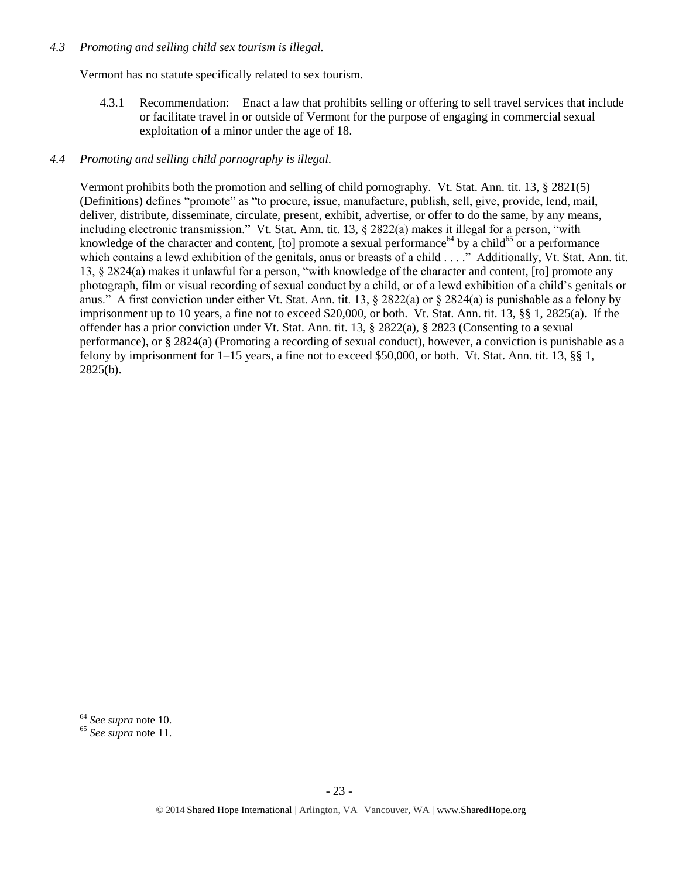## *4.3 Promoting and selling child sex tourism is illegal.*

Vermont has no statute specifically related to sex tourism.

4.3.1 Recommendation: Enact a law that prohibits selling or offering to sell travel services that include or facilitate travel in or outside of Vermont for the purpose of engaging in commercial sexual exploitation of a minor under the age of 18.

# *4.4 Promoting and selling child pornography is illegal.*

Vermont prohibits both the promotion and selling of child pornography. Vt. Stat. Ann. tit. 13, § 2821(5) (Definitions) defines "promote" as "to procure, issue, manufacture, publish, sell, give, provide, lend, mail, deliver, distribute, disseminate, circulate, present, exhibit, advertise, or offer to do the same, by any means, including electronic transmission." Vt. Stat. Ann. tit. 13, § 2822(a) makes it illegal for a person, "with knowledge of the character and content, [to] promote a sexual performance<sup>64</sup> by a child<sup>65</sup> or a performance which contains a lewd exhibition of the genitals, anus or breasts of a child . . . ." Additionally, Vt. Stat. Ann. tit. 13, § 2824(a) makes it unlawful for a person, "with knowledge of the character and content, [to] promote any photograph, film or visual recording of sexual conduct by a child, or of a lewd exhibition of a child's genitals or anus." A first conviction under either Vt. Stat. Ann. tit. 13,  $\S 2822(a)$  or  $\S 2824(a)$  is punishable as a felony by imprisonment up to 10 years, a fine not to exceed \$20,000, or both. Vt. Stat. Ann. tit. 13, §§ 1, 2825(a). If the offender has a prior conviction under Vt. Stat. Ann. tit. 13, § 2822(a), § 2823 (Consenting to a sexual performance), or § 2824(a) (Promoting a recording of sexual conduct), however, a conviction is punishable as a felony by imprisonment for 1–15 years, a fine not to exceed \$50,000, or both. Vt. Stat. Ann. tit. 13, §§ 1, 2825(b).

l <sup>64</sup> *See supra* note [10.](#page-2-1) 

<sup>65</sup> *See supra* note [11.](#page-2-0)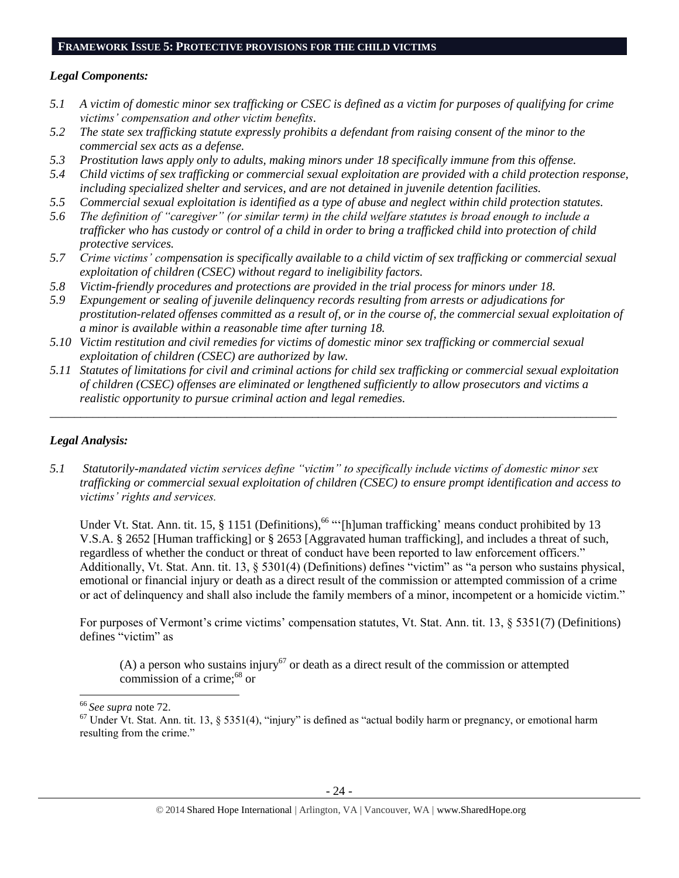#### **FRAMEWORK ISSUE 5: PROTECTIVE PROVISIONS FOR THE CHILD VICTIMS**

#### *Legal Components:*

- *5.1 A victim of domestic minor sex trafficking or CSEC is defined as a victim for purposes of qualifying for crime victims' compensation and other victim benefits.*
- *5.2 The state sex trafficking statute expressly prohibits a defendant from raising consent of the minor to the commercial sex acts as a defense.*
- *5.3 Prostitution laws apply only to adults, making minors under 18 specifically immune from this offense.*
- *5.4 Child victims of sex trafficking or commercial sexual exploitation are provided with a child protection response, including specialized shelter and services, and are not detained in juvenile detention facilities.*
- *5.5 Commercial sexual exploitation is identified as a type of abuse and neglect within child protection statutes.*
- *5.6 The definition of "caregiver" (or similar term) in the child welfare statutes is broad enough to include a trafficker who has custody or control of a child in order to bring a trafficked child into protection of child protective services.*
- *5.7 Crime victims' compensation is specifically available to a child victim of sex trafficking or commercial sexual exploitation of children (CSEC) without regard to ineligibility factors.*
- *5.8 Victim-friendly procedures and protections are provided in the trial process for minors under 18.*
- *5.9 Expungement or sealing of juvenile delinquency records resulting from arrests or adjudications for prostitution-related offenses committed as a result of, or in the course of, the commercial sexual exploitation of a minor is available within a reasonable time after turning 18.*
- *5.10 Victim restitution and civil remedies for victims of domestic minor sex trafficking or commercial sexual exploitation of children (CSEC) are authorized by law.*
- *5.11 Statutes of limitations for civil and criminal actions for child sex trafficking or commercial sexual exploitation of children (CSEC) offenses are eliminated or lengthened sufficiently to allow prosecutors and victims a realistic opportunity to pursue criminal action and legal remedies.*

*\_\_\_\_\_\_\_\_\_\_\_\_\_\_\_\_\_\_\_\_\_\_\_\_\_\_\_\_\_\_\_\_\_\_\_\_\_\_\_\_\_\_\_\_\_\_\_\_\_\_\_\_\_\_\_\_\_\_\_\_\_\_\_\_\_\_\_\_\_\_\_\_\_\_\_\_\_\_\_\_\_\_\_\_\_\_\_\_\_\_\_\_\_*

## *Legal Analysis:*

*5.1 Statutorily-mandated victim services define "victim" to specifically include victims of domestic minor sex trafficking or commercial sexual exploitation of children (CSEC) to ensure prompt identification and access to victims' rights and services.* 

<span id="page-23-0"></span>Under Vt. Stat. Ann. tit. 15, § 1151 (Definitions),<sup>66</sup> "[h]uman trafficking' means conduct prohibited by 13 V.S.A. § 2652 [Human trafficking] or § 2653 [Aggravated human trafficking], and includes a threat of such, regardless of whether the conduct or threat of conduct have been reported to law enforcement officers." Additionally, Vt. Stat. Ann. tit. 13, § 5301(4) (Definitions) defines "victim" as "a person who sustains physical, emotional or financial injury or death as a direct result of the commission or attempted commission of a crime or act of delinquency and shall also include the family members of a minor, incompetent or a homicide victim."

For purposes of Vermont's crime victims' compensation statutes, Vt. Stat. Ann. tit. 13, § 5351(7) (Definitions) defines "victim" as

(A) a person who sustains injury<sup>67</sup> or death as a direct result of the commission or attempted commission of a crime;<sup>68</sup> or

<sup>66</sup> *See supra* note 72.

 $67$  Under Vt. Stat. Ann. tit. 13, § 5351(4), "injury" is defined as "actual bodily harm or pregnancy, or emotional harm resulting from the crime."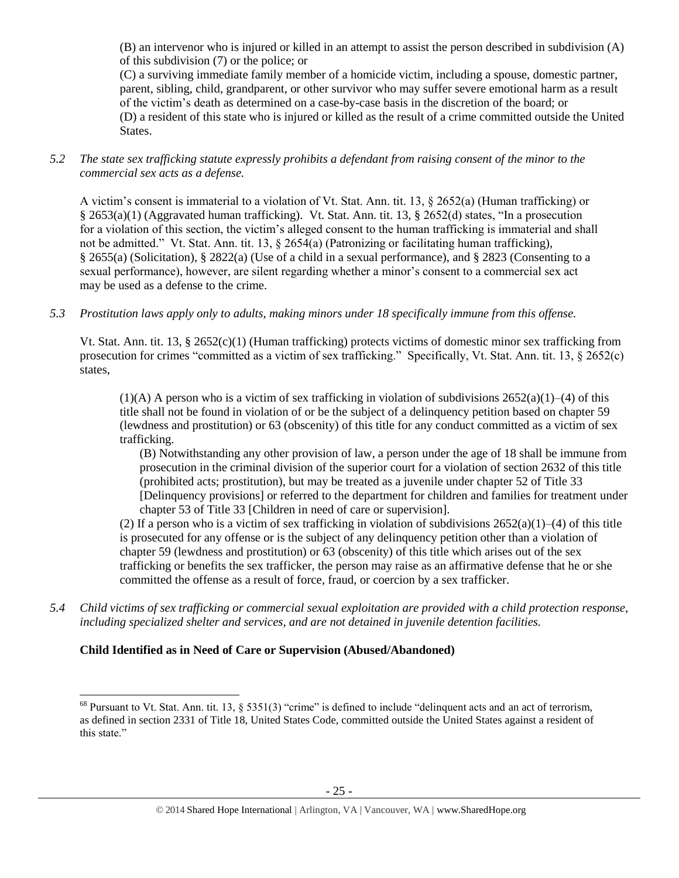(B) an intervenor who is injured or killed in an attempt to assist the person described in subdivision (A) of this subdivision (7) or the police; or

(C) a surviving immediate family member of a homicide victim, including a spouse, domestic partner, parent, sibling, child, grandparent, or other survivor who may suffer severe emotional harm as a result of the victim's death as determined on a case-by-case basis in the discretion of the board; or (D) a resident of this state who is injured or killed as the result of a crime committed outside the United States.

*5.2 The state sex trafficking statute expressly prohibits a defendant from raising consent of the minor to the commercial sex acts as a defense.*

A victim's consent is immaterial to a violation of Vt. Stat. Ann. tit. 13, § 2652(a) (Human trafficking) or § 2653(a)(1) (Aggravated human trafficking). Vt. Stat. Ann. tit. 13, § 2652(d) states, "In a prosecution for a violation of this section, the victim's alleged consent to the human trafficking is immaterial and shall not be admitted." Vt. Stat. Ann. tit. 13, § 2654(a) (Patronizing or facilitating human trafficking), § 2655(a) (Solicitation), § 2822(a) (Use of a child in a sexual performance), and § 2823 (Consenting to a sexual performance), however, are silent regarding whether a minor's consent to a commercial sex act may be used as a defense to the crime.

*5.3 Prostitution laws apply only to adults, making minors under 18 specifically immune from this offense.*

Vt. Stat. Ann. tit. 13, § 2652(c)(1) (Human trafficking) protects victims of domestic minor sex trafficking from prosecution for crimes "committed as a victim of sex trafficking." Specifically, Vt. Stat. Ann. tit. 13, § 2652(c) states,

 $(1)$ (A) A person who is a victim of sex trafficking in violation of subdivisions  $2652(a)(1)–(4)$  of this title shall not be found in violation of or be the subject of a delinquency petition based on chapter 59 (lewdness and prostitution) or 63 (obscenity) of this title for any conduct committed as a victim of sex trafficking.

(B) Notwithstanding any other provision of law, a person under the age of 18 shall be immune from prosecution in the criminal division of the superior court for a violation of section 2632 of this title (prohibited acts; prostitution), but may be treated as a juvenile under chapter 52 of Title 33 [Delinquency provisions] or referred to the department for children and families for treatment under chapter 53 of Title 33 [Children in need of care or supervision].

(2) If a person who is a victim of sex trafficking in violation of subdivisions  $2652(a)(1)–(4)$  of this title is prosecuted for any offense or is the subject of any delinquency petition other than a violation of chapter 59 (lewdness and prostitution) or 63 (obscenity) of this title which arises out of the sex trafficking or benefits the sex trafficker, the person may raise as an affirmative defense that he or she committed the offense as a result of force, fraud, or coercion by a sex trafficker.

*5.4 Child victims of sex trafficking or commercial sexual exploitation are provided with a child protection response, including specialized shelter and services, and are not detained in juvenile detention facilities.*

# **Child Identified as in Need of Care or Supervision (Abused/Abandoned)**

 $^{68}$  Pursuant to Vt. Stat. Ann. tit. 13, § 5351(3) "crime" is defined to include "delinquent acts and an act of terrorism, as defined in section 2331 of Title 18, United States Code, committed outside the United States against a resident of this state."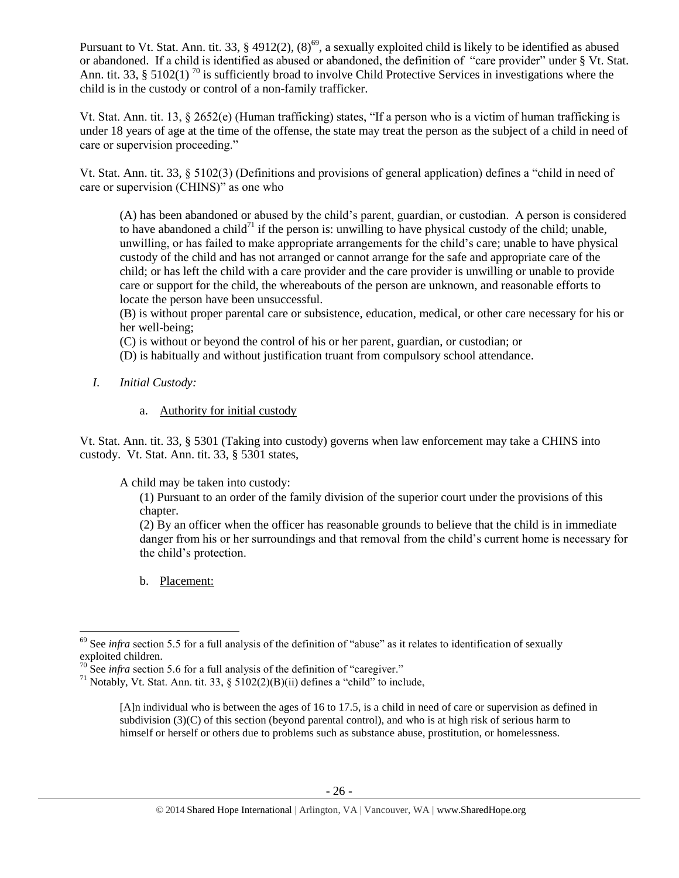Pursuant to Vt. Stat. Ann. tit. 33, § 4912(2),  $(8)^{69}$ , a sexually exploited child is likely to be identified as abused or abandoned. If a child is identified as abused or abandoned, the definition of "care provider" under § Vt. Stat. Ann. tit. 33, § 5102(1)<sup>70</sup> is sufficiently broad to involve Child Protective Services in investigations where the child is in the custody or control of a non-family trafficker.

Vt. Stat. Ann. tit. 13, § 2652(e) (Human trafficking) states, "If a person who is a victim of human trafficking is under 18 years of age at the time of the offense, the state may treat the person as the subject of a child in need of care or supervision proceeding."

Vt. Stat. Ann. tit. 33, § 5102(3) (Definitions and provisions of general application) defines a "child in need of care or supervision (CHINS)" as one who

(A) has been abandoned or abused by the child's parent, guardian, or custodian. A person is considered to have abandoned a child<sup>71</sup> if the person is: unwilling to have physical custody of the child; unable, unwilling, or has failed to make appropriate arrangements for the child's care; unable to have physical custody of the child and has not arranged or cannot arrange for the safe and appropriate care of the child; or has left the child with a care provider and the care provider is unwilling or unable to provide care or support for the child, the whereabouts of the person are unknown, and reasonable efforts to locate the person have been unsuccessful.

(B) is without proper parental care or subsistence, education, medical, or other care necessary for his or her well-being;

(C) is without or beyond the control of his or her parent, guardian, or custodian; or

(D) is habitually and without justification truant from compulsory school attendance.

- *I. Initial Custody:* 
	- a. Authority for initial custody

Vt. Stat. Ann. tit. 33, § 5301 (Taking into custody) governs when law enforcement may take a CHINS into custody. Vt. Stat. Ann. tit. 33, § 5301 states,

A child may be taken into custody:

(1) Pursuant to an order of the family division of the superior court under the provisions of this chapter.

(2) By an officer when the officer has reasonable grounds to believe that the child is in immediate danger from his or her surroundings and that removal from the child's current home is necessary for the child's protection.

b. Placement:

l <sup>69</sup> See *infra* section 5.5 for a full analysis of the definition of "abuse" as it relates to identification of sexually exploited children.

 $70$  See *infra* section 5.6 for a full analysis of the definition of "caregiver."

<sup>&</sup>lt;sup>71</sup> Notably, Vt. Stat. Ann. tit. 33, § 5102(2)(B)(ii) defines a "child" to include,

<sup>[</sup>A]n individual who is between the ages of 16 to 17.5, is a child in need of care or supervision as defined in subdivision (3)(C) of this section (beyond parental control), and who is at high risk of serious harm to himself or herself or others due to problems such as substance abuse, prostitution, or homelessness.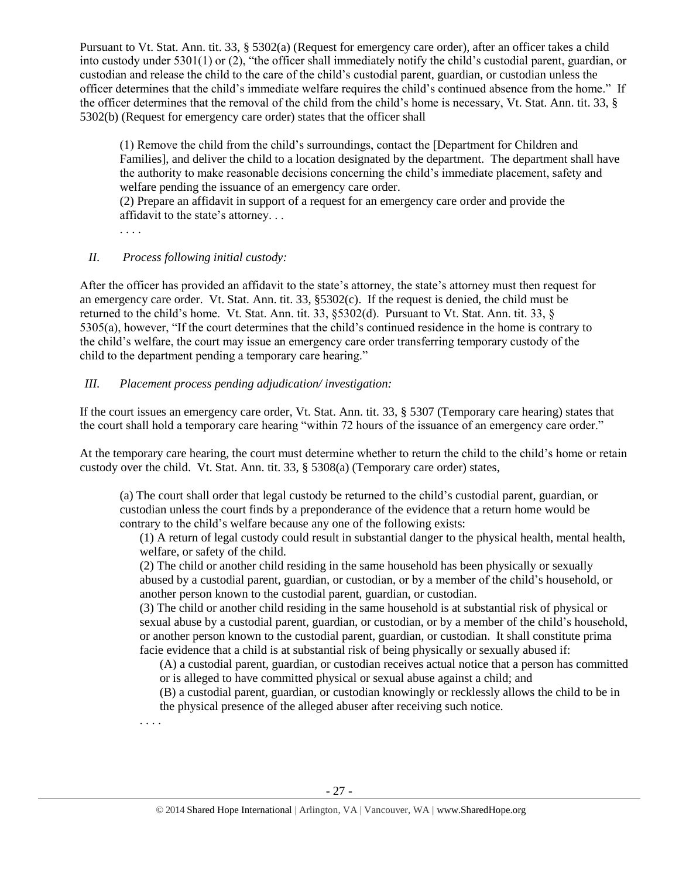Pursuant to Vt. Stat. Ann. tit. 33, § 5302(a) (Request for emergency care order), after an officer takes a child into custody under 5301(1) or (2), "the officer shall immediately notify the child's custodial parent, guardian, or custodian and release the child to the care of the child's custodial parent, guardian, or custodian unless the officer determines that the child's immediate welfare requires the child's continued absence from the home." If the officer determines that the removal of the child from the child's home is necessary, Vt. Stat. Ann. tit. 33, § 5302(b) (Request for emergency care order) states that the officer shall

(1) Remove the child from the child's surroundings, contact the [Department for Children and Families], and deliver the child to a location designated by the department. The department shall have the authority to make reasonable decisions concerning the child's immediate placement, safety and welfare pending the issuance of an emergency care order.

(2) Prepare an affidavit in support of a request for an emergency care order and provide the affidavit to the state's attorney. . .

. . . .

. . . .

# *II. Process following initial custody:*

After the officer has provided an affidavit to the state's attorney, the state's attorney must then request for an emergency care order. Vt. Stat. Ann. tit. 33, §5302(c). If the request is denied, the child must be returned to the child's home. Vt. Stat. Ann. tit. 33, §5302(d). Pursuant to Vt. Stat. Ann. tit. 33, § 5305(a), however, "If the court determines that the child's continued residence in the home is contrary to the child's welfare, the court may issue an emergency care order transferring temporary custody of the child to the department pending a temporary care hearing."

# *III. Placement process pending adjudication/ investigation:*

If the court issues an emergency care order, Vt. Stat. Ann. tit. 33, § 5307 (Temporary care hearing) states that the court shall hold a temporary care hearing "within 72 hours of the issuance of an emergency care order."

At the temporary care hearing, the court must determine whether to return the child to the child's home or retain custody over the child. Vt. Stat. Ann. tit. 33, § 5308(a) (Temporary care order) states,

(a) The court shall order that legal custody be returned to the child's custodial parent, guardian, or custodian unless the court finds by a preponderance of the evidence that a return home would be contrary to the child's welfare because any one of the following exists:

(1) A return of legal custody could result in substantial danger to the physical health, mental health, welfare, or safety of the child.

(2) The child or another child residing in the same household has been physically or sexually abused by a custodial parent, guardian, or custodian, or by a member of the child's household, or another person known to the custodial parent, guardian, or custodian.

(3) The child or another child residing in the same household is at substantial risk of physical or sexual abuse by a custodial parent, guardian, or custodian, or by a member of the child's household, or another person known to the custodial parent, guardian, or custodian. It shall constitute prima facie evidence that a child is at substantial risk of being physically or sexually abused if:

(A) a custodial parent, guardian, or custodian receives actual notice that a person has committed or is alleged to have committed physical or sexual abuse against a child; and

(B) a custodial parent, guardian, or custodian knowingly or recklessly allows the child to be in the physical presence of the alleged abuser after receiving such notice.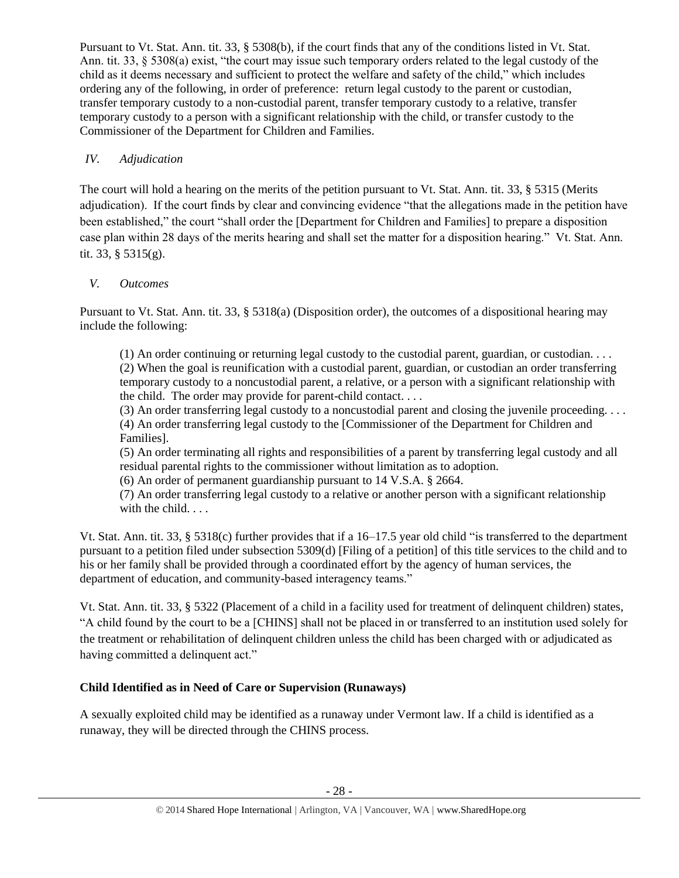Pursuant to Vt. Stat. Ann. tit. 33, § 5308(b), if the court finds that any of the conditions listed in Vt. Stat. Ann. tit. 33, § 5308(a) exist, "the court may issue such temporary orders related to the legal custody of the child as it deems necessary and sufficient to protect the welfare and safety of the child," which includes ordering any of the following, in order of preference: return legal custody to the parent or custodian, transfer temporary custody to a non-custodial parent, transfer temporary custody to a relative, transfer temporary custody to a person with a significant relationship with the child, or transfer custody to the Commissioner of the Department for Children and Families.

# *IV. Adjudication*

The court will hold a hearing on the merits of the petition pursuant to Vt. Stat. Ann. tit. 33, § 5315 (Merits adjudication). If the court finds by clear and convincing evidence "that the allegations made in the petition have been established," the court "shall order the [Department for Children and Families] to prepare a disposition case plan within 28 days of the merits hearing and shall set the matter for a disposition hearing." Vt. Stat. Ann. tit. 33, § 5315(g).

# *V. Outcomes*

Pursuant to Vt. Stat. Ann. tit. 33, § 5318(a) (Disposition order), the outcomes of a dispositional hearing may include the following:

(1) An order continuing or returning legal custody to the custodial parent, guardian, or custodian. . . . (2) When the goal is reunification with a custodial parent, guardian, or custodian an order transferring temporary custody to a noncustodial parent, a relative, or a person with a significant relationship with the child. The order may provide for parent-child contact. . . .

(3) An order transferring legal custody to a noncustodial parent and closing the juvenile proceeding.  $\dots$ (4) An order transferring legal custody to the [Commissioner of the Department for Children and Families].

(5) An order terminating all rights and responsibilities of a parent by transferring legal custody and all residual parental rights to the commissioner without limitation as to adoption.

(6) An order of permanent guardianship pursuant to 14 V.S.A. § 2664.

(7) An order transferring legal custody to a relative or another person with a significant relationship with the child. . . .

Vt. Stat. Ann. tit. 33, § 5318(c) further provides that if a 16–17.5 year old child "is transferred to the department pursuant to a petition filed under subsection 5309(d) [Filing of a petition] of this title services to the child and to his or her family shall be provided through a coordinated effort by the agency of human services, the department of education, and community-based interagency teams."

Vt. Stat. Ann. tit. 33, § 5322 (Placement of a child in a facility used for treatment of delinquent children) states, "A child found by the court to be a [CHINS] shall not be placed in or transferred to an institution used solely for the treatment or rehabilitation of delinquent children unless the child has been charged with or adjudicated as having committed a delinquent act."

# **Child Identified as in Need of Care or Supervision (Runaways)**

A sexually exploited child may be identified as a runaway under Vermont law. If a child is identified as a runaway, they will be directed through the CHINS process.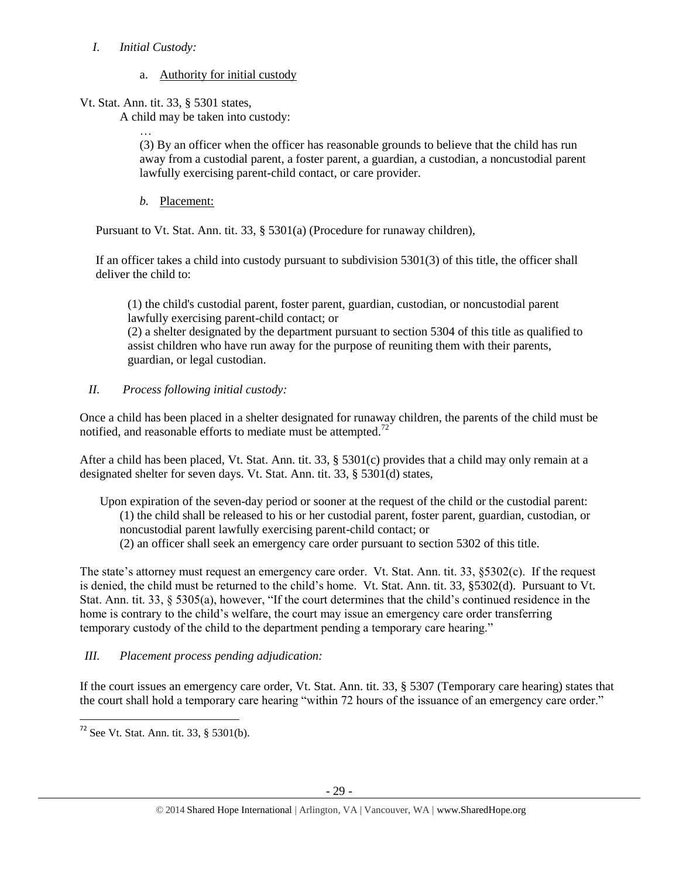# *I. Initial Custody:*

# a. Authority for initial custody

Vt. Stat. Ann. tit. 33, § 5301 states,

A child may be taken into custody:

… (3) By an officer when the officer has reasonable grounds to believe that the child has run away from a custodial parent, a foster parent, a guardian, a custodian, a noncustodial parent lawfully exercising parent-child contact, or care provider.

*b.* Placement:

Pursuant to Vt. Stat. Ann. tit. 33, § 5301(a) (Procedure for runaway children),

If an officer takes a child into custody pursuant to subdivision 5301(3) of this title, the officer shall deliver the child to:

(1) the child's custodial parent, foster parent, guardian, custodian, or noncustodial parent lawfully exercising parent-child contact; or

(2) a shelter designated by the department pursuant to section 5304 of this title as qualified to assist children who have run away for the purpose of reuniting them with their parents, guardian, or legal custodian.

# *II. Process following initial custody:*

Once a child has been placed in a shelter designated for runaway children, the parents of the child must be notified, and reasonable efforts to mediate must be attempted.<sup>72</sup>

After a child has been placed, Vt. Stat. Ann. tit. 33, § 5301(c) provides that a child may only remain at a designated shelter for seven days. Vt. Stat. Ann. tit. 33, § 5301(d) states,

Upon expiration of the seven-day period or sooner at the request of the child or the custodial parent: (1) the child shall be released to his or her custodial parent, foster parent, guardian, custodian, or noncustodial parent lawfully exercising parent-child contact; or (2) an officer shall seek an emergency care order pursuant to section 5302 of this title.

The state's attorney must request an emergency care order. Vt. Stat. Ann. tit. 33, §5302(c). If the request is denied, the child must be returned to the child's home. Vt. Stat. Ann. tit. 33, §5302(d). Pursuant to Vt. Stat. Ann. tit. 33, § 5305(a), however, "If the court determines that the child's continued residence in the home is contrary to the child's welfare, the court may issue an emergency care order transferring temporary custody of the child to the department pending a temporary care hearing."

# *III. Placement process pending adjudication:*

If the court issues an emergency care order, Vt. Stat. Ann. tit. 33, § 5307 (Temporary care hearing) states that the court shall hold a temporary care hearing "within 72 hours of the issuance of an emergency care order."

 $\overline{a}$  $72$  See Vt. Stat. Ann. tit. 33, § 5301(b).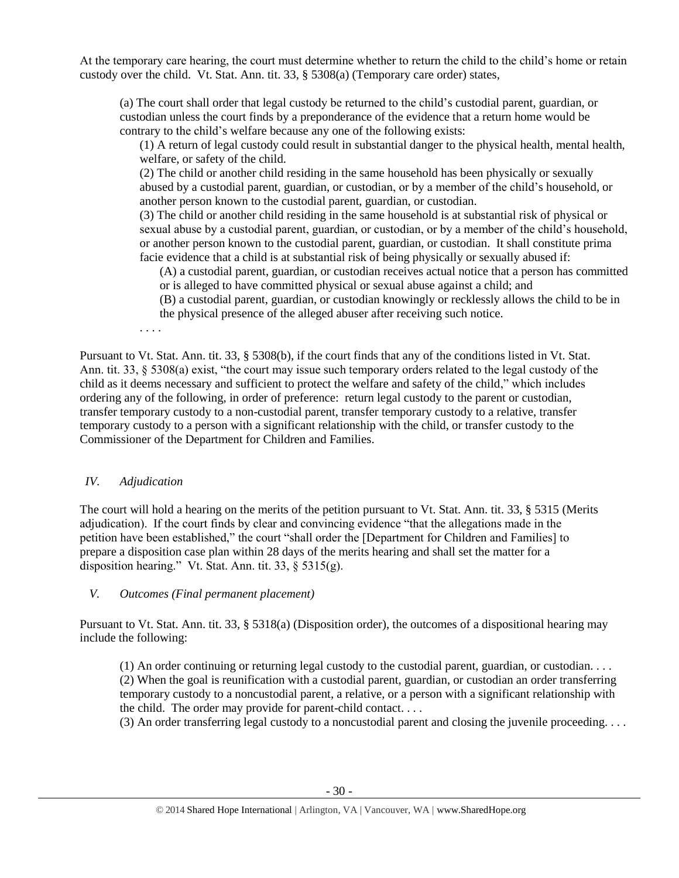At the temporary care hearing, the court must determine whether to return the child to the child's home or retain custody over the child. Vt. Stat. Ann. tit. 33, § 5308(a) (Temporary care order) states,

(a) The court shall order that legal custody be returned to the child's custodial parent, guardian, or custodian unless the court finds by a preponderance of the evidence that a return home would be contrary to the child's welfare because any one of the following exists:

(1) A return of legal custody could result in substantial danger to the physical health, mental health, welfare, or safety of the child.

(2) The child or another child residing in the same household has been physically or sexually abused by a custodial parent, guardian, or custodian, or by a member of the child's household, or another person known to the custodial parent, guardian, or custodian.

(3) The child or another child residing in the same household is at substantial risk of physical or sexual abuse by a custodial parent, guardian, or custodian, or by a member of the child's household, or another person known to the custodial parent, guardian, or custodian. It shall constitute prima facie evidence that a child is at substantial risk of being physically or sexually abused if:

(A) a custodial parent, guardian, or custodian receives actual notice that a person has committed or is alleged to have committed physical or sexual abuse against a child; and

(B) a custodial parent, guardian, or custodian knowingly or recklessly allows the child to be in the physical presence of the alleged abuser after receiving such notice.

. . . .

Pursuant to Vt. Stat. Ann. tit. 33, § 5308(b), if the court finds that any of the conditions listed in Vt. Stat. Ann. tit. 33, § 5308(a) exist, "the court may issue such temporary orders related to the legal custody of the child as it deems necessary and sufficient to protect the welfare and safety of the child," which includes ordering any of the following, in order of preference: return legal custody to the parent or custodian, transfer temporary custody to a non-custodial parent, transfer temporary custody to a relative, transfer temporary custody to a person with a significant relationship with the child, or transfer custody to the Commissioner of the Department for Children and Families.

# *IV. Adjudication*

The court will hold a hearing on the merits of the petition pursuant to Vt. Stat. Ann. tit. 33, § 5315 (Merits adjudication). If the court finds by clear and convincing evidence "that the allegations made in the petition have been established," the court "shall order the [Department for Children and Families] to prepare a disposition case plan within 28 days of the merits hearing and shall set the matter for a disposition hearing." Vt. Stat. Ann. tit. 33, § 5315(g).

# *V. Outcomes (Final permanent placement)*

Pursuant to Vt. Stat. Ann. tit. 33, § 5318(a) (Disposition order), the outcomes of a dispositional hearing may include the following:

(1) An order continuing or returning legal custody to the custodial parent, guardian, or custodian. . . . (2) When the goal is reunification with a custodial parent, guardian, or custodian an order transferring temporary custody to a noncustodial parent, a relative, or a person with a significant relationship with the child. The order may provide for parent-child contact. . . .

(3) An order transferring legal custody to a noncustodial parent and closing the juvenile proceeding. . . .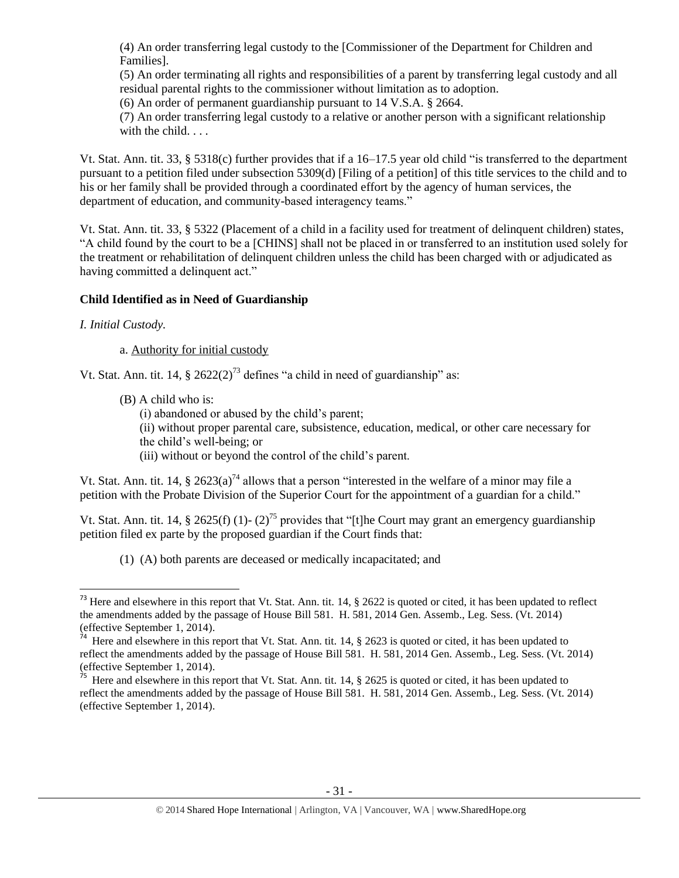(4) An order transferring legal custody to the [Commissioner of the Department for Children and Families].

(5) An order terminating all rights and responsibilities of a parent by transferring legal custody and all residual parental rights to the commissioner without limitation as to adoption.

(6) An order of permanent guardianship pursuant to 14 V.S.A. § 2664.

(7) An order transferring legal custody to a relative or another person with a significant relationship with the child. . . .

Vt. Stat. Ann. tit. 33, § 5318(c) further provides that if a 16–17.5 year old child "is transferred to the department pursuant to a petition filed under subsection 5309(d) [Filing of a petition] of this title services to the child and to his or her family shall be provided through a coordinated effort by the agency of human services, the department of education, and community-based interagency teams."

Vt. Stat. Ann. tit. 33, § 5322 (Placement of a child in a facility used for treatment of delinquent children) states, "A child found by the court to be a [CHINS] shall not be placed in or transferred to an institution used solely for the treatment or rehabilitation of delinquent children unless the child has been charged with or adjudicated as having committed a delinquent act."

# **Child Identified as in Need of Guardianship**

# *I. Initial Custody.*

# a. Authority for initial custody

Vt. Stat. Ann. tit. 14,  $\S 2622(2)^{73}$  defines "a child in need of guardianship" as:

(B) A child who is:

(i) abandoned or abused by the child's parent;

(ii) without proper parental care, subsistence, education, medical, or other care necessary for the child's well-being; or

(iii) without or beyond the control of the child's parent.

Vt. Stat. Ann. tit. 14,  $\frac{8}{2623(a)^{74}}$  allows that a person "interested in the welfare of a minor may file a petition with the Probate Division of the Superior Court for the appointment of a guardian for a child."

Vt. Stat. Ann. tit. 14, § 2625(f) (1)- (2)<sup>75</sup> provides that "[t]he Court may grant an emergency guardianship petition filed ex parte by the proposed guardian if the Court finds that:

(1) (A) both parents are deceased or medically incapacitated; and

 $\overline{\phantom{a}}$  $73$  Here and elsewhere in this report that Vt. Stat. Ann. tit. 14,  $\S$  2622 is quoted or cited, it has been updated to reflect the amendments added by the passage of House Bill 581. H. 581, 2014 Gen. Assemb., Leg. Sess. (Vt. 2014) (effective September 1, 2014).

<sup>&</sup>lt;sup>74</sup> Here and elsewhere in this report that Vt. Stat. Ann. tit. 14, § 2623 is quoted or cited, it has been updated to reflect the amendments added by the passage of House Bill 581. H. 581, 2014 Gen. Assemb., Leg. Sess. (Vt. 2014) (effective September 1, 2014).

<sup>&</sup>lt;sup>75</sup> Here and elsewhere in this report that Vt. Stat. Ann. tit.  $14, \frac{8}{9}$  2625 is quoted or cited, it has been updated to reflect the amendments added by the passage of House Bill 581. H. 581, 2014 Gen. Assemb., Leg. Sess. (Vt. 2014) (effective September 1, 2014).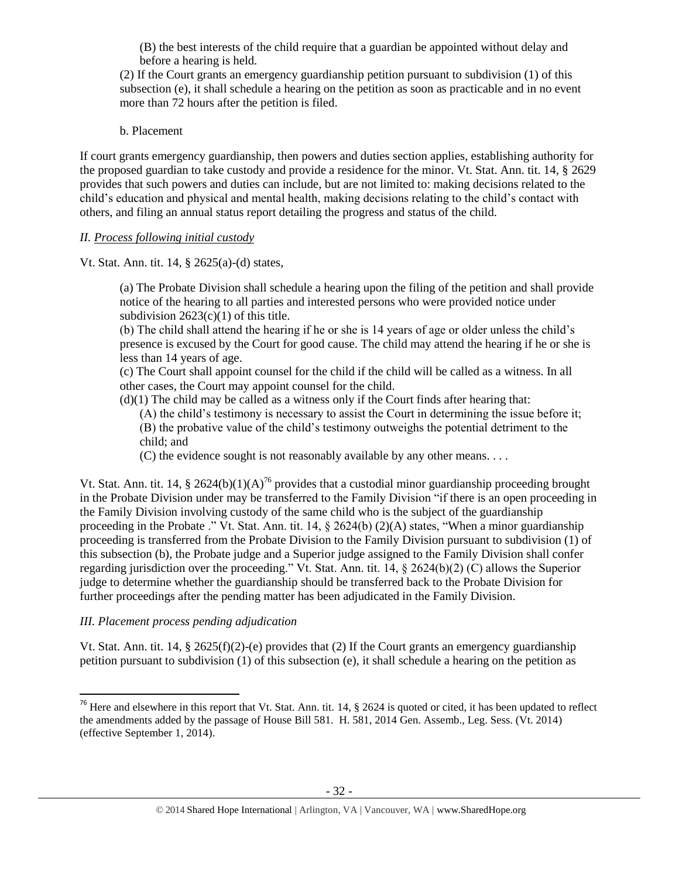(B) the best interests of the child require that a guardian be appointed without delay and before a hearing is held.

(2) If the Court grants an emergency guardianship petition pursuant to subdivision (1) of this subsection (e), it shall schedule a hearing on the petition as soon as practicable and in no event more than 72 hours after the petition is filed.

## b. Placement

If court grants emergency guardianship, then powers and duties section applies, establishing authority for the proposed guardian to take custody and provide a residence for the minor. Vt. Stat. Ann. tit. 14, § 2629 provides that such powers and duties can include, but are not limited to: making decisions related to the child's education and physical and mental health, making decisions relating to the child's contact with others, and filing an annual status report detailing the progress and status of the child.

# *II. Process following initial custody*

Vt. Stat. Ann. tit. 14, § 2625(a)-(d) states,

(a) The Probate Division shall schedule a hearing upon the filing of the petition and shall provide notice of the hearing to all parties and interested persons who were provided notice under subdivision  $2623(c)(1)$  of this title.

(b) The child shall attend the hearing if he or she is 14 years of age or older unless the child's presence is excused by the Court for good cause. The child may attend the hearing if he or she is less than 14 years of age.

(c) The Court shall appoint counsel for the child if the child will be called as a witness. In all other cases, the Court may appoint counsel for the child.

 $(d)(1)$  The child may be called as a witness only if the Court finds after hearing that:

(A) the child's testimony is necessary to assist the Court in determining the issue before it; (B) the probative value of the child's testimony outweighs the potential detriment to the child; and

(C) the evidence sought is not reasonably available by any other means. . . .

Vt. Stat. Ann. tit. 14, § 2624(b)(1)(A)<sup>76</sup> provides that a custodial minor guardianship proceeding brought in the Probate Division under may be transferred to the Family Division "if there is an open proceeding in the Family Division involving custody of the same child who is the subject of the guardianship proceeding in the Probate ." Vt. Stat. Ann. tit. 14, § 2624(b) (2)(A) states, "When a minor guardianship proceeding is transferred from the Probate Division to the Family Division pursuant to subdivision (1) of this subsection (b), the Probate judge and a Superior judge assigned to the Family Division shall confer regarding jurisdiction over the proceeding." Vt. Stat. Ann. tit. 14, § 2624(b)(2) (C) allows the Superior judge to determine whether the guardianship should be transferred back to the Probate Division for further proceedings after the pending matter has been adjudicated in the Family Division.

# *III. Placement process pending adjudication*

 $\overline{\phantom{a}}$ 

Vt. Stat. Ann. tit. 14, § 2625(f)(2)-(e) provides that (2) If the Court grants an emergency guardianship petition pursuant to subdivision (1) of this subsection (e), it shall schedule a hearing on the petition as

<sup>&</sup>lt;sup>76</sup> Here and elsewhere in this report that Vt. Stat. Ann. tit. 14,  $\S$  2624 is quoted or cited, it has been updated to reflect the amendments added by the passage of House Bill 581. H. 581, 2014 Gen. Assemb., Leg. Sess. (Vt. 2014) (effective September 1, 2014).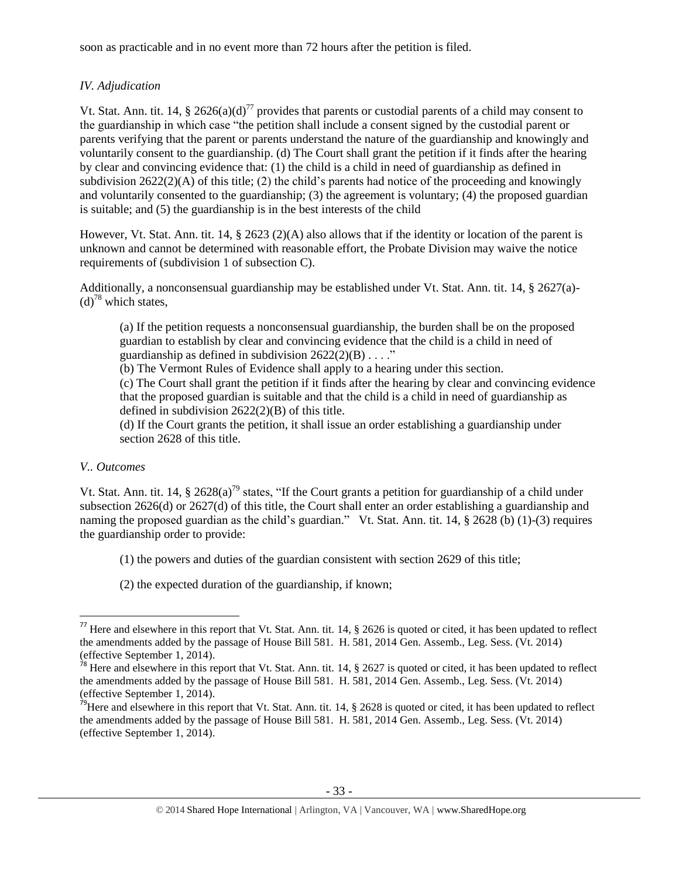soon as practicable and in no event more than 72 hours after the petition is filed.

# *IV. Adjudication*

Vt. Stat. Ann. tit. 14, § 2626(a)(d)<sup>77</sup> provides that parents or custodial parents of a child may consent to the guardianship in which case "the petition shall include a consent signed by the custodial parent or parents verifying that the parent or parents understand the nature of the guardianship and knowingly and voluntarily consent to the guardianship. (d) The Court shall grant the petition if it finds after the hearing by clear and convincing evidence that: (1) the child is a child in need of guardianship as defined in subdivision  $2622(2)(A)$  of this title; (2) the child's parents had notice of the proceeding and knowingly and voluntarily consented to the guardianship; (3) the agreement is voluntary; (4) the proposed guardian is suitable; and (5) the guardianship is in the best interests of the child

However, Vt. Stat. Ann. tit. 14, § 2623 (2)(A) also allows that if the identity or location of the parent is unknown and cannot be determined with reasonable effort, the Probate Division may waive the notice requirements of (subdivision 1 of subsection C).

Additionally, a nonconsensual guardianship may be established under Vt. Stat. Ann. tit. 14, § 2627(a)-  $(d)<sup>78</sup>$  which states,

(a) If the petition requests a nonconsensual guardianship, the burden shall be on the proposed guardian to establish by clear and convincing evidence that the child is a child in need of guardianship as defined in subdivision  $2622(2)(B) \ldots$ ."

(b) The Vermont Rules of Evidence shall apply to a hearing under this section.

(c) The Court shall grant the petition if it finds after the hearing by clear and convincing evidence that the proposed guardian is suitable and that the child is a child in need of guardianship as defined in subdivision 2622(2)(B) of this title.

(d) If the Court grants the petition, it shall issue an order establishing a guardianship under section 2628 of this title.

# *V.. Outcomes*

 $\overline{\phantom{a}}$ 

Vt. Stat. Ann. tit. 14, § 2628(a)<sup>79</sup> states, "If the Court grants a petition for guardianship of a child under subsection 2626(d) or 2627(d) of this title, the Court shall enter an order establishing a guardianship and naming the proposed guardian as the child's guardian." Vt. Stat. Ann. tit. 14, § 2628 (b) (1)-(3) requires the guardianship order to provide:

- (1) the powers and duties of the guardian consistent with section 2629 of this title;
- (2) the expected duration of the guardianship, if known;

<sup>&</sup>lt;sup>77</sup> Here and elsewhere in this report that Vt. Stat. Ann. tit. 14,  $\S$  2626 is quoted or cited, it has been updated to reflect the amendments added by the passage of House Bill 581. H. 581, 2014 Gen. Assemb., Leg. Sess. (Vt. 2014) (effective September 1, 2014).

<sup>&</sup>lt;sup>78</sup> Here and elsewhere in this report that Vt. Stat. Ann. tit. 14,  $\S$  2627 is quoted or cited, it has been updated to reflect the amendments added by the passage of House Bill 581. H. 581, 2014 Gen. Assemb., Leg. Sess. (Vt. 2014) (effective September 1, 2014).

<sup>&</sup>lt;sup>79</sup>Here and elsewhere in this report that Vt. Stat. Ann. tit. 14,  $\S$  2628 is quoted or cited, it has been updated to reflect the amendments added by the passage of House Bill 581. H. 581, 2014 Gen. Assemb., Leg. Sess. (Vt. 2014) (effective September 1, 2014).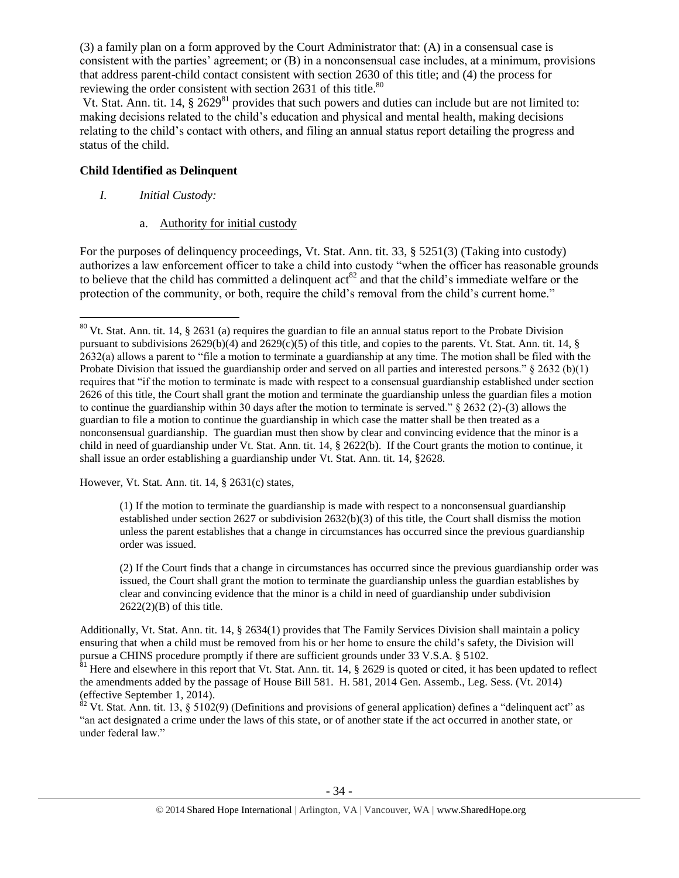(3) a family plan on a form approved by the Court Administrator that: (A) in a consensual case is consistent with the parties' agreement; or (B) in a nonconsensual case includes, at a minimum, provisions that address parent-child contact consistent with section 2630 of this title; and (4) the process for reviewing the order consistent with section 2631 of this title.<sup>80</sup>

Vt. Stat. Ann. tit. 14, § 2629<sup>81</sup> provides that such powers and duties can include but are not limited to: making decisions related to the child's education and physical and mental health, making decisions relating to the child's contact with others, and filing an annual status report detailing the progress and status of the child.

# **Child Identified as Delinquent**

*I. Initial Custody:* 

 $\overline{\phantom{a}}$ 

a. Authority for initial custody

For the purposes of delinquency proceedings, Vt. Stat. Ann. tit. 33, § 5251(3) (Taking into custody) authorizes a law enforcement officer to take a child into custody "when the officer has reasonable grounds to believe that the child has committed a delinquent  $\arctan^{82}$  and that the child's immediate welfare or the protection of the community, or both, require the child's removal from the child's current home."

However, Vt. Stat. Ann. tit. 14, § 2631(c) states,

(1) If the motion to terminate the guardianship is made with respect to a nonconsensual guardianship established under section 2627 or subdivision 2632(b)(3) of this title, the Court shall dismiss the motion unless the parent establishes that a change in circumstances has occurred since the previous guardianship order was issued.

(2) If the Court finds that a change in circumstances has occurred since the previous guardianship order was issued, the Court shall grant the motion to terminate the guardianship unless the guardian establishes by clear and convincing evidence that the minor is a child in need of guardianship under subdivision 2622(2)(B) of this title.

Additionally, Vt. Stat. Ann. tit. 14, § 2634(1) provides that The Family Services Division shall maintain a policy ensuring that when a child must be removed from his or her home to ensure the child's safety, the Division will pursue a CHINS procedure promptly if there are sufficient grounds under 33 V.S.A. § 5102.

 $81$  Here and elsewhere in this report that Vt. Stat. Ann. tit. 14, § 2629 is quoted or cited, it has been updated to reflect the amendments added by the passage of House Bill 581. H. 581, 2014 Gen. Assemb., Leg. Sess. (Vt. 2014) (effective September 1, 2014).

 $82$  Vt. Stat. Ann. tit. 13, § 5102(9) (Definitions and provisions of general application) defines a "delinquent act" as "an act designated a crime under the laws of this state, or of another state if the act occurred in another state, or under federal law."

 $80$  Vt. Stat. Ann. tit. 14, § 2631 (a) requires the guardian to file an annual status report to the Probate Division pursuant to subdivisions  $2629(b)(4)$  and  $2629(c)(5)$  of this title, and copies to the parents. Vt. Stat. Ann. tit. 14, § 2632(a) allows a parent to "file a motion to terminate a guardianship at any time. The motion shall be filed with the Probate Division that issued the guardianship order and served on all parties and interested persons."  $\S 2632$  (b)(1) requires that "if the motion to terminate is made with respect to a consensual guardianship established under section 2626 of this title, the Court shall grant the motion and terminate the guardianship unless the guardian files a motion to continue the guardianship within 30 days after the motion to terminate is served." § 2632 (2)-(3) allows the guardian to file a motion to continue the guardianship in which case the matter shall be then treated as a nonconsensual guardianship. The guardian must then show by clear and convincing evidence that the minor is a child in need of guardianship under Vt. Stat. Ann. tit. 14, § 2622(b). If the Court grants the motion to continue, it shall issue an order establishing a guardianship under Vt. Stat. Ann. tit. 14, §2628.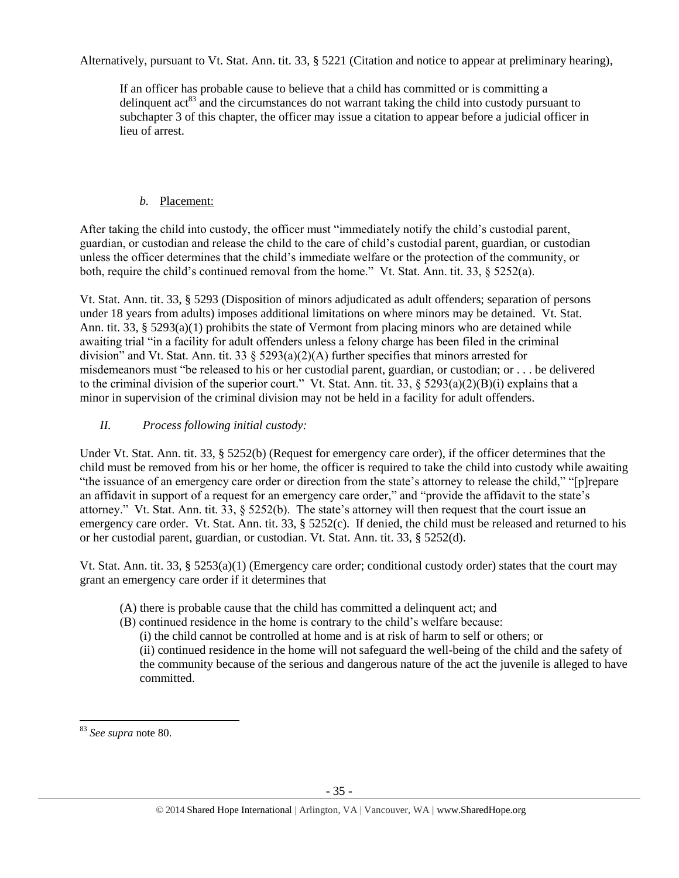Alternatively, pursuant to Vt. Stat. Ann. tit. 33, § 5221 (Citation and notice to appear at preliminary hearing),

If an officer has probable cause to believe that a child has committed or is committing a delinquent act<sup>83</sup> and the circumstances do not warrant taking the child into custody pursuant to subchapter 3 of this chapter, the officer may issue a citation to appear before a judicial officer in lieu of arrest.

# *b.* Placement:

After taking the child into custody, the officer must "immediately notify the child's custodial parent, guardian, or custodian and release the child to the care of child's custodial parent, guardian, or custodian unless the officer determines that the child's immediate welfare or the protection of the community, or both, require the child's continued removal from the home." Vt. Stat. Ann. tit. 33, § 5252(a).

Vt. Stat. Ann. tit. 33, § 5293 (Disposition of minors adjudicated as adult offenders; separation of persons under 18 years from adults) imposes additional limitations on where minors may be detained. Vt. Stat. Ann. tit. 33, § 5293(a)(1) prohibits the state of Vermont from placing minors who are detained while awaiting trial "in a facility for adult offenders unless a felony charge has been filed in the criminal division" and Vt. Stat. Ann. tit. 33 § 5293(a)(2)(A) further specifies that minors arrested for misdemeanors must "be released to his or her custodial parent, guardian, or custodian; or . . . be delivered to the criminal division of the superior court." Vt. Stat. Ann. tit. 33, § 5293(a)(2)(B)(i) explains that a minor in supervision of the criminal division may not be held in a facility for adult offenders.

# *II. Process following initial custody:*

Under Vt. Stat. Ann. tit. 33, § 5252(b) (Request for emergency care order), if the officer determines that the child must be removed from his or her home, the officer is required to take the child into custody while awaiting "the issuance of an emergency care order or direction from the state's attorney to release the child," "[p]repare an affidavit in support of a request for an emergency care order," and "provide the affidavit to the state's attorney." Vt. Stat. Ann. tit. 33, § 5252(b). The state's attorney will then request that the court issue an emergency care order. Vt. Stat. Ann. tit. 33, § 5252(c). If denied, the child must be released and returned to his or her custodial parent, guardian, or custodian. Vt. Stat. Ann. tit. 33, § 5252(d).

Vt. Stat. Ann. tit. 33, § 5253(a)(1) (Emergency care order; conditional custody order) states that the court may grant an emergency care order if it determines that

- (A) there is probable cause that the child has committed a delinquent act; and
- (B) continued residence in the home is contrary to the child's welfare because:
	- (i) the child cannot be controlled at home and is at risk of harm to self or others; or

(ii) continued residence in the home will not safeguard the well-being of the child and the safety of the community because of the serious and dangerous nature of the act the juvenile is alleged to have committed.

 $\overline{a}$ <sup>83</sup> *See supra* note 80.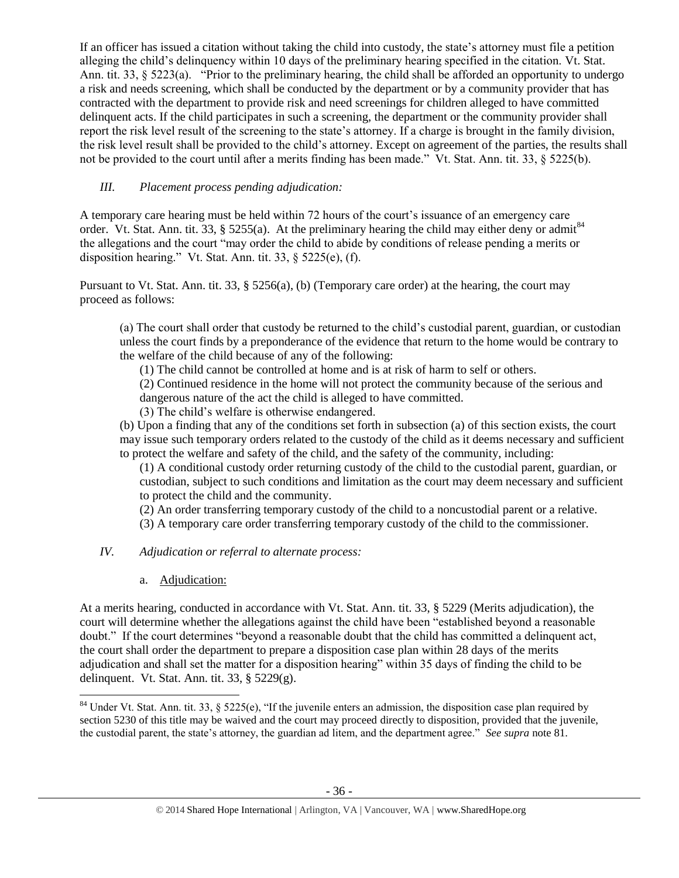If an officer has issued a citation without taking the child into custody, the state's attorney must file a petition alleging the child's delinquency within 10 days of the preliminary hearing specified in the citation. Vt. Stat. Ann. tit. 33,  $\S 5223(a)$ . "Prior to the preliminary hearing, the child shall be afforded an opportunity to undergo a risk and needs screening, which shall be conducted by the department or by a community provider that has contracted with the department to provide risk and need screenings for children alleged to have committed delinquent acts. If the child participates in such a screening, the department or the community provider shall report the risk level result of the screening to the state's attorney. If a charge is brought in the family division, the risk level result shall be provided to the child's attorney. Except on agreement of the parties, the results shall not be provided to the court until after a merits finding has been made." Vt. Stat. Ann. tit. 33, § 5225(b).

# *III. Placement process pending adjudication:*

A temporary care hearing must be held within 72 hours of the court's issuance of an emergency care order. Vt. Stat. Ann. tit. 33, § 5255(a). At the preliminary hearing the child may either deny or admit<sup>84</sup> the allegations and the court "may order the child to abide by conditions of release pending a merits or disposition hearing." Vt. Stat. Ann. tit. 33, § 5225(e), (f).

Pursuant to Vt. Stat. Ann. tit. 33, § 5256(a), (b) (Temporary care order) at the hearing, the court may proceed as follows:

(a) The court shall order that custody be returned to the child's custodial parent, guardian, or custodian unless the court finds by a preponderance of the evidence that return to the home would be contrary to the welfare of the child because of any of the following:

(1) The child cannot be controlled at home and is at risk of harm to self or others.

(2) Continued residence in the home will not protect the community because of the serious and dangerous nature of the act the child is alleged to have committed.

(3) The child's welfare is otherwise endangered.

(b) Upon a finding that any of the conditions set forth in subsection (a) of this section exists, the court may issue such temporary orders related to the custody of the child as it deems necessary and sufficient to protect the welfare and safety of the child, and the safety of the community, including:

(1) A conditional custody order returning custody of the child to the custodial parent, guardian, or custodian, subject to such conditions and limitation as the court may deem necessary and sufficient to protect the child and the community.

(2) An order transferring temporary custody of the child to a noncustodial parent or a relative.

(3) A temporary care order transferring temporary custody of the child to the commissioner.

# *IV. Adjudication or referral to alternate process:*

a. Adjudication:

At a merits hearing, conducted in accordance with Vt. Stat. Ann. tit. 33, § 5229 (Merits adjudication), the court will determine whether the allegations against the child have been "established beyond a reasonable doubt." If the court determines "beyond a reasonable doubt that the child has committed a delinquent act, the court shall order the department to prepare a disposition case plan within 28 days of the merits adjudication and shall set the matter for a disposition hearing" within 35 days of finding the child to be delinquent. Vt. Stat. Ann. tit. 33, § 5229(g).

 $\overline{\phantom{a}}$ <sup>84</sup> Under Vt. Stat. Ann. tit. 33, § 5225(e), "If the juvenile enters an admission, the disposition case plan required by section 5230 of this title may be waived and the court may proceed directly to disposition, provided that the juvenile, the custodial parent, the state's attorney, the guardian ad litem, and the department agree." *See supra* note 81.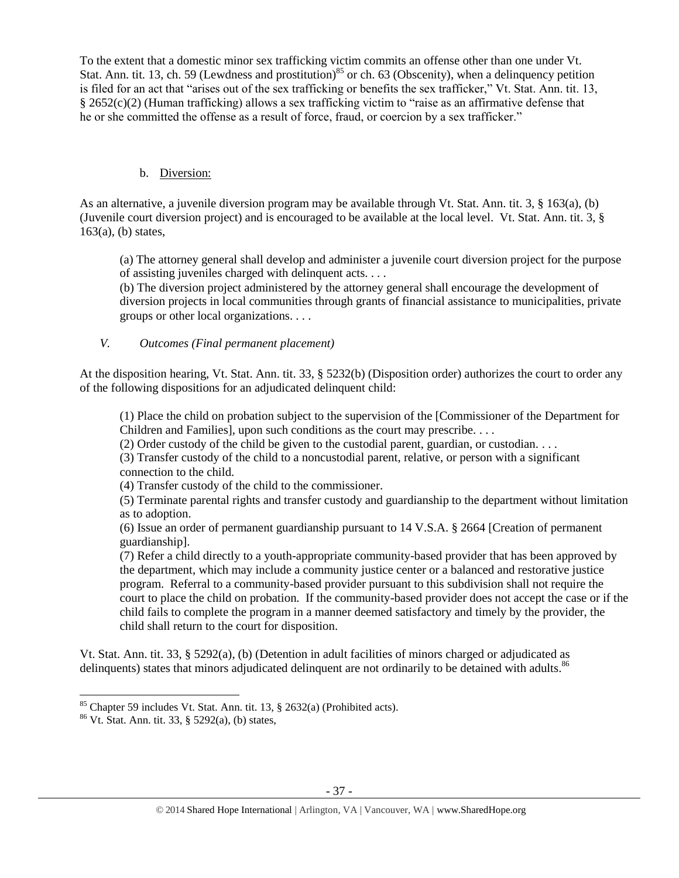To the extent that a domestic minor sex trafficking victim commits an offense other than one under Vt. Stat. Ann. tit. 13, ch. 59 (Lewdness and prostitution)<sup>85</sup> or ch. 63 (Obscenity), when a delinquency petition is filed for an act that "arises out of the sex trafficking or benefits the sex trafficker," Vt. Stat. Ann. tit. 13, § 2652(c)(2) (Human trafficking) allows a sex trafficking victim to "raise as an affirmative defense that he or she committed the offense as a result of force, fraud, or coercion by a sex trafficker."

# b. Diversion:

As an alternative, a juvenile diversion program may be available through Vt. Stat. Ann. tit. 3, § 163(a), (b) (Juvenile court diversion project) and is encouraged to be available at the local level. Vt. Stat. Ann. tit. 3, §  $163(a)$ , (b) states,

(a) The attorney general shall develop and administer a juvenile court diversion project for the purpose of assisting juveniles charged with delinquent acts. . . .

(b) The diversion project administered by the attorney general shall encourage the development of diversion projects in local communities through grants of financial assistance to municipalities, private groups or other local organizations. . . .

# *V. Outcomes (Final permanent placement)*

At the disposition hearing, Vt. Stat. Ann. tit. 33, § 5232(b) (Disposition order) authorizes the court to order any of the following dispositions for an adjudicated delinquent child:

(1) Place the child on probation subject to the supervision of the [Commissioner of the Department for Children and Families], upon such conditions as the court may prescribe. . . .

(2) Order custody of the child be given to the custodial parent, guardian, or custodian. . . .

(3) Transfer custody of the child to a noncustodial parent, relative, or person with a significant connection to the child.

(4) Transfer custody of the child to the commissioner.

(5) Terminate parental rights and transfer custody and guardianship to the department without limitation as to adoption.

(6) Issue an order of permanent guardianship pursuant to 14 V.S.A. § 2664 [Creation of permanent guardianship].

(7) Refer a child directly to a youth-appropriate community-based provider that has been approved by the department, which may include a community justice center or a balanced and restorative justice program. Referral to a community-based provider pursuant to this subdivision shall not require the court to place the child on probation. If the community-based provider does not accept the case or if the child fails to complete the program in a manner deemed satisfactory and timely by the provider, the child shall return to the court for disposition.

Vt. Stat. Ann. tit. 33, § 5292(a), (b) (Detention in adult facilities of minors charged or adjudicated as delinquents) states that minors adjudicated delinquent are not ordinarily to be detained with adults.<sup>86</sup>

 $\overline{\phantom{a}}$  $85$  Chapter 59 includes Vt. Stat. Ann. tit. 13,  $\S$  2632(a) (Prohibited acts).

<sup>86</sup> Vt. Stat. Ann. tit. 33, § 5292(a), (b) states,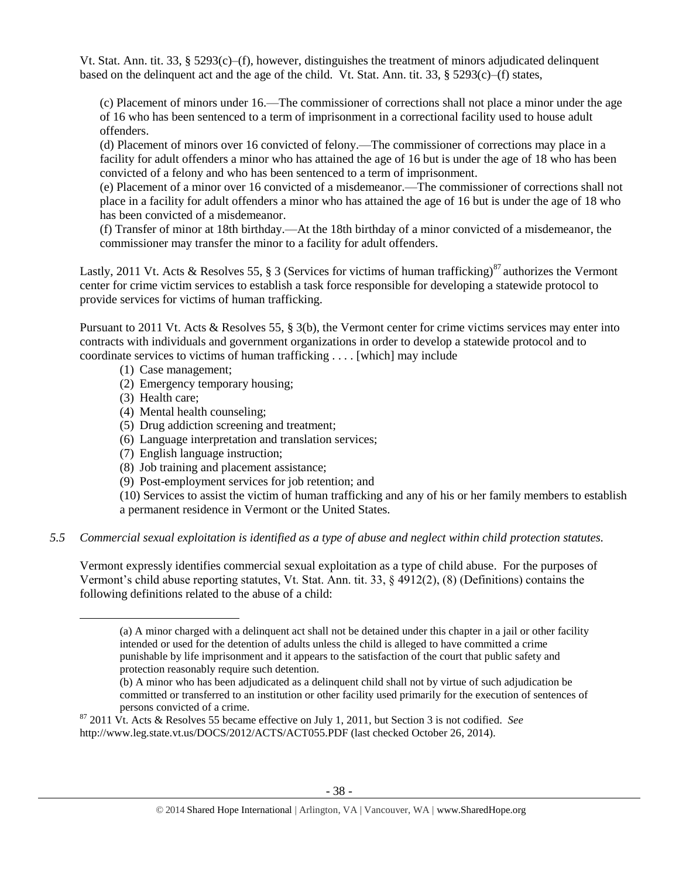Vt. Stat. Ann. tit. 33, §  $5293(c)$ –(f), however, distinguishes the treatment of minors adjudicated delinquent based on the delinquent act and the age of the child. Vt. Stat. Ann. tit. 33,  $\S 5293(c)$ –(f) states,

(c) Placement of minors under 16.—The commissioner of corrections shall not place a minor under the age of 16 who has been sentenced to a term of imprisonment in a correctional facility used to house adult offenders.

(d) Placement of minors over 16 convicted of felony.—The commissioner of corrections may place in a facility for adult offenders a minor who has attained the age of 16 but is under the age of 18 who has been convicted of a felony and who has been sentenced to a term of imprisonment.

(e) Placement of a minor over 16 convicted of a misdemeanor.—The commissioner of corrections shall not place in a facility for adult offenders a minor who has attained the age of 16 but is under the age of 18 who has been convicted of a misdemeanor.

(f) Transfer of minor at 18th birthday.—At the 18th birthday of a minor convicted of a misdemeanor, the commissioner may transfer the minor to a facility for adult offenders.

Lastly, 2011 Vt. Acts & Resolves 55, § 3 (Services for victims of human trafficking)<sup>87</sup> authorizes the Vermont center for crime victim services to establish a task force responsible for developing a statewide protocol to provide services for victims of human trafficking.

Pursuant to 2011 Vt. Acts & Resolves 55, § 3(b), the Vermont center for crime victims services may enter into contracts with individuals and government organizations in order to develop a statewide protocol and to coordinate services to victims of human trafficking . . . . [which] may include

- (1) Case management;
- (2) Emergency temporary housing;
- (3) Health care;

 $\overline{\phantom{a}}$ 

- (4) Mental health counseling;
- (5) Drug addiction screening and treatment;
- (6) Language interpretation and translation services;
- (7) English language instruction;
- (8) Job training and placement assistance;
- (9) Post-employment services for job retention; and

(10) Services to assist the victim of human trafficking and any of his or her family members to establish a permanent residence in Vermont or the United States.

## *5.5 Commercial sexual exploitation is identified as a type of abuse and neglect within child protection statutes.*

Vermont expressly identifies commercial sexual exploitation as a type of child abuse. For the purposes of Vermont's child abuse reporting statutes, Vt. Stat. Ann. tit. 33, § 4912(2), (8) (Definitions) contains the following definitions related to the abuse of a child:

<sup>(</sup>a) A minor charged with a delinquent act shall not be detained under this chapter in a jail or other facility intended or used for the detention of adults unless the child is alleged to have committed a crime punishable by life imprisonment and it appears to the satisfaction of the court that public safety and protection reasonably require such detention.

<sup>(</sup>b) A minor who has been adjudicated as a delinquent child shall not by virtue of such adjudication be committed or transferred to an institution or other facility used primarily for the execution of sentences of persons convicted of a crime.

<sup>87</sup> 2011 Vt. Acts & Resolves 55 became effective on July 1, 2011, but Section 3 is not codified. *See* http://www.leg.state.vt.us/DOCS/2012/ACTS/ACT055.PDF (last checked October 26, 2014).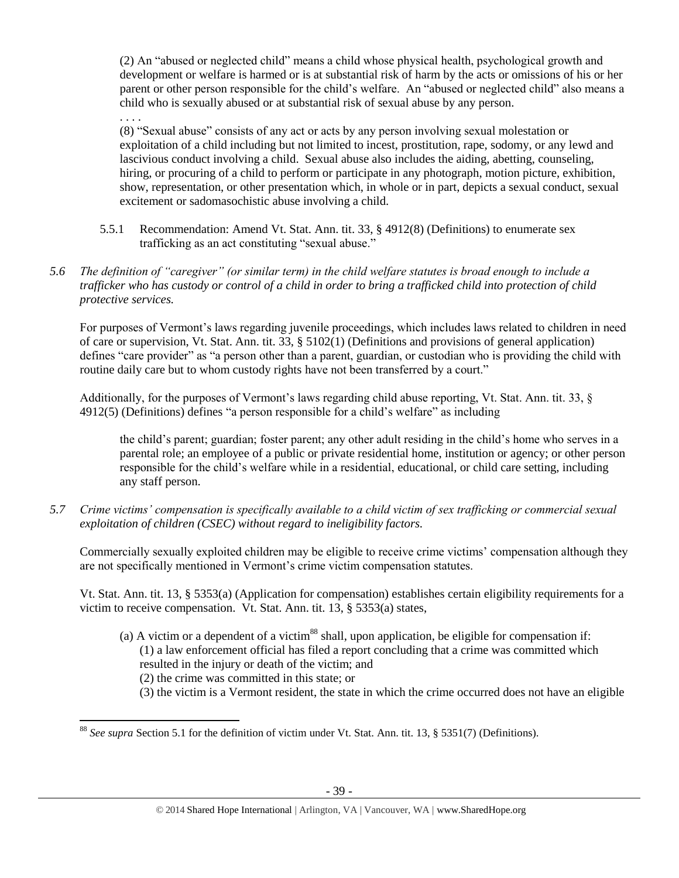(2) An "abused or neglected child" means a child whose physical health, psychological growth and development or welfare is harmed or is at substantial risk of harm by the acts or omissions of his or her parent or other person responsible for the child's welfare. An "abused or neglected child" also means a child who is sexually abused or at substantial risk of sexual abuse by any person.

. . . .

(8) "Sexual abuse" consists of any act or acts by any person involving sexual molestation or exploitation of a child including but not limited to incest, prostitution, rape, sodomy, or any lewd and lascivious conduct involving a child. Sexual abuse also includes the aiding, abetting, counseling, hiring, or procuring of a child to perform or participate in any photograph, motion picture, exhibition, show, representation, or other presentation which, in whole or in part, depicts a sexual conduct, sexual excitement or sadomasochistic abuse involving a child.

- 5.5.1 Recommendation: Amend Vt. Stat. Ann. tit. 33, § 4912(8) (Definitions) to enumerate sex trafficking as an act constituting "sexual abuse."
- *5.6 The definition of "caregiver" (or similar term) in the child welfare statutes is broad enough to include a trafficker who has custody or control of a child in order to bring a trafficked child into protection of child protective services.*

For purposes of Vermont's laws regarding juvenile proceedings, which includes laws related to children in need of care or supervision, Vt. Stat. Ann. tit. 33, § 5102(1) (Definitions and provisions of general application) defines "care provider" as "a person other than a parent, guardian, or custodian who is providing the child with routine daily care but to whom custody rights have not been transferred by a court."

Additionally, for the purposes of Vermont's laws regarding child abuse reporting, Vt. Stat. Ann. tit. 33, § 4912(5) (Definitions) defines "a person responsible for a child's welfare" as including

the child's parent; guardian; foster parent; any other adult residing in the child's home who serves in a parental role; an employee of a public or private residential home, institution or agency; or other person responsible for the child's welfare while in a residential, educational, or child care setting, including any staff person.

*5.7 Crime victims' compensation is specifically available to a child victim of sex trafficking or commercial sexual exploitation of children (CSEC) without regard to ineligibility factors.*

Commercially sexually exploited children may be eligible to receive crime victims' compensation although they are not specifically mentioned in Vermont's crime victim compensation statutes.

Vt. Stat. Ann. tit. 13, § 5353(a) (Application for compensation) establishes certain eligibility requirements for a victim to receive compensation. Vt. Stat. Ann. tit. 13, § 5353(a) states,

(a) A victim or a dependent of a victim<sup>88</sup> shall, upon application, be eligible for compensation if: (1) a law enforcement official has filed a report concluding that a crime was committed which resulted in the injury or death of the victim; and

(2) the crime was committed in this state; or

(3) the victim is a Vermont resident, the state in which the crime occurred does not have an eligible

 $\overline{a}$ <sup>88</sup> *See supra* Section 5.1 for the definition of victim under Vt. Stat. Ann. tit. 13, § 5351(7) (Definitions).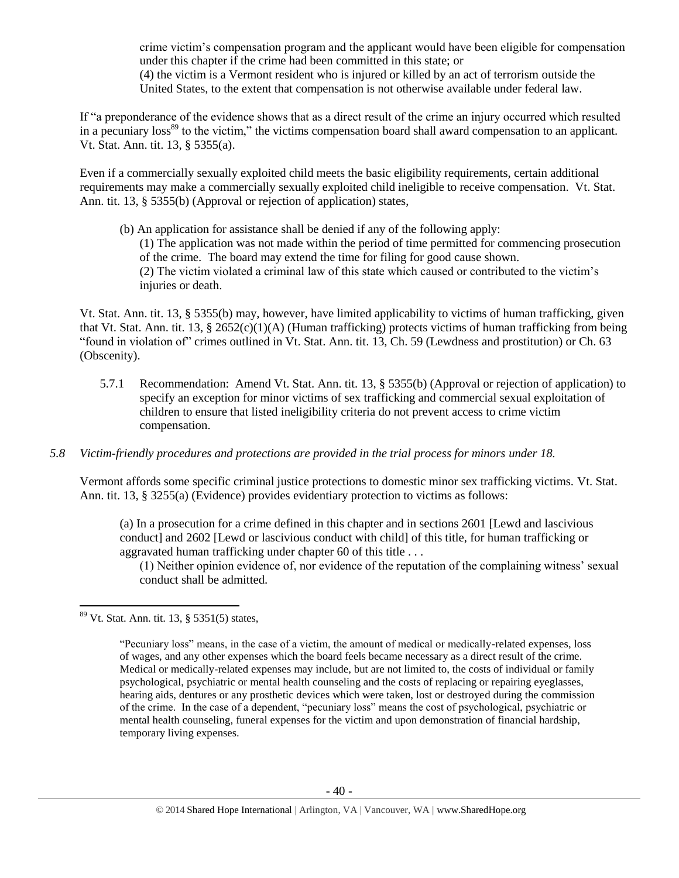crime victim's compensation program and the applicant would have been eligible for compensation under this chapter if the crime had been committed in this state; or (4) the victim is a Vermont resident who is injured or killed by an act of terrorism outside the United States, to the extent that compensation is not otherwise available under federal law.

If "a preponderance of the evidence shows that as a direct result of the crime an injury occurred which resulted in a pecuniary loss<sup>89</sup> to the victim," the victims compensation board shall award compensation to an applicant. Vt. Stat. Ann. tit. 13, § 5355(a).

Even if a commercially sexually exploited child meets the basic eligibility requirements, certain additional requirements may make a commercially sexually exploited child ineligible to receive compensation. Vt. Stat. Ann. tit. 13, § 5355(b) (Approval or rejection of application) states,

(b) An application for assistance shall be denied if any of the following apply: (1) The application was not made within the period of time permitted for commencing prosecution of the crime. The board may extend the time for filing for good cause shown. (2) The victim violated a criminal law of this state which caused or contributed to the victim's injuries or death.

Vt. Stat. Ann. tit. 13, § 5355(b) may, however, have limited applicability to victims of human trafficking, given that Vt. Stat. Ann. tit. 13, § 2652(c)(1)(A) (Human trafficking) protects victims of human trafficking from being "found in violation of" crimes outlined in Vt. Stat. Ann. tit. 13, Ch. 59 (Lewdness and prostitution) or Ch. 63 (Obscenity).

- 5.7.1 Recommendation: Amend Vt. Stat. Ann. tit. 13, § 5355(b) (Approval or rejection of application) to specify an exception for minor victims of sex trafficking and commercial sexual exploitation of children to ensure that listed ineligibility criteria do not prevent access to crime victim compensation.
- *5.8 Victim-friendly procedures and protections are provided in the trial process for minors under 18.*

Vermont affords some specific criminal justice protections to domestic minor sex trafficking victims. Vt. Stat. Ann. tit. 13, § 3255(a) (Evidence) provides evidentiary protection to victims as follows:

(a) In a prosecution for a crime defined in this chapter and in sections 2601 [Lewd and lascivious conduct] and 2602 [Lewd or lascivious conduct with child] of this title, for human trafficking or aggravated human trafficking under chapter 60 of this title . . .

(1) Neither opinion evidence of, nor evidence of the reputation of the complaining witness' sexual conduct shall be admitted.

 $\overline{\phantom{a}}$ <sup>89</sup> Vt. Stat. Ann. tit. 13, § 5351(5) states,

<sup>&</sup>quot;Pecuniary loss" means, in the case of a victim, the amount of medical or medically-related expenses, loss of wages, and any other expenses which the board feels became necessary as a direct result of the crime. Medical or medically-related expenses may include, but are not limited to, the costs of individual or family psychological, psychiatric or mental health counseling and the costs of replacing or repairing eyeglasses, hearing aids, dentures or any prosthetic devices which were taken, lost or destroyed during the commission of the crime. In the case of a dependent, "pecuniary loss" means the cost of psychological, psychiatric or mental health counseling, funeral expenses for the victim and upon demonstration of financial hardship, temporary living expenses.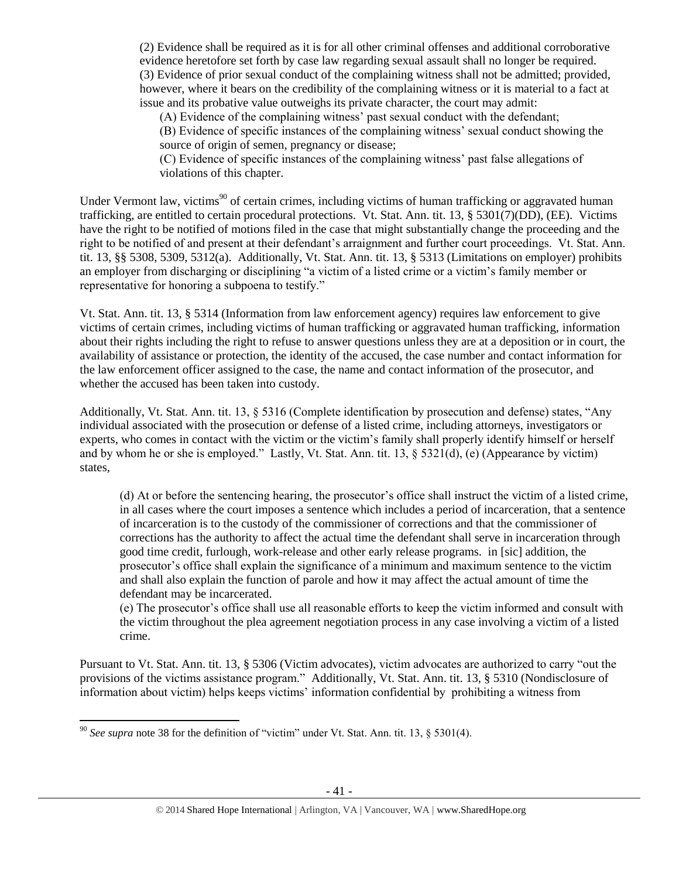(2) Evidence shall be required as it is for all other criminal offenses and additional corroborative evidence heretofore set forth by case law regarding sexual assault shall no longer be required. (3) Evidence of prior sexual conduct of the complaining witness shall not be admitted; provided, however, where it bears on the credibility of the complaining witness or it is material to a fact at issue and its probative value outweighs its private character, the court may admit:

(A) Evidence of the complaining witness' past sexual conduct with the defendant;

(B) Evidence of specific instances of the complaining witness' sexual conduct showing the source of origin of semen, pregnancy or disease;

(C) Evidence of specific instances of the complaining witness' past false allegations of violations of this chapter.

Under Vermont law, victims<sup>90</sup> of certain crimes, including victims of human trafficking or aggravated human trafficking, are entitled to certain procedural protections. Vt. Stat. Ann. tit. 13, § 5301(7)(DD), (EE). Victims have the right to be notified of motions filed in the case that might substantially change the proceeding and the right to be notified of and present at their defendant's arraignment and further court proceedings. Vt. Stat. Ann. tit. 13, §§ 5308, 5309, 5312(a). Additionally, Vt. Stat. Ann. tit. 13, § 5313 (Limitations on employer) prohibits an employer from discharging or disciplining "a victim of a listed crime or a victim's family member or representative for honoring a subpoena to testify."

Vt. Stat. Ann. tit. 13, § 5314 (Information from law enforcement agency) requires law enforcement to give victims of certain crimes, including victims of human trafficking or aggravated human trafficking, information about their rights including the right to refuse to answer questions unless they are at a deposition or in court, the availability of assistance or protection, the identity of the accused, the case number and contact information for the law enforcement officer assigned to the case, the name and contact information of the prosecutor, and whether the accused has been taken into custody.

Additionally, Vt. Stat. Ann. tit. 13, § 5316 (Complete identification by prosecution and defense) states, "Any individual associated with the prosecution or defense of a listed crime, including attorneys, investigators or experts, who comes in contact with the victim or the victim's family shall properly identify himself or herself and by whom he or she is employed." Lastly, Vt. Stat. Ann. tit. 13, § 5321(d), (e) (Appearance by victim) states,

(d) At or before the sentencing hearing, the prosecutor's office shall instruct the victim of a listed crime, in all cases where the court imposes a sentence which includes a period of incarceration, that a sentence of incarceration is to the custody of the commissioner of corrections and that the commissioner of corrections has the authority to affect the actual time the defendant shall serve in incarceration through good time credit, furlough, work-release and other early release programs. in [sic] addition, the prosecutor's office shall explain the significance of a minimum and maximum sentence to the victim and shall also explain the function of parole and how it may affect the actual amount of time the defendant may be incarcerated.

(e) The prosecutor's office shall use all reasonable efforts to keep the victim informed and consult with the victim throughout the plea agreement negotiation process in any case involving a victim of a listed crime.

Pursuant to Vt. Stat. Ann. tit. 13, § 5306 (Victim advocates), victim advocates are authorized to carry "out the provisions of the victims assistance program." Additionally, Vt. Stat. Ann. tit. 13, § 5310 (Nondisclosure of information about victim) helps keeps victims' information confidential by prohibiting a witness from

 $\overline{a}$ <sup>90</sup> *See supra* note [38](#page-10-0) for the definition of "victim" under Vt. Stat. Ann. tit. 13, § 5301(4).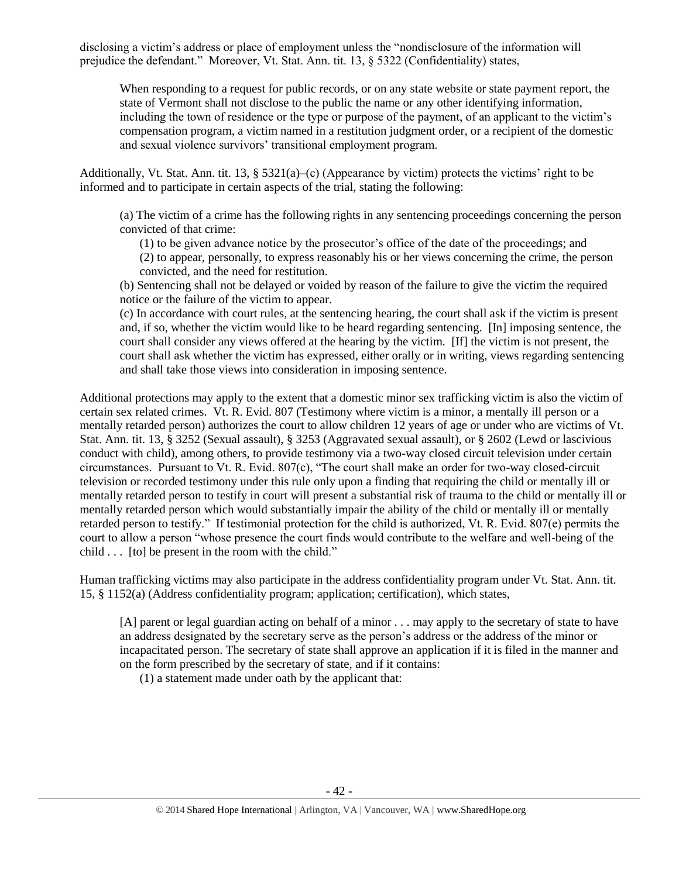disclosing a victim's address or place of employment unless the "nondisclosure of the information will prejudice the defendant." Moreover, Vt. Stat. Ann. tit. 13, § 5322 (Confidentiality) states,

When responding to a request for public records, or on any state website or state payment report, the state of Vermont shall not disclose to the public the name or any other identifying information, including the town of residence or the type or purpose of the payment, of an applicant to the victim's compensation program, a victim named in a restitution judgment order, or a recipient of the domestic and sexual violence survivors' transitional employment program.

Additionally, Vt. Stat. Ann. tit. 13, § 5321(a)–(c) (Appearance by victim) protects the victims' right to be informed and to participate in certain aspects of the trial, stating the following:

(a) The victim of a crime has the following rights in any sentencing proceedings concerning the person convicted of that crime:

(1) to be given advance notice by the prosecutor's office of the date of the proceedings; and

(2) to appear, personally, to express reasonably his or her views concerning the crime, the person convicted, and the need for restitution.

(b) Sentencing shall not be delayed or voided by reason of the failure to give the victim the required notice or the failure of the victim to appear.

(c) In accordance with court rules, at the sentencing hearing, the court shall ask if the victim is present and, if so, whether the victim would like to be heard regarding sentencing. [In] imposing sentence, the court shall consider any views offered at the hearing by the victim. [If] the victim is not present, the court shall ask whether the victim has expressed, either orally or in writing, views regarding sentencing and shall take those views into consideration in imposing sentence.

Additional protections may apply to the extent that a domestic minor sex trafficking victim is also the victim of certain sex related crimes. Vt. R. Evid. 807 (Testimony where victim is a minor, a mentally ill person or a mentally retarded person) authorizes the court to allow children 12 years of age or under who are victims of Vt. Stat. Ann. tit. 13, § 3252 (Sexual assault), § 3253 (Aggravated sexual assault), or § 2602 (Lewd or lascivious conduct with child), among others, to provide testimony via a two-way closed circuit television under certain circumstances. Pursuant to Vt. R. Evid. 807(c), "The court shall make an order for two-way closed-circuit television or recorded testimony under this rule only upon a finding that requiring the child or mentally ill or mentally retarded person to testify in court will present a substantial risk of trauma to the child or mentally ill or mentally retarded person which would substantially impair the ability of the child or mentally ill or mentally retarded person to testify." If testimonial protection for the child is authorized, Vt. R. Evid. 807(e) permits the court to allow a person "whose presence the court finds would contribute to the welfare and well-being of the child . . . [to] be present in the room with the child."

Human trafficking victims may also participate in the address confidentiality program under Vt. Stat. Ann. tit. 15, § 1152(a) (Address confidentiality program; application; certification), which states,

[A] parent or legal guardian acting on behalf of a minor . . . may apply to the secretary of state to have an address designated by the secretary serve as the person's address or the address of the minor or incapacitated person. The secretary of state shall approve an application if it is filed in the manner and on the form prescribed by the secretary of state, and if it contains:

(1) a statement made under oath by the applicant that: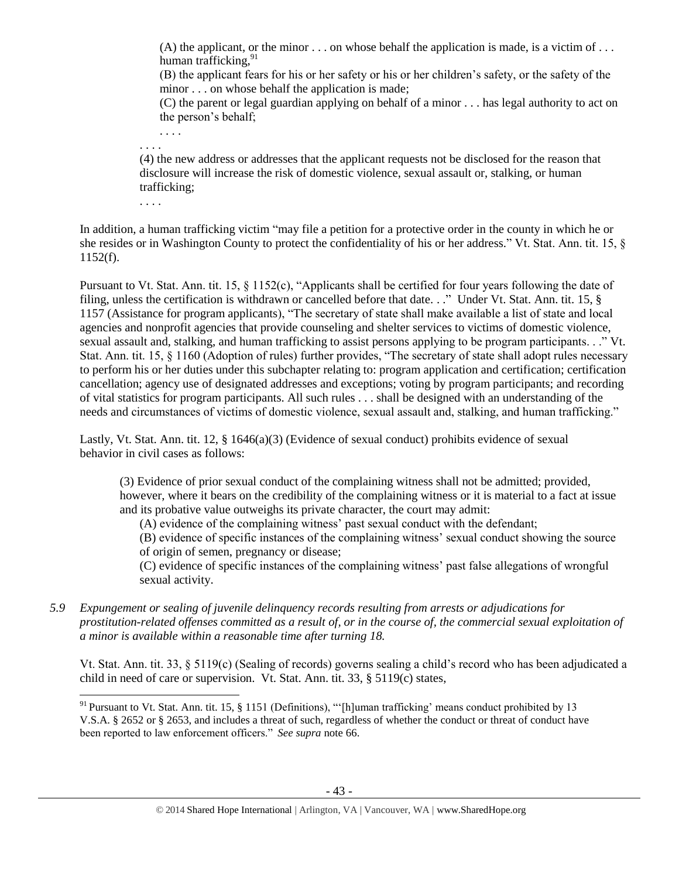(A) the applicant, or the minor  $\ldots$  on whose behalf the application is made, is a victim of  $\ldots$ human trafficking,<sup>91</sup>

(B) the applicant fears for his or her safety or his or her children's safety, or the safety of the minor . . . on whose behalf the application is made;

(C) the parent or legal guardian applying on behalf of a minor . . . has legal authority to act on the person's behalf;

. . . .

. . . .

(4) the new address or addresses that the applicant requests not be disclosed for the reason that disclosure will increase the risk of domestic violence, sexual assault or, stalking, or human trafficking;

. . . .

In addition, a human trafficking victim "may file a petition for a protective order in the county in which he or she resides or in Washington County to protect the confidentiality of his or her address." Vt. Stat. Ann. tit. 15, § 1152(f).

Pursuant to Vt. Stat. Ann. tit. 15, § 1152(c), "Applicants shall be certified for four years following the date of filing, unless the certification is withdrawn or cancelled before that date. . ." Under Vt. Stat. Ann. tit. 15, § 1157 (Assistance for program applicants), "The secretary of state shall make available a list of state and local agencies and nonprofit agencies that provide counseling and shelter services to victims of domestic violence, sexual assault and, stalking, and human trafficking to assist persons applying to be program participants. . ." Vt. Stat. Ann. tit. 15, § 1160 (Adoption of rules) further provides, "The secretary of state shall adopt rules necessary to perform his or her duties under this subchapter relating to: program application and certification; certification cancellation; agency use of designated addresses and exceptions; voting by program participants; and recording of vital statistics for program participants. All such rules . . . shall be designed with an understanding of the needs and circumstances of victims of domestic violence, sexual assault and, stalking, and human trafficking."

Lastly, Vt. Stat. Ann. tit. 12, § 1646(a)(3) (Evidence of sexual conduct) prohibits evidence of sexual behavior in civil cases as follows:

(3) Evidence of prior sexual conduct of the complaining witness shall not be admitted; provided, however, where it bears on the credibility of the complaining witness or it is material to a fact at issue and its probative value outweighs its private character, the court may admit:

(A) evidence of the complaining witness' past sexual conduct with the defendant;

(B) evidence of specific instances of the complaining witness' sexual conduct showing the source of origin of semen, pregnancy or disease;

(C) evidence of specific instances of the complaining witness' past false allegations of wrongful sexual activity.

*5.9 Expungement or sealing of juvenile delinquency records resulting from arrests or adjudications for prostitution-related offenses committed as a result of, or in the course of, the commercial sexual exploitation of a minor is available within a reasonable time after turning 18.*

Vt. Stat. Ann. tit. 33, § 5119(c) (Sealing of records) governs sealing a child's record who has been adjudicated a child in need of care or supervision. Vt. Stat. Ann. tit. 33, § 5119(c) states,

 $\overline{\phantom{a}}$ <sup>91</sup> Pursuant to Vt. Stat. Ann. tit. 15, § 1151 (Definitions), "'[h]uman trafficking' means conduct prohibited by 13 V.S.A. § 2652 or § 2653, and includes a threat of such, regardless of whether the conduct or threat of conduct have been reported to law enforcement officers." *See supra* note [66.](#page-23-0)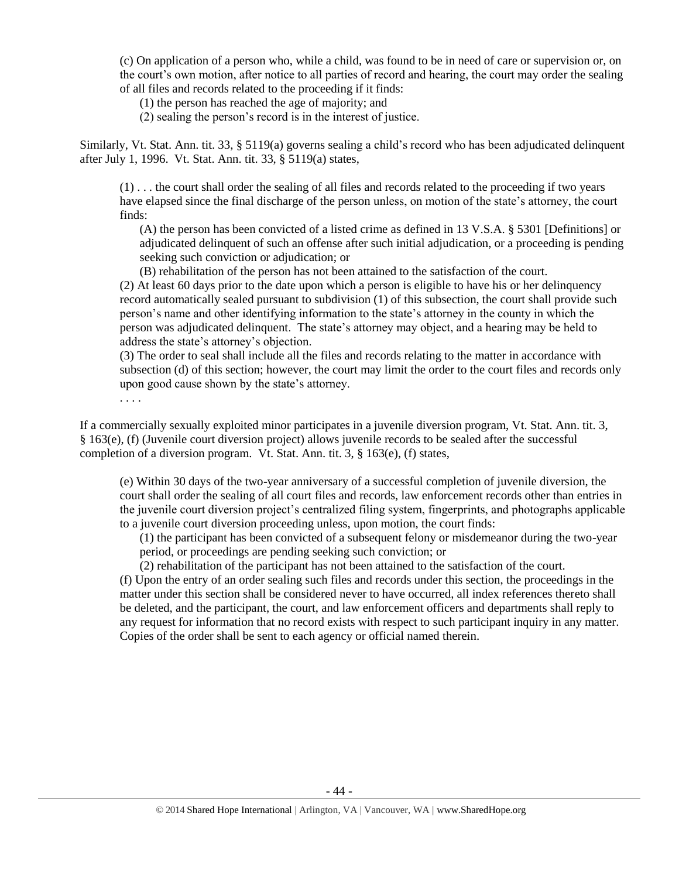(c) On application of a person who, while a child, was found to be in need of care or supervision or, on the court's own motion, after notice to all parties of record and hearing, the court may order the sealing of all files and records related to the proceeding if it finds:

(1) the person has reached the age of majority; and

(2) sealing the person's record is in the interest of justice.

Similarly, Vt. Stat. Ann. tit. 33, § 5119(a) governs sealing a child's record who has been adjudicated delinquent after July 1, 1996. Vt. Stat. Ann. tit. 33, § 5119(a) states,

(1) . . . the court shall order the sealing of all files and records related to the proceeding if two years have elapsed since the final discharge of the person unless, on motion of the state's attorney, the court finds:

(A) the person has been convicted of a listed crime as defined in 13 V.S.A. § 5301 [Definitions] or adjudicated delinquent of such an offense after such initial adjudication, or a proceeding is pending seeking such conviction or adjudication; or

(B) rehabilitation of the person has not been attained to the satisfaction of the court.

(2) At least 60 days prior to the date upon which a person is eligible to have his or her delinquency record automatically sealed pursuant to subdivision (1) of this subsection, the court shall provide such person's name and other identifying information to the state's attorney in the county in which the person was adjudicated delinquent. The state's attorney may object, and a hearing may be held to address the state's attorney's objection.

(3) The order to seal shall include all the files and records relating to the matter in accordance with subsection (d) of this section; however, the court may limit the order to the court files and records only upon good cause shown by the state's attorney.

. . . .

If a commercially sexually exploited minor participates in a juvenile diversion program, Vt. Stat. Ann. tit. 3, § 163(e), (f) (Juvenile court diversion project) allows juvenile records to be sealed after the successful completion of a diversion program. Vt. Stat. Ann. tit. 3, § 163(e), (f) states,

(e) Within 30 days of the two-year anniversary of a successful completion of juvenile diversion, the court shall order the sealing of all court files and records, law enforcement records other than entries in the juvenile court diversion project's centralized filing system, fingerprints, and photographs applicable to a juvenile court diversion proceeding unless, upon motion, the court finds:

(1) the participant has been convicted of a subsequent felony or misdemeanor during the two-year period, or proceedings are pending seeking such conviction; or

(2) rehabilitation of the participant has not been attained to the satisfaction of the court.

(f) Upon the entry of an order sealing such files and records under this section, the proceedings in the matter under this section shall be considered never to have occurred, all index references thereto shall be deleted, and the participant, the court, and law enforcement officers and departments shall reply to any request for information that no record exists with respect to such participant inquiry in any matter. Copies of the order shall be sent to each agency or official named therein.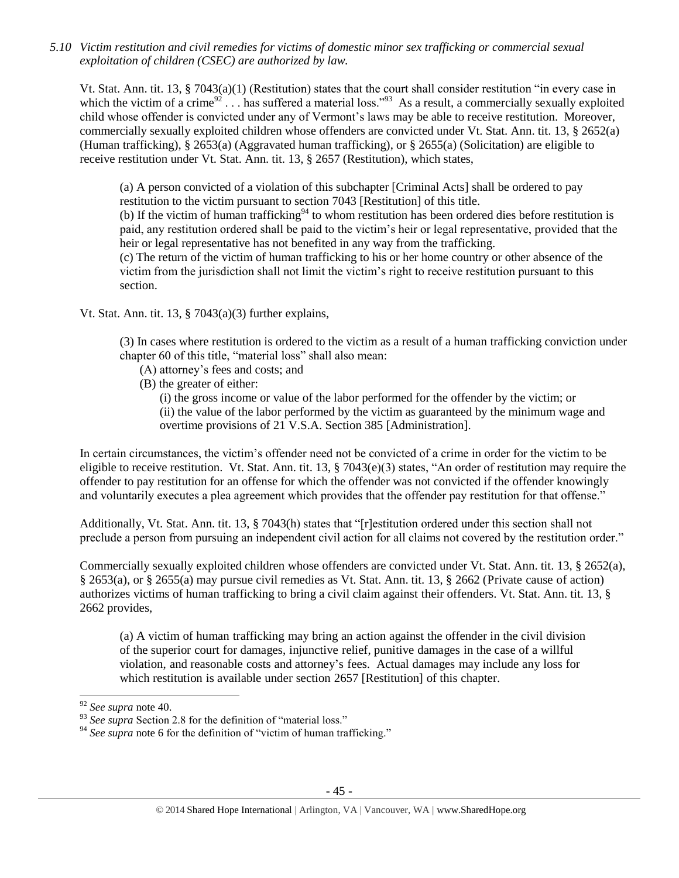*5.10 Victim restitution and civil remedies for victims of domestic minor sex trafficking or commercial sexual exploitation of children (CSEC) are authorized by law.* 

Vt. Stat. Ann. tit. 13, § 7043(a)(1) (Restitution) states that the court shall consider restitution "in every case in which the victim of a crime<sup>92</sup>... has suffered a material loss.<sup>"93</sup> As a result, a commercially sexually exploited child whose offender is convicted under any of Vermont's laws may be able to receive restitution. Moreover, commercially sexually exploited children whose offenders are convicted under Vt. Stat. Ann. tit. 13, § 2652(a) (Human trafficking), § 2653(a) (Aggravated human trafficking), or § 2655(a) (Solicitation) are eligible to receive restitution under Vt. Stat. Ann. tit. 13, § 2657 (Restitution), which states,

(a) A person convicted of a violation of this subchapter [Criminal Acts] shall be ordered to pay restitution to the victim pursuant to section 7043 [Restitution] of this title.

(b) If the victim of human trafficking<sup>94</sup> to whom restitution has been ordered dies before restitution is paid, any restitution ordered shall be paid to the victim's heir or legal representative, provided that the heir or legal representative has not benefited in any way from the trafficking.

(c) The return of the victim of human trafficking to his or her home country or other absence of the victim from the jurisdiction shall not limit the victim's right to receive restitution pursuant to this section.

Vt. Stat. Ann. tit. 13,  $\S$  7043(a)(3) further explains,

(3) In cases where restitution is ordered to the victim as a result of a human trafficking conviction under chapter 60 of this title, "material loss" shall also mean:

- (A) attorney's fees and costs; and
- (B) the greater of either:

(i) the gross income or value of the labor performed for the offender by the victim; or (ii) the value of the labor performed by the victim as guaranteed by the minimum wage and overtime provisions of 21 V.S.A. Section 385 [Administration].

In certain circumstances, the victim's offender need not be convicted of a crime in order for the victim to be eligible to receive restitution. Vt. Stat. Ann. tit. 13, § 7043(e)(3) states, "An order of restitution may require the offender to pay restitution for an offense for which the offender was not convicted if the offender knowingly and voluntarily executes a plea agreement which provides that the offender pay restitution for that offense."

Additionally, Vt. Stat. Ann. tit. 13, § 7043(h) states that "[r]estitution ordered under this section shall not preclude a person from pursuing an independent civil action for all claims not covered by the restitution order."

Commercially sexually exploited children whose offenders are convicted under Vt. Stat. Ann. tit. 13, § 2652(a), § 2653(a), or § 2655(a) may pursue civil remedies as Vt. Stat. Ann. tit. 13, § 2662 (Private cause of action) authorizes victims of human trafficking to bring a civil claim against their offenders. Vt. Stat. Ann. tit. 13, § 2662 provides,

(a) A victim of human trafficking may bring an action against the offender in the civil division of the superior court for damages, injunctive relief, punitive damages in the case of a willful violation, and reasonable costs and attorney's fees. Actual damages may include any loss for which restitution is available under section 2657 [Restitution] of this chapter.

<sup>92</sup> *See supra* note [40.](#page-11-0) 

<sup>&</sup>lt;sup>93</sup> See supra Section 2.8 for the definition of "material loss."

<sup>&</sup>lt;sup>94</sup> See supra note [6](#page-1-0) for the definition of "victim of human trafficking."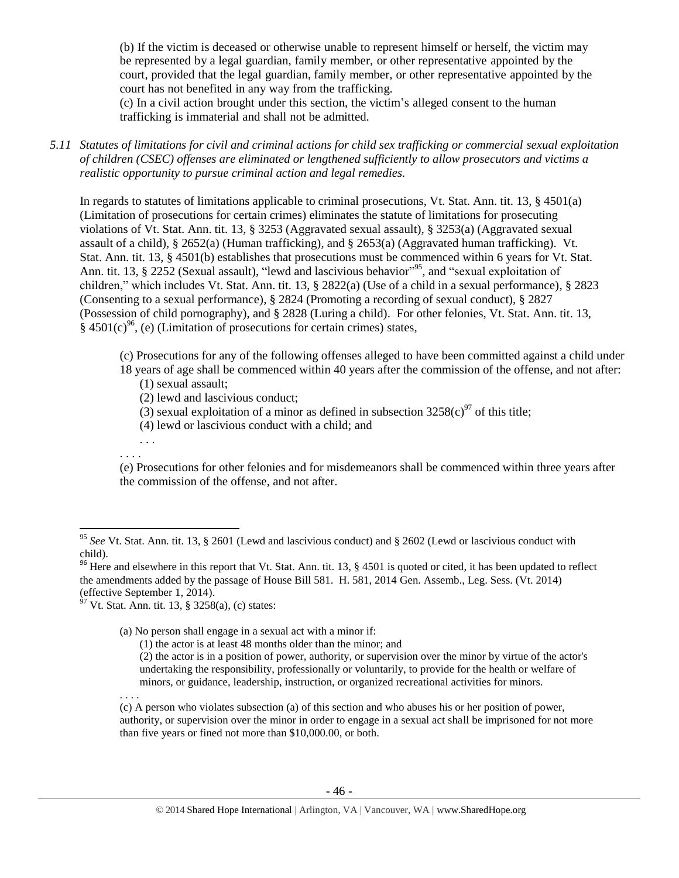(b) If the victim is deceased or otherwise unable to represent himself or herself, the victim may be represented by a legal guardian, family member, or other representative appointed by the court, provided that the legal guardian, family member, or other representative appointed by the court has not benefited in any way from the trafficking.

(c) In a civil action brought under this section, the victim's alleged consent to the human trafficking is immaterial and shall not be admitted.

*5.11 Statutes of limitations for civil and criminal actions for child sex trafficking or commercial sexual exploitation of children (CSEC) offenses are eliminated or lengthened sufficiently to allow prosecutors and victims a realistic opportunity to pursue criminal action and legal remedies.*

In regards to statutes of limitations applicable to criminal prosecutions, Vt. Stat. Ann. tit. 13, § 4501(a) (Limitation of prosecutions for certain crimes) eliminates the statute of limitations for prosecuting violations of Vt. Stat. Ann. tit. 13, § 3253 (Aggravated sexual assault), § 3253(a) (Aggravated sexual assault of a child), § 2652(a) (Human trafficking), and § 2653(a) (Aggravated human trafficking). Vt. Stat. Ann. tit. 13, § 4501(b) establishes that prosecutions must be commenced within 6 years for Vt. Stat. Ann. tit. 13, § 2252 (Sexual assault), "lewd and lascivious behavior"<sup>95</sup>, and "sexual exploitation of children," which includes Vt. Stat. Ann. tit. 13, § 2822(a) (Use of a child in a sexual performance), § 2823 (Consenting to a sexual performance), § 2824 (Promoting a recording of sexual conduct), § 2827 (Possession of child pornography), and § 2828 (Luring a child). For other felonies, Vt. Stat. Ann. tit. 13,  $§$  4501(c)<sup>96</sup>, (e) (Limitation of prosecutions for certain crimes) states,

(c) Prosecutions for any of the following offenses alleged to have been committed against a child under 18 years of age shall be commenced within 40 years after the commission of the offense, and not after:

- (1) sexual assault;
- (2) lewd and lascivious conduct;
- (3) sexual exploitation of a minor as defined in subsection  $3258(c)^{97}$  of this title;
- (4) lewd or lascivious conduct with a child; and
- . . . . . . .

(e) Prosecutions for other felonies and for misdemeanors shall be commenced within three years after the commission of the offense, and not after.

 $97$  Vt. Stat. Ann. tit. 13, § 3258(a), (c) states:

(a) No person shall engage in a sexual act with a minor if:

(1) the actor is at least 48 months older than the minor; and

(2) the actor is in a position of power, authority, or supervision over the minor by virtue of the actor's undertaking the responsibility, professionally or voluntarily, to provide for the health or welfare of minors, or guidance, leadership, instruction, or organized recreational activities for minors.

. . . .

(c) A person who violates subsection (a) of this section and who abuses his or her position of power, authority, or supervision over the minor in order to engage in a sexual act shall be imprisoned for not more than five years or fined not more than \$10,000.00, or both.

 $\overline{\phantom{a}}$ <sup>95</sup> *See* Vt. Stat. Ann. tit. 13, § 2601 (Lewd and lascivious conduct) and § 2602 (Lewd or lascivious conduct with child).

<sup>&</sup>lt;sup>96</sup> Here and elsewhere in this report that Vt. Stat. Ann. tit. 13,  $\S$  4501 is quoted or cited, it has been updated to reflect the amendments added by the passage of House Bill 581. H. 581, 2014 Gen. Assemb., Leg. Sess. (Vt. 2014) (effective September 1, 2014).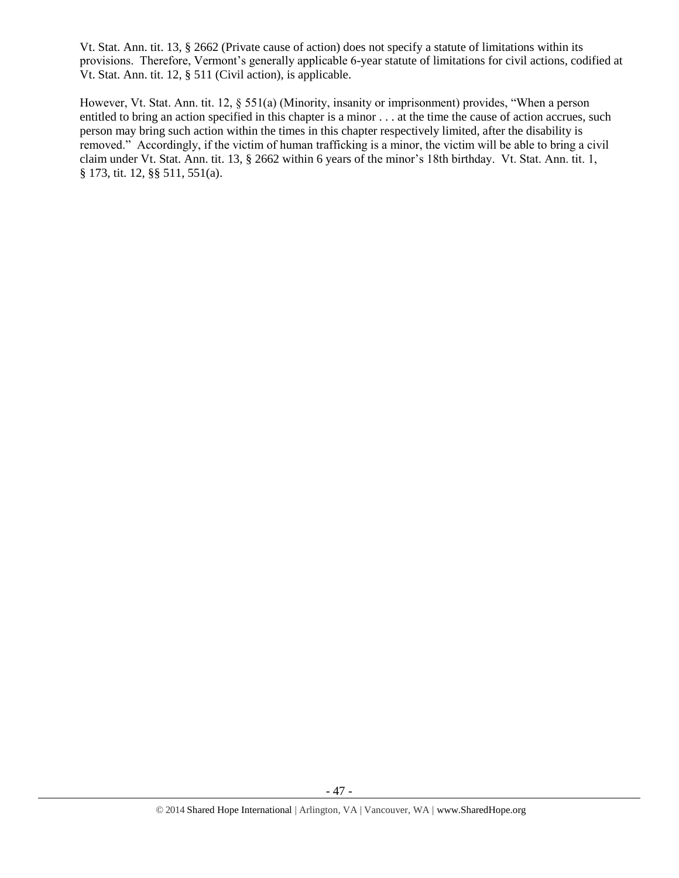Vt. Stat. Ann. tit. 13, § 2662 (Private cause of action) does not specify a statute of limitations within its provisions. Therefore, Vermont's generally applicable 6-year statute of limitations for civil actions, codified at Vt. Stat. Ann. tit. 12, § 511 (Civil action), is applicable.

However, Vt. Stat. Ann. tit. 12, § 551(a) (Minority, insanity or imprisonment) provides, "When a person entitled to bring an action specified in this chapter is a minor . . . at the time the cause of action accrues, such person may bring such action within the times in this chapter respectively limited, after the disability is removed." Accordingly, if the victim of human trafficking is a minor, the victim will be able to bring a civil claim under Vt. Stat. Ann. tit. 13, § 2662 within 6 years of the minor's 18th birthday. Vt. Stat. Ann. tit. 1, § 173, tit. 12, §§ 511, 551(a).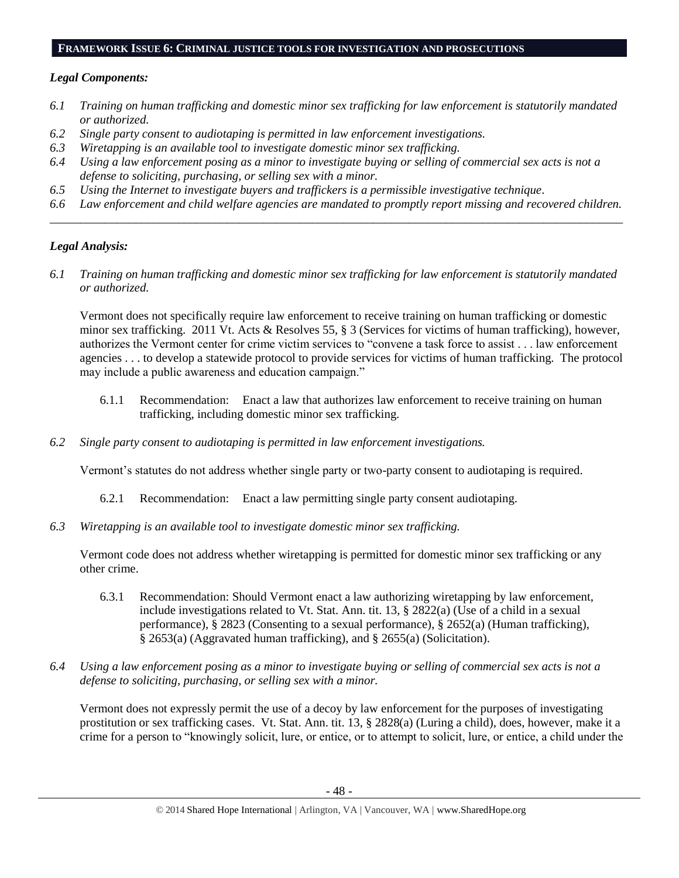## **FRAMEWORK ISSUE 6: CRIMINAL JUSTICE TOOLS FOR INVESTIGATION AND PROSECUTIONS**

## *Legal Components:*

- *6.1 Training on human trafficking and domestic minor sex trafficking for law enforcement is statutorily mandated or authorized.*
- *6.2 Single party consent to audiotaping is permitted in law enforcement investigations.*
- *6.3 Wiretapping is an available tool to investigate domestic minor sex trafficking.*
- *6.4 Using a law enforcement posing as a minor to investigate buying or selling of commercial sex acts is not a defense to soliciting, purchasing, or selling sex with a minor.*
- *6.5 Using the Internet to investigate buyers and traffickers is a permissible investigative technique.*
- *6.6 Law enforcement and child welfare agencies are mandated to promptly report missing and recovered children. \_\_\_\_\_\_\_\_\_\_\_\_\_\_\_\_\_\_\_\_\_\_\_\_\_\_\_\_\_\_\_\_\_\_\_\_\_\_\_\_\_\_\_\_\_\_\_\_\_\_\_\_\_\_\_\_\_\_\_\_\_\_\_\_\_\_\_\_\_\_\_\_\_\_\_\_\_\_\_\_\_\_\_\_\_\_\_\_\_\_\_\_\_\_*

# *Legal Analysis:*

*6.1 Training on human trafficking and domestic minor sex trafficking for law enforcement is statutorily mandated or authorized.*

Vermont does not specifically require law enforcement to receive training on human trafficking or domestic minor sex trafficking. 2011 Vt. Acts & Resolves 55, § 3 (Services for victims of human trafficking), however, authorizes the Vermont center for crime victim services to "convene a task force to assist . . . law enforcement agencies . . . to develop a statewide protocol to provide services for victims of human trafficking. The protocol may include a public awareness and education campaign."

- 6.1.1 Recommendation: Enact a law that authorizes law enforcement to receive training on human trafficking, including domestic minor sex trafficking.
- *6.2 Single party consent to audiotaping is permitted in law enforcement investigations.*

Vermont's statutes do not address whether single party or two-party consent to audiotaping is required.

- 6.2.1 Recommendation: Enact a law permitting single party consent audiotaping.
- *6.3 Wiretapping is an available tool to investigate domestic minor sex trafficking.*

Vermont code does not address whether wiretapping is permitted for domestic minor sex trafficking or any other crime.

- 6.3.1 Recommendation: Should Vermont enact a law authorizing wiretapping by law enforcement, include investigations related to Vt. Stat. Ann. tit. 13, § 2822(a) (Use of a child in a sexual performance), § 2823 (Consenting to a sexual performance), § 2652(a) (Human trafficking), § 2653(a) (Aggravated human trafficking), and § 2655(a) (Solicitation).
- *6.4 Using a law enforcement posing as a minor to investigate buying or selling of commercial sex acts is not a defense to soliciting, purchasing, or selling sex with a minor.*

Vermont does not expressly permit the use of a decoy by law enforcement for the purposes of investigating prostitution or sex trafficking cases. Vt. Stat. Ann. tit. 13, § 2828(a) (Luring a child), does, however, make it a crime for a person to "knowingly solicit, lure, or entice, or to attempt to solicit, lure, or entice, a child under the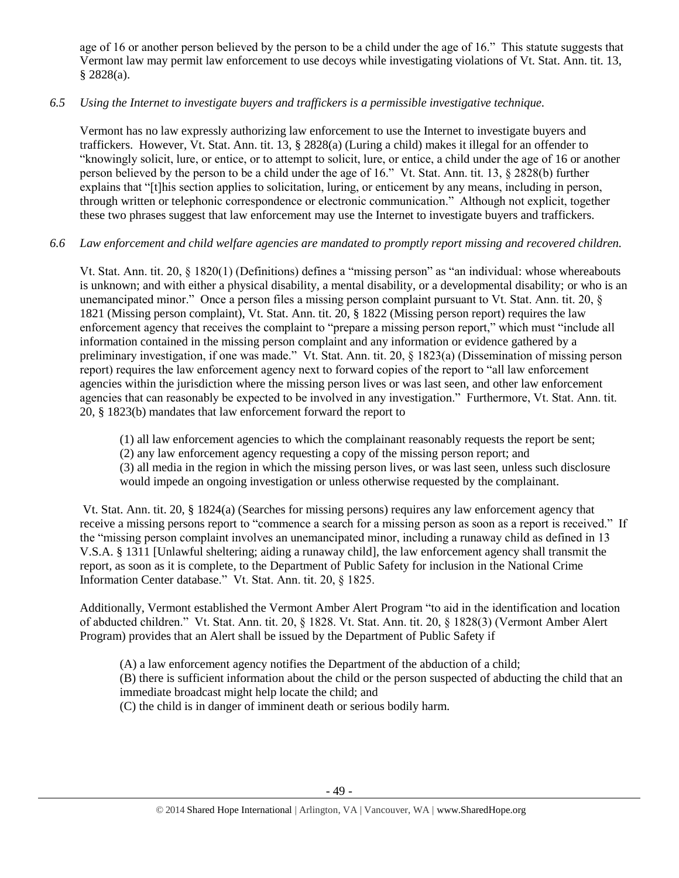age of 16 or another person believed by the person to be a child under the age of 16." This statute suggests that Vermont law may permit law enforcement to use decoys while investigating violations of Vt. Stat. Ann. tit. 13, § 2828(a).

# *6.5 Using the Internet to investigate buyers and traffickers is a permissible investigative technique.*

Vermont has no law expressly authorizing law enforcement to use the Internet to investigate buyers and traffickers. However, Vt. Stat. Ann. tit. 13, § 2828(a) (Luring a child) makes it illegal for an offender to "knowingly solicit, lure, or entice, or to attempt to solicit, lure, or entice, a child under the age of 16 or another person believed by the person to be a child under the age of 16." Vt. Stat. Ann. tit. 13, § 2828(b) further explains that "[t]his section applies to solicitation, luring, or enticement by any means, including in person, through written or telephonic correspondence or electronic communication." Although not explicit, together these two phrases suggest that law enforcement may use the Internet to investigate buyers and traffickers.

# *6.6 Law enforcement and child welfare agencies are mandated to promptly report missing and recovered children.*

Vt. Stat. Ann. tit. 20, § 1820(1) (Definitions) defines a "missing person" as "an individual: whose whereabouts is unknown; and with either a physical disability, a mental disability, or a developmental disability; or who is an unemancipated minor." Once a person files a missing person complaint pursuant to Vt. Stat. Ann. tit. 20, § 1821 (Missing person complaint), Vt. Stat. Ann. tit. 20, § 1822 (Missing person report) requires the law enforcement agency that receives the complaint to "prepare a missing person report," which must "include all information contained in the missing person complaint and any information or evidence gathered by a preliminary investigation, if one was made." Vt. Stat. Ann. tit. 20, § 1823(a) (Dissemination of missing person report) requires the law enforcement agency next to forward copies of the report to "all law enforcement agencies within the jurisdiction where the missing person lives or was last seen, and other law enforcement agencies that can reasonably be expected to be involved in any investigation." Furthermore, Vt. Stat. Ann. tit. 20, § 1823(b) mandates that law enforcement forward the report to

(1) all law enforcement agencies to which the complainant reasonably requests the report be sent;

(2) any law enforcement agency requesting a copy of the missing person report; and

(3) all media in the region in which the missing person lives, or was last seen, unless such disclosure would impede an ongoing investigation or unless otherwise requested by the complainant.

Vt. Stat. Ann. tit. 20, § 1824(a) (Searches for missing persons) requires any law enforcement agency that receive a missing persons report to "commence a search for a missing person as soon as a report is received." If the "missing person complaint involves an unemancipated minor, including a runaway child as defined in 13 V.S.A. § 1311 [Unlawful sheltering; aiding a runaway child], the law enforcement agency shall transmit the report, as soon as it is complete, to the Department of Public Safety for inclusion in the National Crime Information Center database." Vt. Stat. Ann. tit. 20, § 1825.

Additionally, Vermont established the Vermont Amber Alert Program "to aid in the identification and location of abducted children." Vt. Stat. Ann. tit. 20, § 1828. Vt. Stat. Ann. tit. 20, § 1828(3) (Vermont Amber Alert Program) provides that an Alert shall be issued by the Department of Public Safety if

(A) a law enforcement agency notifies the Department of the abduction of a child; (B) there is sufficient information about the child or the person suspected of abducting the child that an immediate broadcast might help locate the child; and

(C) the child is in danger of imminent death or serious bodily harm.